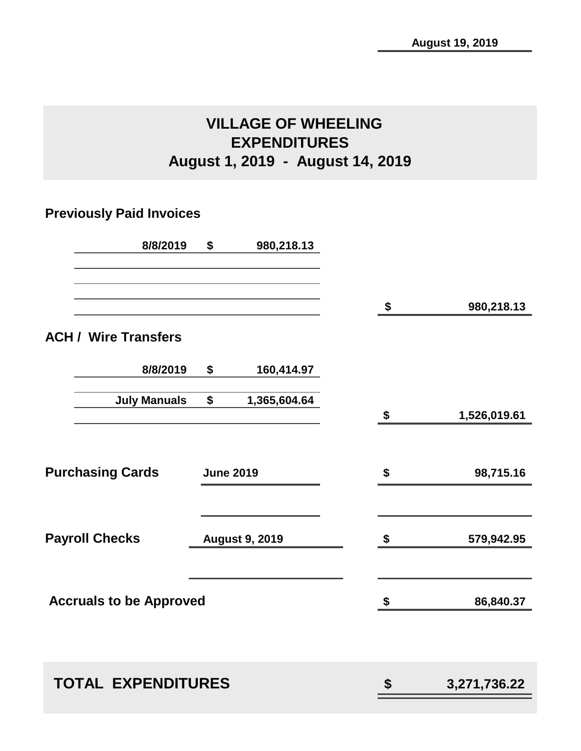# **VILLAGE OF WHEELING EXPENDITURES August 1, 2019 - August 14, 2019**

# **Previously Paid Invoices**

| 8/8/2019                       | \$               | 980,218.13            |    |              |
|--------------------------------|------------------|-----------------------|----|--------------|
|                                |                  |                       |    |              |
|                                |                  |                       | \$ | 980,218.13   |
| <b>ACH / Wire Transfers</b>    |                  |                       |    |              |
| 8/8/2019                       | \$               | 160,414.97            |    |              |
|                                | \$               |                       |    |              |
| <b>July Manuals</b>            |                  | 1,365,604.64          | \$ | 1,526,019.61 |
|                                |                  |                       |    |              |
|                                |                  |                       |    |              |
| <b>Purchasing Cards</b>        | <b>June 2019</b> |                       | \$ | 98,715.16    |
|                                |                  |                       |    |              |
| <b>Payroll Checks</b>          |                  | <b>August 9, 2019</b> | \$ | 579,942.95   |
|                                |                  |                       |    |              |
| <b>Accruals to be Approved</b> |                  |                       | \$ | 86,840.37    |
|                                |                  |                       |    |              |
|                                |                  |                       |    |              |
| <b>TOTAL EXPENDITURES</b>      |                  |                       | \$ | 3,271,736.22 |
|                                |                  |                       |    |              |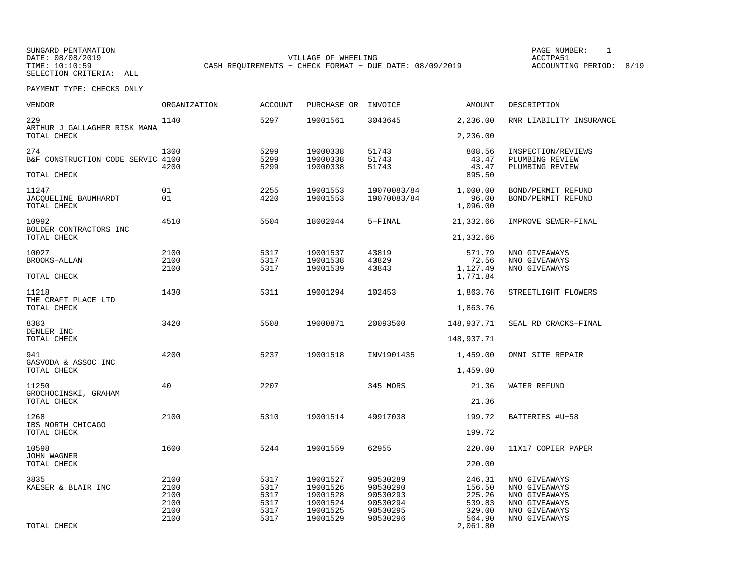SUNGARD PENTAMATION PAGE NUMBER: 1SELECTION CRITERIA: ALL

DATE: 08/08/2019 VILLAGE OF WHEELING ACCTPA51TIME: 10:10:59 CASH REQUIREMENTS - CHECK FORMAT - DUE DATE: 08/09/2019

ACCOUNTING PERIOD: 8/19

| VENDOR                                       | <b>ORGANIZATION</b>                          | <b>ACCOUNT</b>                               | PURCHASE OR                                                          | INVOICE                                                              | <b>AMOUNT</b>                                            | DESCRIPTION                                                                                        |
|----------------------------------------------|----------------------------------------------|----------------------------------------------|----------------------------------------------------------------------|----------------------------------------------------------------------|----------------------------------------------------------|----------------------------------------------------------------------------------------------------|
| 229<br>ARTHUR J GALLAGHER RISK MANA          | 1140                                         | 5297                                         | 19001561                                                             | 3043645                                                              | 2,236.00                                                 | RNR LIABILITY INSURANCE                                                                            |
| TOTAL CHECK                                  |                                              |                                              |                                                                      |                                                                      | 2,236.00                                                 |                                                                                                    |
| 274<br>B&F CONSTRUCTION CODE SERVIC 4100     | 1300<br>4200                                 | 5299<br>5299<br>5299                         | 19000338<br>19000338<br>19000338                                     | 51743<br>51743<br>51743                                              | 808.56<br>43.47<br>43.47                                 | INSPECTION/REVIEWS<br>PLUMBING REVIEW<br>PLUMBING REVIEW                                           |
| TOTAL CHECK                                  |                                              |                                              |                                                                      |                                                                      | 895.50                                                   |                                                                                                    |
| 11247<br>JACQUELINE BAUMHARDT<br>TOTAL CHECK | 01<br>01                                     | 2255<br>4220                                 | 19001553<br>19001553                                                 | 19070083/84<br>19070083/84                                           | 1,000.00<br>96.00<br>1,096.00                            | BOND/PERMIT REFUND<br>BOND/PERMIT REFUND                                                           |
| 10992<br>BOLDER CONTRACTORS INC              | 4510                                         | 5504                                         | 18002044                                                             | 5-FINAL                                                              | 21,332.66                                                | IMPROVE SEWER-FINAL                                                                                |
| TOTAL CHECK                                  |                                              |                                              |                                                                      |                                                                      | 21,332.66                                                |                                                                                                    |
| 10027<br><b>BROOKS-ALLAN</b><br>TOTAL CHECK  | 2100<br>2100<br>2100                         | 5317<br>5317<br>5317                         | 19001537<br>19001538<br>19001539                                     | 43819<br>43829<br>43843                                              | 571.79<br>72.56<br>1,127.49<br>1,771.84                  | NNO GIVEAWAYS<br>NNO GIVEAWAYS<br>NNO GIVEAWAYS                                                    |
| 11218                                        | 1430                                         | 5311                                         | 19001294                                                             | 102453                                                               | 1,863.76                                                 | STREETLIGHT FLOWERS                                                                                |
| THE CRAFT PLACE LTD<br>TOTAL CHECK           |                                              |                                              |                                                                      |                                                                      | 1,863.76                                                 |                                                                                                    |
| 8383<br>DENLER INC                           | 3420                                         | 5508                                         | 19000871                                                             | 20093500                                                             | 148,937.71                                               | SEAL RD CRACKS-FINAL                                                                               |
| TOTAL CHECK                                  |                                              |                                              |                                                                      |                                                                      | 148,937.71                                               |                                                                                                    |
| 941<br>GASVODA & ASSOC INC                   | 4200                                         | 5237                                         | 19001518                                                             | INV1901435                                                           | 1,459.00                                                 | OMNI SITE REPAIR                                                                                   |
| TOTAL CHECK                                  |                                              |                                              |                                                                      |                                                                      | 1,459.00                                                 |                                                                                                    |
| 11250<br>GROCHOCINSKI, GRAHAM                | 40                                           | 2207                                         |                                                                      | 345 MORS                                                             | 21.36                                                    | WATER REFUND                                                                                       |
| TOTAL CHECK                                  |                                              |                                              |                                                                      |                                                                      | 21.36                                                    |                                                                                                    |
| 1268<br>IBS NORTH CHICAGO                    | 2100                                         | 5310                                         | 19001514                                                             | 49917038                                                             | 199.72                                                   | BATTERIES #U-58                                                                                    |
| TOTAL CHECK                                  |                                              |                                              |                                                                      |                                                                      | 199.72                                                   |                                                                                                    |
| 10598<br>JOHN WAGNER                         | 1600                                         | 5244                                         | 19001559                                                             | 62955                                                                | 220.00                                                   | 11X17 COPIER PAPER                                                                                 |
| TOTAL CHECK                                  |                                              |                                              |                                                                      |                                                                      | 220.00                                                   |                                                                                                    |
| 3835<br>KAESER & BLAIR INC                   | 2100<br>2100<br>2100<br>2100<br>2100<br>2100 | 5317<br>5317<br>5317<br>5317<br>5317<br>5317 | 19001527<br>19001526<br>19001528<br>19001524<br>19001525<br>19001529 | 90530289<br>90530290<br>90530293<br>90530294<br>90530295<br>90530296 | 246.31<br>156.50<br>225.26<br>539.83<br>329.00<br>564.90 | NNO GIVEAWAYS<br>NNO GIVEAWAYS<br>NNO GIVEAWAYS<br>NNO GIVEAWAYS<br>NNO GIVEAWAYS<br>NNO GIVEAWAYS |
| TOTAL CHECK                                  |                                              |                                              |                                                                      |                                                                      | 2,061.80                                                 |                                                                                                    |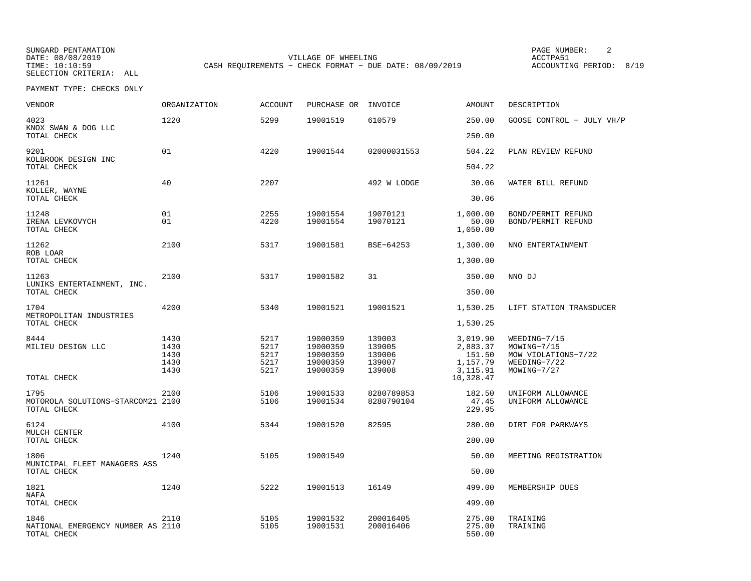SELECTION CRITERIA: ALL

SUNGARD PENTAMATION PAGE NUMBER: 2DATE: 08/08/2019 VILLAGE OF WHEELING ACCTPA51CASH REQUIREMENTS - CHECK FORMAT - DUE DATE: 08/09/2019

ACCOUNTING PERIOD: 8/19

| VENDOR                                                   | ORGANIZATION                         | <b>ACCOUNT</b>                       | PURCHASE OR                                              | INVOICE                                        | <b>AMOUNT</b>                                           | DESCRIPTION                                                                       |
|----------------------------------------------------------|--------------------------------------|--------------------------------------|----------------------------------------------------------|------------------------------------------------|---------------------------------------------------------|-----------------------------------------------------------------------------------|
| 4023<br>KNOX SWAN & DOG LLC                              | 1220                                 | 5299                                 | 19001519                                                 | 610579                                         | 250.00                                                  | GOOSE CONTROL - JULY VH/P                                                         |
| TOTAL CHECK                                              |                                      |                                      |                                                          |                                                | 250.00                                                  |                                                                                   |
| 9201<br>KOLBROOK DESIGN INC<br>TOTAL CHECK               | 01                                   | 4220                                 | 19001544                                                 | 02000031553                                    | 504.22<br>504.22                                        | PLAN REVIEW REFUND                                                                |
|                                                          |                                      |                                      |                                                          |                                                |                                                         |                                                                                   |
| 11261<br>KOLLER, WAYNE<br>TOTAL CHECK                    | 40                                   | 2207                                 |                                                          | 492 W LODGE                                    | 30.06<br>30.06                                          | WATER BILL REFUND                                                                 |
|                                                          |                                      |                                      |                                                          |                                                |                                                         |                                                                                   |
| 11248<br>IRENA LEVKOVYCH<br>TOTAL CHECK                  | 01<br>01                             | 2255<br>4220                         | 19001554<br>19001554                                     | 19070121<br>19070121                           | 1,000.00<br>50.00<br>1,050.00                           | BOND/PERMIT REFUND<br>BOND/PERMIT REFUND                                          |
| 11262<br>ROB LOAR                                        | 2100                                 | 5317                                 | 19001581                                                 | BSE-64253                                      | 1,300.00                                                | NNO ENTERTAINMENT                                                                 |
| TOTAL CHECK                                              |                                      |                                      |                                                          |                                                | 1,300.00                                                |                                                                                   |
| 11263                                                    | 2100                                 | 5317                                 | 19001582                                                 | 31                                             | 350.00                                                  | NNO DJ                                                                            |
| LUNIKS ENTERTAINMENT, INC.<br>TOTAL CHECK                |                                      |                                      |                                                          |                                                | 350.00                                                  |                                                                                   |
| 1704<br>METROPOLITAN INDUSTRIES                          | 4200                                 | 5340                                 | 19001521                                                 | 19001521                                       | 1,530.25                                                | LIFT STATION TRANSDUCER                                                           |
| TOTAL CHECK                                              |                                      |                                      |                                                          |                                                | 1,530.25                                                |                                                                                   |
| 8444<br>MILIEU DESIGN LLC                                | 1430<br>1430<br>1430<br>1430<br>1430 | 5217<br>5217<br>5217<br>5217<br>5217 | 19000359<br>19000359<br>19000359<br>19000359<br>19000359 | 139003<br>139005<br>139006<br>139007<br>139008 | 3,019.90<br>2,883.37<br>151.50<br>1,157.79<br>3, 115.91 | WEEDING-7/15<br>MOWING-7/15<br>MOW VIOLATIONS-7/22<br>WEEDING-7/22<br>MOWING-7/27 |
| TOTAL CHECK                                              |                                      |                                      |                                                          |                                                | 10,328.47                                               |                                                                                   |
| 1795<br>MOTOROLA SOLUTIONS-STARCOM21 2100<br>TOTAL CHECK | 2100                                 | 5106<br>5106                         | 19001533<br>19001534                                     | 8280789853<br>8280790104                       | 182.50<br>47.45<br>229.95                               | UNIFORM ALLOWANCE<br>UNIFORM ALLOWANCE                                            |
| 6124                                                     | 4100                                 | 5344                                 | 19001520                                                 | 82595                                          | 280.00                                                  | DIRT FOR PARKWAYS                                                                 |
| MULCH CENTER<br>TOTAL CHECK                              |                                      |                                      |                                                          |                                                | 280.00                                                  |                                                                                   |
| 1806<br>MUNICIPAL FLEET MANAGERS ASS                     | 1240                                 | 5105                                 | 19001549                                                 |                                                | 50.00                                                   | MEETING REGISTRATION                                                              |
| TOTAL CHECK                                              |                                      |                                      |                                                          |                                                | 50.00                                                   |                                                                                   |
| 1821<br>NAFA                                             | 1240                                 | 5222                                 | 19001513                                                 | 16149                                          | 499.00                                                  | MEMBERSHIP DUES                                                                   |
| TOTAL CHECK                                              |                                      |                                      |                                                          |                                                | 499.00                                                  |                                                                                   |
| 1846<br>NATIONAL EMERGENCY NUMBER AS 2110<br>TOTAL CHECK | 2110                                 | 5105<br>5105                         | 19001532<br>19001531                                     | 200016405<br>200016406                         | 275.00<br>275.00<br>550.00                              | TRAINING<br>TRAINING                                                              |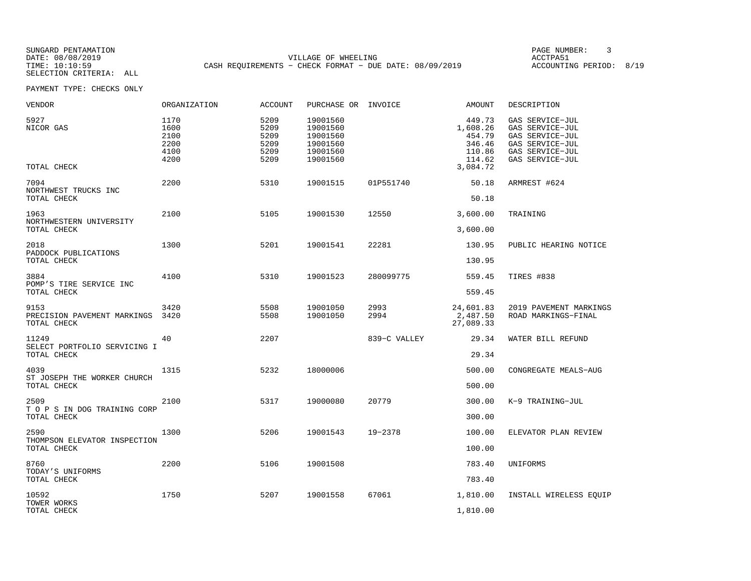SELECTION CRITERIA: ALL

SUNGARD PENTAMATION PAGE NUMBER: 3DATE: 08/08/2019 VILLAGE OF WHEELING ACCTPA51CASH REQUIREMENTS - CHECK FORMAT - DUE DATE: 08/09/2019

ACCOUNTING PERIOD: 8/19

| VENDOR                                               | ORGANIZATION                                 | <b>ACCOUNT</b>                               | PURCHASE OR INVOICE                                                  |              | AMOUNT                                                                 | DESCRIPTION                                                                                                    |
|------------------------------------------------------|----------------------------------------------|----------------------------------------------|----------------------------------------------------------------------|--------------|------------------------------------------------------------------------|----------------------------------------------------------------------------------------------------------------|
| 5927<br>NICOR GAS<br>TOTAL CHECK                     | 1170<br>1600<br>2100<br>2200<br>4100<br>4200 | 5209<br>5209<br>5209<br>5209<br>5209<br>5209 | 19001560<br>19001560<br>19001560<br>19001560<br>19001560<br>19001560 |              | 449.73<br>1,608.26<br>454.79<br>346.46<br>110.86<br>114.62<br>3,084.72 | GAS SERVICE-JUL<br>GAS SERVICE-JUL<br>GAS SERVICE-JUL<br>GAS SERVICE-JUL<br>GAS SERVICE-JUL<br>GAS SERVICE-JUL |
| 7094<br>NORTHWEST TRUCKS INC<br>TOTAL CHECK          | 2200                                         | 5310                                         | 19001515                                                             | 01P551740    | 50.18<br>50.18                                                         | ARMREST #624                                                                                                   |
| 1963<br>NORTHWESTERN UNIVERSITY<br>TOTAL CHECK       | 2100                                         | 5105                                         | 19001530                                                             | 12550        | 3,600.00<br>3,600.00                                                   | TRAINING                                                                                                       |
| 2018<br>PADDOCK PUBLICATIONS<br>TOTAL CHECK          | 1300                                         | 5201                                         | 19001541                                                             | 22281        | 130.95<br>130.95                                                       | PUBLIC HEARING NOTICE                                                                                          |
| 3884<br>POMP'S TIRE SERVICE INC<br>TOTAL CHECK       | 4100                                         | 5310                                         | 19001523                                                             | 280099775    | 559.45<br>559.45                                                       | TIRES #838                                                                                                     |
| 9153<br>PRECISION PAVEMENT MARKINGS<br>TOTAL CHECK   | 3420<br>3420                                 | 5508<br>5508                                 | 19001050<br>19001050                                                 | 2993<br>2994 | 24,601.83<br>2,487.50<br>27,089.33                                     | 2019 PAVEMENT MARKINGS<br>ROAD MARKINGS-FINAL                                                                  |
| 11249<br>SELECT PORTFOLIO SERVICING I<br>TOTAL CHECK | 40                                           | 2207                                         |                                                                      | 839-C VALLEY | 29.34<br>29.34                                                         | WATER BILL REFUND                                                                                              |
| 4039<br>ST JOSEPH THE WORKER CHURCH<br>TOTAL CHECK   | 1315                                         | 5232                                         | 18000006                                                             |              | 500.00<br>500.00                                                       | CONGREGATE MEALS-AUG                                                                                           |
| 2509<br>T O P S IN DOG TRAINING CORP<br>TOTAL CHECK  | 2100                                         | 5317                                         | 19000080                                                             | 20779        | 300.00<br>300.00                                                       | K-9 TRAINING-JUL                                                                                               |
| 2590<br>THOMPSON ELEVATOR INSPECTION<br>TOTAL CHECK  | 1300                                         | 5206                                         | 19001543                                                             | 19-2378      | 100.00<br>100.00                                                       | ELEVATOR PLAN REVIEW                                                                                           |
| 8760<br>TODAY'S UNIFORMS<br>TOTAL CHECK              | 2200                                         | 5106                                         | 19001508                                                             |              | 783.40<br>783.40                                                       | UNIFORMS                                                                                                       |
| 10592<br>TOWER WORKS<br>TOTAL CHECK                  | 1750                                         | 5207                                         | 19001558                                                             | 67061        | 1,810.00<br>1,810.00                                                   | INSTALL WIRELESS EOUIP                                                                                         |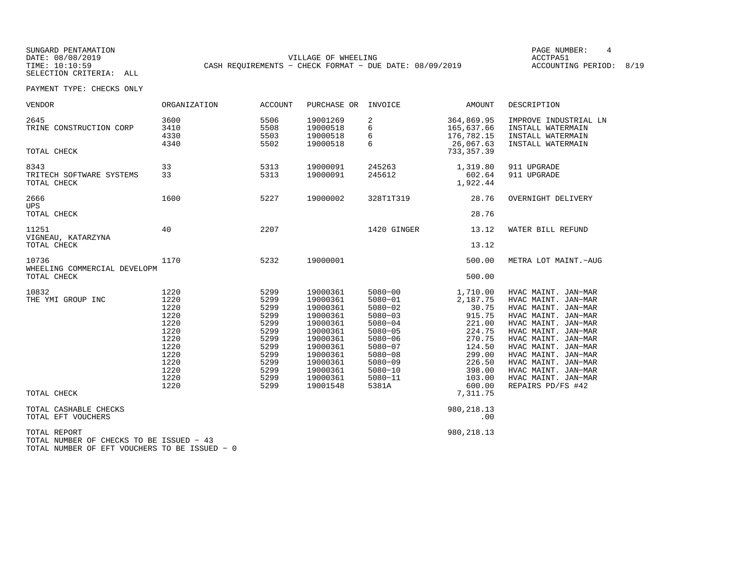SUNGARD PENTAMATION PAGE NUMBER: 4SELECTION CRITERIA: ALL

DATE: 08/08/2019 VILLAGE OF WHEELING ACCTPA51TIME: 10:10:59 CASH REQUIREMENTS - CHECK FORMAT - DUE DATE: 08/09/2019

ACCOUNTING PERIOD: 8/19

| <b>VENDOR</b>                                                                                             | ORGANIZATION                                                                                         | <b>ACCOUNT</b>                                                                                       | PURCHASE OR                                                                                                                                              | INVOICE                                                                                                                                                                                   | AMOUNT                                                                                                                            | DESCRIPTION                                                                                                                                                                                                                                                                                           |
|-----------------------------------------------------------------------------------------------------------|------------------------------------------------------------------------------------------------------|------------------------------------------------------------------------------------------------------|----------------------------------------------------------------------------------------------------------------------------------------------------------|-------------------------------------------------------------------------------------------------------------------------------------------------------------------------------------------|-----------------------------------------------------------------------------------------------------------------------------------|-------------------------------------------------------------------------------------------------------------------------------------------------------------------------------------------------------------------------------------------------------------------------------------------------------|
| 2645<br>TRINE CONSTRUCTION CORP<br>TOTAL CHECK                                                            | 3600<br>3410<br>4330<br>4340                                                                         | 5506<br>5508<br>5503<br>5502                                                                         | 19001269<br>19000518<br>19000518<br>19000518                                                                                                             | 2<br>6<br>6<br>6                                                                                                                                                                          | 364,869.95<br>165,637.66<br>176,782.15<br>26,067.63<br>733, 357.39                                                                | IMPROVE INDUSTRIAL LN<br>INSTALL WATERMAIN<br>INSTALL WATERMAIN<br>INSTALL WATERMAIN                                                                                                                                                                                                                  |
| 8343<br>TRITECH SOFTWARE SYSTEMS<br>TOTAL CHECK                                                           | 33<br>33                                                                                             | 5313<br>5313                                                                                         | 19000091<br>19000091                                                                                                                                     | 245263<br>245612                                                                                                                                                                          | 1,319.80<br>602.64<br>1,922.44                                                                                                    | 911 UPGRADE<br>911 UPGRADE                                                                                                                                                                                                                                                                            |
| 2666<br><b>UPS</b><br>TOTAL CHECK                                                                         | 1600                                                                                                 | 5227                                                                                                 | 19000002                                                                                                                                                 | 328T1T319                                                                                                                                                                                 | 28.76<br>28.76                                                                                                                    | OVERNIGHT DELIVERY                                                                                                                                                                                                                                                                                    |
| 11251<br>VIGNEAU, KATARZYNA<br>TOTAL CHECK                                                                | 40                                                                                                   | 2207                                                                                                 |                                                                                                                                                          | 1420 GINGER                                                                                                                                                                               | 13.12<br>13.12                                                                                                                    | WATER BILL REFUND                                                                                                                                                                                                                                                                                     |
| 10736<br>WHEELING COMMERCIAL DEVELOPM<br>TOTAL CHECK                                                      | 1170                                                                                                 | 5232                                                                                                 | 19000001                                                                                                                                                 |                                                                                                                                                                                           | 500.00<br>500.00                                                                                                                  | METRA LOT MAINT.-AUG                                                                                                                                                                                                                                                                                  |
| 10832<br>THE YMI GROUP INC                                                                                | 1220<br>1220<br>1220<br>1220<br>1220<br>1220<br>1220<br>1220<br>1220<br>1220<br>1220<br>1220<br>1220 | 5299<br>5299<br>5299<br>5299<br>5299<br>5299<br>5299<br>5299<br>5299<br>5299<br>5299<br>5299<br>5299 | 19000361<br>19000361<br>19000361<br>19000361<br>19000361<br>19000361<br>19000361<br>19000361<br>19000361<br>19000361<br>19000361<br>19000361<br>19001548 | $5080 - 00$<br>$5080 - 01$<br>$5080 - 02$<br>$5080 - 03$<br>$5080 - 04$<br>$5080 - 05$<br>$5080 - 06$<br>$5080 - 07$<br>$5080 - 08$<br>$5080 - 09$<br>$5080 - 10$<br>$5080 - 11$<br>5381A | 1,710.00<br>2,187.75<br>30.75<br>915.75<br>221.00<br>224.75<br>270.75<br>124.50<br>299.00<br>226.50<br>398.00<br>103.00<br>600.00 | HVAC MAINT. JAN-MAR<br>HVAC MAINT. JAN-MAR<br>HVAC MAINT. JAN-MAR<br>HVAC MAINT. JAN-MAR<br>HVAC MAINT. JAN-MAR<br>HVAC MAINT. JAN-MAR<br>HVAC MAINT. JAN-MAR<br>HVAC MAINT. JAN-MAR<br>HVAC MAINT. JAN-MAR<br>HVAC MAINT. JAN-MAR<br>HVAC MAINT. JAN-MAR<br>HVAC MAINT. JAN-MAR<br>REPAIRS PD/FS #42 |
| TOTAL CHECK                                                                                               |                                                                                                      |                                                                                                      |                                                                                                                                                          |                                                                                                                                                                                           | 7,311.75                                                                                                                          |                                                                                                                                                                                                                                                                                                       |
| TOTAL CASHABLE CHECKS<br>TOTAL EFT VOUCHERS                                                               |                                                                                                      |                                                                                                      |                                                                                                                                                          |                                                                                                                                                                                           | 980, 218.13<br>.00                                                                                                                |                                                                                                                                                                                                                                                                                                       |
| TOTAL REPORT<br>TOTAL NUMBER OF CHECKS TO BE ISSUED - 43<br>TOTAL NUMBER OF EFT VOUCHERS TO BE ISSUED - 0 |                                                                                                      |                                                                                                      |                                                                                                                                                          |                                                                                                                                                                                           | 980, 218.13                                                                                                                       |                                                                                                                                                                                                                                                                                                       |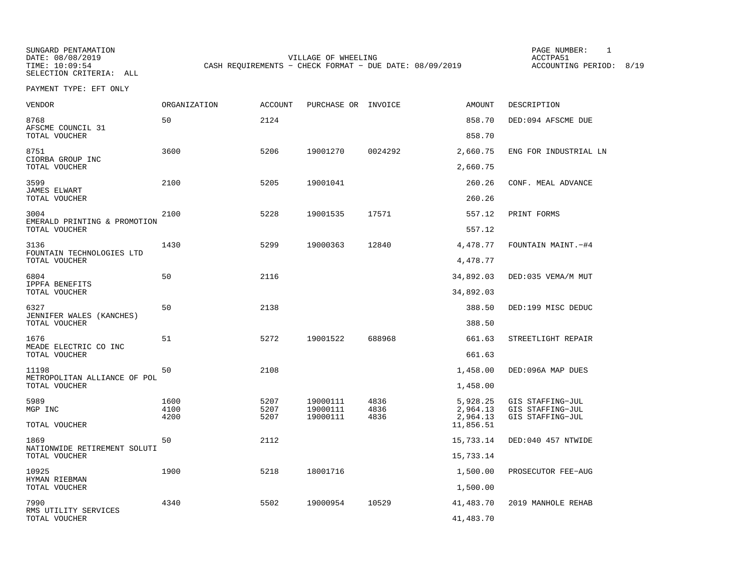SELECTION CRITERIA: ALL

SUNGARD PENTAMATION PAGE NUMBER: 1DATE: 08/08/2019 VILLAGE OF WHEELING ACCTPA51CASH REQUIREMENTS - CHECK FORMAT - DUE DATE: 08/09/2019

PAYMENT TYPE: EFT ONLY

| <b>VENDOR</b>                                         | <b>ORGANIZATION</b> | <b>ACCOUNT</b> | PURCHASE OR INVOICE  |              | <b>AMOUNT</b>        | DESCRIPTION                          |
|-------------------------------------------------------|---------------------|----------------|----------------------|--------------|----------------------|--------------------------------------|
| 8768<br>AFSCME COUNCIL 31                             | 50                  | 2124           |                      |              | 858.70               | DED:094 AFSCME DUE                   |
| TOTAL VOUCHER                                         |                     |                |                      |              | 858.70               |                                      |
| 8751<br>CIORBA GROUP INC<br>TOTAL VOUCHER             | 3600                | 5206           | 19001270             | 0024292      | 2,660.75<br>2,660.75 | ENG FOR INDUSTRIAL LN                |
|                                                       |                     |                |                      |              |                      |                                      |
| 3599<br>JAMES ELWART<br>TOTAL VOUCHER                 | 2100                | 5205           | 19001041             |              | 260.26<br>260.26     | CONF. MEAL ADVANCE                   |
|                                                       |                     |                |                      |              |                      |                                      |
| 3004<br>EMERALD PRINTING & PROMOTION<br>TOTAL VOUCHER | 2100                | 5228           | 19001535             | 17571        | 557.12<br>557.12     | PRINT FORMS                          |
| 3136                                                  | 1430                | 5299           | 19000363             | 12840        | 4,478.77             | FOUNTAIN MAINT. -#4                  |
| FOUNTAIN TECHNOLOGIES LTD<br>TOTAL VOUCHER            |                     |                |                      |              | 4,478.77             |                                      |
| 6804<br>IPPFA BENEFITS                                | 50                  | 2116           |                      |              | 34,892.03            | DED:035 VEMA/M MUT                   |
| TOTAL VOUCHER                                         |                     |                |                      |              | 34,892.03            |                                      |
| 6327<br>JENNIFER WALES (KANCHES)                      | 50                  | 2138           |                      |              | 388.50               | DED:199 MISC DEDUC                   |
| TOTAL VOUCHER                                         |                     |                |                      |              | 388.50               |                                      |
| 1676<br>MEADE ELECTRIC CO INC                         | 51                  | 5272           | 19001522             | 688968       | 661.63               | STREETLIGHT REPAIR                   |
| TOTAL VOUCHER                                         |                     |                |                      |              | 661.63               |                                      |
| 11198<br>METROPOLITAN ALLIANCE OF POL                 | 50                  | 2108           |                      |              | 1,458.00             | DED:096A MAP DUES                    |
| TOTAL VOUCHER                                         |                     |                |                      |              | 1,458.00             |                                      |
| 5989<br>MGP INC                                       | 1600<br>4100        | 5207<br>5207   | 19000111<br>19000111 | 4836<br>4836 | 5,928.25<br>2,964.13 | GIS STAFFING-JUL<br>GIS STAFFING-JUL |
|                                                       | 4200                | 5207           | 19000111             | 4836         | 2,964.13             | GIS STAFFING-JUL                     |
| TOTAL VOUCHER                                         |                     |                |                      |              | 11,856.51            |                                      |
| 1869<br>NATIONWIDE RETIREMENT SOLUTI                  | 50                  | 2112           |                      |              | 15,733.14            | DED:040 457 NTWIDE                   |
| TOTAL VOUCHER                                         |                     |                |                      |              | 15,733.14            |                                      |
| 10925<br>HYMAN RIEBMAN                                | 1900                | 5218           | 18001716             |              | 1,500.00             | PROSECUTOR FEE-AUG                   |
| TOTAL VOUCHER                                         |                     |                |                      |              | 1,500.00             |                                      |
| 7990<br>RMS UTILITY SERVICES                          | 4340                | 5502           | 19000954             | 10529        | 41,483.70            | 2019 MANHOLE REHAB                   |
| TOTAL VOUCHER                                         |                     |                |                      |              | 41,483.70            |                                      |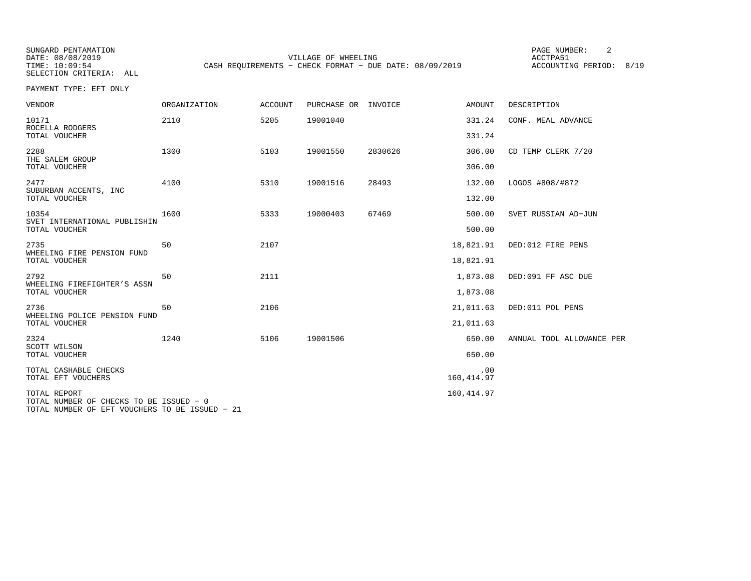SELECTION CRITERIA: ALL

SUNGARD PENTAMATION PAGE NUMBER: 2VILLAGE OF WHEELING **ACCTPA51** TIME: 10:09:54 CASH REQUIREMENTS - CHECK FORMAT - DUE DATE: 08/09/2019

ACCOUNTING PERIOD: 8/19

PAYMENT TYPE: EFT ONLY

| VENDOR                                                  | <b>ORGANIZATION</b> | <b>ACCOUNT</b> | PURCHASE OR | INVOICE | AMOUNT             | DESCRIPTION               |
|---------------------------------------------------------|---------------------|----------------|-------------|---------|--------------------|---------------------------|
| 10171<br>ROCELLA RODGERS                                | 2110                | 5205           | 19001040    |         | 331.24             | CONF. MEAL ADVANCE        |
| TOTAL VOUCHER                                           |                     |                |             |         | 331.24             |                           |
| 2288<br>THE SALEM GROUP<br>TOTAL VOUCHER                | 1300                | 5103           | 19001550    | 2830626 | 306.00<br>306.00   | CD TEMP CLERK 7/20        |
| 2477                                                    | 4100                | 5310           | 19001516    | 28493   | 132.00             | LOGOS #808/#872           |
| SUBURBAN ACCENTS, INC<br>TOTAL VOUCHER                  |                     |                |             |         | 132.00             |                           |
| 10354<br>SVET INTERNATIONAL PUBLISHIN                   | 1600                | 5333           | 19000403    | 67469   | 500.00             | SVET RUSSIAN AD-JUN       |
| TOTAL VOUCHER                                           |                     |                |             |         | 500.00             |                           |
| 2735<br>WHEELING FIRE PENSION FUND                      | 50                  | 2107           |             |         | 18,821.91          | DED:012 FIRE PENS         |
| TOTAL VOUCHER                                           |                     |                |             |         | 18,821.91          |                           |
| 2792<br>WHEELING FIREFIGHTER'S ASSN                     | 50                  | 2111           |             |         | 1,873.08           | DED:091 FF ASC DUE        |
| TOTAL VOUCHER                                           |                     |                |             |         | 1,873.08           |                           |
| 2736<br>WHEELING POLICE PENSION FUND                    | 50                  | 2106           |             |         | 21,011.63          | DED:011 POL PENS          |
| TOTAL VOUCHER                                           |                     |                |             |         | 21,011.63          |                           |
| 2324<br>SCOTT WILSON                                    | 1240                | 5106           | 19001506    |         | 650.00             | ANNUAL TOOL ALLOWANCE PER |
| TOTAL VOUCHER                                           |                     |                |             |         | 650.00             |                           |
| TOTAL CASHABLE CHECKS<br>TOTAL EFT VOUCHERS             |                     |                |             |         | .00<br>160, 414.97 |                           |
| TOTAL REPORT<br>TOTAL NUMBER OF CHECKS TO BE ISSUED - 0 |                     |                |             |         | 160, 414.97        |                           |

TOTAL NUMBER OF EFT VOUCHERS TO BE ISSUED − 21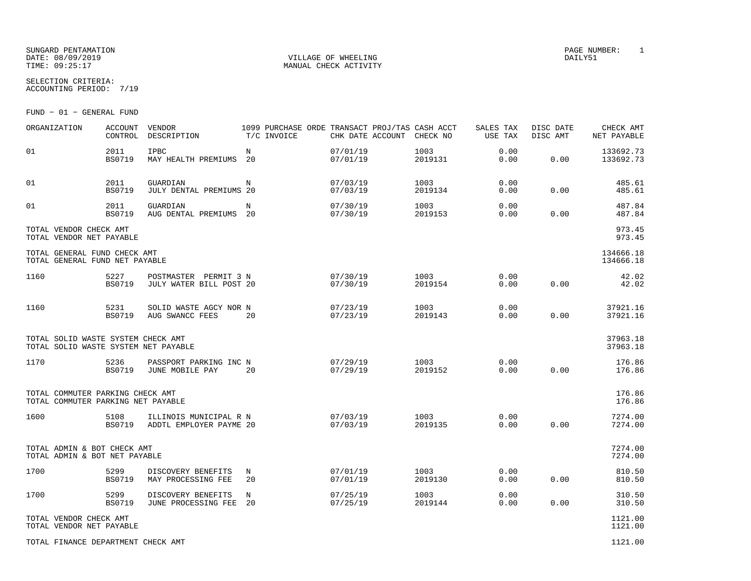### SUNGARD PENTAMATION PAGE NUMBER: 1 DATE: 08/09/2019 VILLAGE OF WHEELING DAILY51

MANUAL CHECK ACTIVITY

SELECTION CRITERIA:ACCOUNTING PERIOD: 7/19

FUND − 01 − GENERAL FUND

| ORGANIZATION                                                               | <b>ACCOUNT</b><br>CONTROL | VENDOR<br>DESCRIPTION                               | 1099 PURCHASE ORDE TRANSACT PROJ/TAS CASH ACCT<br>T/C INVOICE | CHK DATE ACCOUNT     | CHECK NO        | SALES TAX<br>USE TAX | DISC DATE<br>DISC AMT | CHECK AMT<br>NET PAYABLE |
|----------------------------------------------------------------------------|---------------------------|-----------------------------------------------------|---------------------------------------------------------------|----------------------|-----------------|----------------------|-----------------------|--------------------------|
| 01                                                                         | 2011<br><b>BS0719</b>     | <b>IPBC</b><br>MAY HEALTH PREMIUMS                  | $_{\rm N}$<br>20                                              | 07/01/19<br>07/01/19 | 1003<br>2019131 | 0.00<br>0.00         | 0.00                  | 133692.73<br>133692.73   |
| 01                                                                         | 2011<br><b>BS0719</b>     | GUARDIAN<br>JULY DENTAL PREMIUMS 20                 | N                                                             | 07/03/19<br>07/03/19 | 1003<br>2019134 | 0.00<br>0.00         | 0.00                  | 485.61<br>485.61         |
| 01                                                                         | 2011<br><b>BS0719</b>     | GUARDIAN<br>AUG DENTAL PREMIUMS                     | N<br>20                                                       | 07/30/19<br>07/30/19 | 1003<br>2019153 | 0.00<br>0.00         | 0.00                  | 487.84<br>487.84         |
| TOTAL VENDOR CHECK AMT<br>TOTAL VENDOR NET PAYABLE                         |                           |                                                     |                                                               |                      |                 |                      |                       | 973.45<br>973.45         |
| TOTAL GENERAL FUND CHECK AMT<br>TOTAL GENERAL FUND NET PAYABLE             |                           |                                                     |                                                               |                      |                 |                      |                       | 134666.18<br>134666.18   |
| 1160                                                                       | 5227<br><b>BS0719</b>     | PERMIT 3 N<br>POSTMASTER<br>JULY WATER BILL POST 20 |                                                               | 07/30/19<br>07/30/19 | 1003<br>2019154 | 0.00<br>0.00         | 0.00                  | 42.02<br>42.02           |
| 1160                                                                       | 5231<br><b>BS0719</b>     | SOLID WASTE AGCY NOR N<br>AUG SWANCC FEES           | 20                                                            | 07/23/19<br>07/23/19 | 1003<br>2019143 | 0.00<br>0.00         | 0.00                  | 37921.16<br>37921.16     |
| TOTAL SOLID WASTE SYSTEM CHECK AMT<br>TOTAL SOLID WASTE SYSTEM NET PAYABLE |                           |                                                     |                                                               |                      |                 |                      |                       | 37963.18<br>37963.18     |
| 1170                                                                       | 5236<br><b>BS0719</b>     | PASSPORT PARKING INC N<br>JUNE MOBILE PAY           | 20                                                            | 07/29/19<br>07/29/19 | 1003<br>2019152 | 0.00<br>0.00         | 0.00                  | 176.86<br>176.86         |
| TOTAL COMMUTER PARKING CHECK AMT<br>TOTAL COMMUTER PARKING NET PAYABLE     |                           |                                                     |                                                               |                      |                 |                      |                       | 176.86<br>176.86         |
| 1600                                                                       | 5108<br><b>BS0719</b>     | ILLINOIS MUNICIPAL R N<br>ADDTL EMPLOYER PAYME 20   |                                                               | 07/03/19<br>07/03/19 | 1003<br>2019135 | 0.00<br>0.00         | 0.00                  | 7274.00<br>7274.00       |
| TOTAL ADMIN & BOT CHECK AMT<br>TOTAL ADMIN & BOT NET PAYABLE               |                           |                                                     |                                                               |                      |                 |                      |                       | 7274.00<br>7274.00       |
| 1700                                                                       | 5299<br><b>BS0719</b>     | DISCOVERY BENEFITS<br>MAY PROCESSING FEE            | Ν<br>20                                                       | 07/01/19<br>07/01/19 | 1003<br>2019130 | 0.00<br>0.00         | 0.00                  | 810.50<br>810.50         |
| 1700                                                                       | 5299<br><b>BS0719</b>     | DISCOVERY BENEFITS<br>JUNE PROCESSING FEE           | N<br>20                                                       | 07/25/19<br>07/25/19 | 1003<br>2019144 | 0.00<br>0.00         | 0.00                  | 310.50<br>310.50         |
| TOTAL VENDOR CHECK AMT<br>TOTAL VENDOR NET PAYABLE                         |                           |                                                     |                                                               |                      |                 |                      |                       | 1121.00<br>1121.00       |
| TOTAL FINANCE DEPARTMENT CHECK AMT                                         |                           |                                                     |                                                               |                      |                 |                      |                       | 1121.00                  |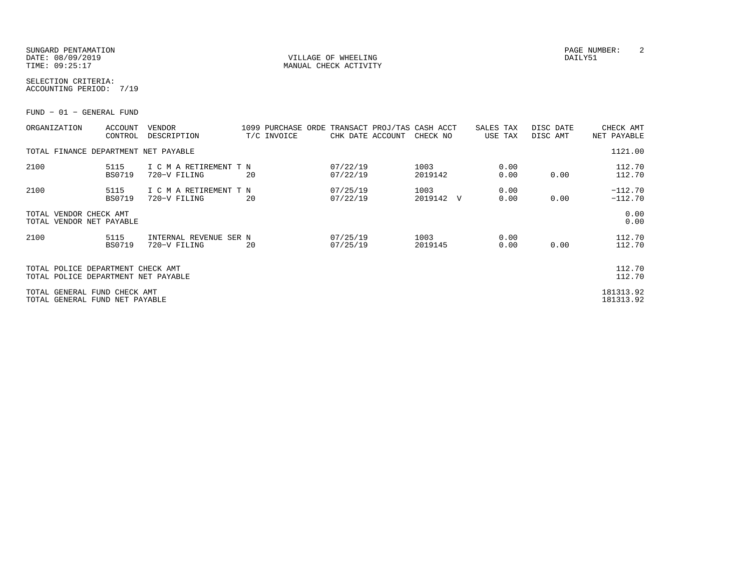### SUNGARD PENTAMATION PAGE NUMBER: 2DATE: 08/09/2019 VILLAGE OF WHEELING DAILY51

SELECTION CRITERIA:

ACCOUNTING PERIOD: 7/19

FUND − 01 − GENERAL FUND

| ORGANIZATION                                                             | ACCOUNT<br>CONTROL    | <b>VENDOR</b><br>DESCRIPTION           | T/C INVOICE | 1099 PURCHASE ORDE TRANSACT PROJ/TAS CASH ACCT<br>CHK DATE ACCOUNT | CHECK NO                       | SALES TAX<br>USE TAX | DISC DATE<br>DISC AMT | CHECK AMT<br>NET PAYABLE |
|--------------------------------------------------------------------------|-----------------------|----------------------------------------|-------------|--------------------------------------------------------------------|--------------------------------|----------------------|-----------------------|--------------------------|
| TOTAL FINANCE DEPARTMENT NET PAYABLE                                     |                       |                                        |             |                                                                    |                                |                      |                       | 1121.00                  |
| 2100                                                                     | 5115<br><b>BS0719</b> | I C M A RETIREMENT T N<br>720-V FILING | 20          | 07/22/19<br>07/22/19                                               | 1003<br>2019142                | 0.00<br>0.00         | 0.00                  | 112.70<br>112.70         |
| 2100                                                                     | 5115<br>BS0719        | I C M A RETIREMENT T N<br>720-V FILING | 20          | 07/25/19<br>07/22/19                                               | 1003<br>2019142<br>$\mathbf v$ | 0.00<br>0.00         | 0.00                  | $-112.70$<br>$-112.70$   |
| TOTAL VENDOR CHECK AMT<br>TOTAL VENDOR NET PAYABLE                       |                       |                                        |             |                                                                    |                                |                      |                       | 0.00<br>0.00             |
| 2100                                                                     | 5115<br>BS0719        | INTERNAL REVENUE SER N<br>720-V FILING | 20          | 07/25/19<br>07/25/19                                               | 1003<br>2019145                | 0.00<br>0.00         | 0.00                  | 112.70<br>112.70         |
| TOTAL POLICE DEPARTMENT CHECK AMT<br>TOTAL POLICE DEPARTMENT NET PAYABLE |                       |                                        |             |                                                                    |                                |                      |                       | 112.70<br>112.70         |
| TOTAL GENERAL FUND CHECK AMT<br>TOTAL GENERAL FUND NET PAYABLE           |                       |                                        |             |                                                                    |                                |                      |                       | 181313.92<br>181313.92   |

MANUAL CHECK ACTIVITY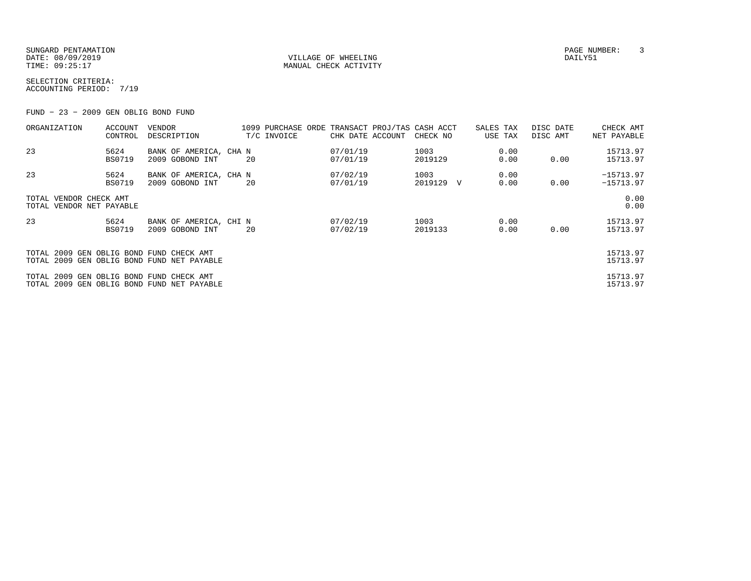SUNGARD PENTAMATION PAGE NUMBER: 3DATE: 08/09/2019 VILLAGE OF WHEELING DAILY51

MANUAL CHECK ACTIVITY

SELECTION CRITERIA:ACCOUNTING PERIOD: 7/19

FUND − 23 − 2009 GEN OBLIG BOND FUND

| ORGANIZATION                                       | <b>ACCOUNT</b><br>CONTROL | VENDOR<br>DESCRIPTION                      |    | 1099 PURCHASE ORDE TRANSACT PROJ/TAS CASH ACCT<br>T/C INVOICE | CHK DATE ACCOUNT     | CHECK NO        |   | SALES TAX<br>USE TAX | DISC DATE<br>DISC AMT | CHECK AMT<br>NET PAYABLE   |
|----------------------------------------------------|---------------------------|--------------------------------------------|----|---------------------------------------------------------------|----------------------|-----------------|---|----------------------|-----------------------|----------------------------|
| 23                                                 | 5624<br><b>BS0719</b>     | BANK OF AMERICA, CHA N<br>2009 GOBOND INT  | 20 |                                                               | 07/01/19<br>07/01/19 | 1003<br>2019129 |   | 0.00<br>0.00         | 0.00                  | 15713.97<br>15713.97       |
| 23                                                 | 5624<br><b>BS0719</b>     | BANK OF AMERICA, CHA N<br>2009 GOBOND INT  | 20 |                                                               | 07/02/19<br>07/01/19 | 1003<br>2019129 | V | 0.00<br>0.00         | 0.00                  | $-15713.97$<br>$-15713.97$ |
| TOTAL VENDOR CHECK AMT<br>TOTAL VENDOR NET PAYABLE |                           |                                            |    |                                                               |                      |                 |   |                      |                       | 0.00<br>0.00               |
| 23                                                 | 5624<br><b>BS0719</b>     | BANK OF AMERICA, CHI N<br>2009 GOBOND INT  | 20 |                                                               | 07/02/19<br>07/02/19 | 1003<br>2019133 |   | 0.00<br>0.00         | 0.00                  | 15713.97<br>15713.97       |
| TOTAL 2009 GEN OBLIG BOND FUND CHECK AMT           |                           | TOTAL 2009 GEN OBLIG BOND FUND NET PAYABLE |    |                                                               |                      |                 |   |                      |                       | 15713.97<br>15713.97       |
| TOTAL 2009 GEN OBLIG BOND FUND CHECK AMT           |                           | TOTAL 2009 GEN OBLIG BOND FUND NET PAYABLE |    |                                                               |                      |                 |   |                      |                       | 15713.97<br>15713.97       |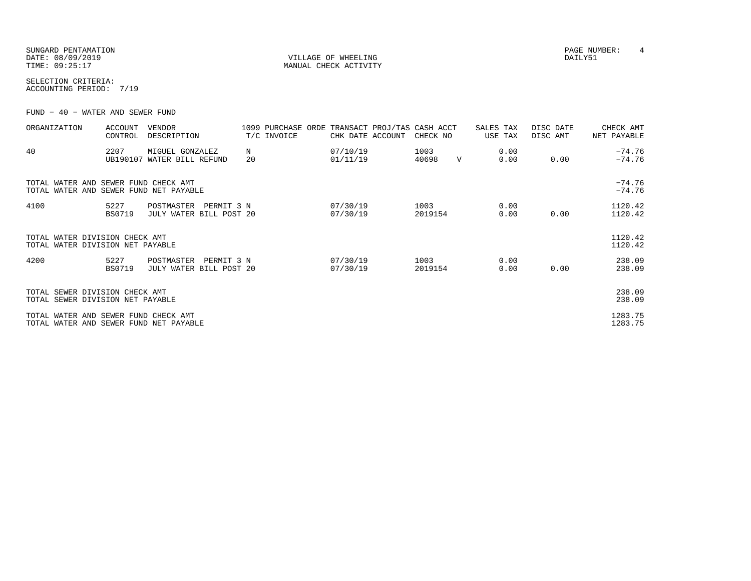| SUNGARD PENTAMATION |
|---------------------|
| DATE: 08/09/2019    |
| TIME: 09:25:17      |

VILLAGE OF WHEELING **DAILY51** MANUAL CHECK ACTIVITY

SELECTION CRITERIA:ACCOUNTING PERIOD: 7/19

FUND − 40 − WATER AND SEWER FUND

| ORGANIZATION                                                                   | <b>ACCOUNT</b><br>CONTROL | <b>VENDOR</b><br>DESCRIPTION                        |         | 1099 PURCHASE ORDE<br>T/C INVOICE | TRANSACT PROJ/TAS<br>CHK DATE ACCOUNT | CASH ACCT<br>CHECK NO |              | SALES TAX<br>USE TAX | DISC DATE<br>DISC AMT | CHECK AMT<br>NET PAYABLE |
|--------------------------------------------------------------------------------|---------------------------|-----------------------------------------------------|---------|-----------------------------------|---------------------------------------|-----------------------|--------------|----------------------|-----------------------|--------------------------|
| 40                                                                             | 2207<br>UB190107          | MIGUEL GONZALEZ<br>WATER BILL REFUND                | N<br>20 |                                   | 07/10/19<br>01/11/19                  | 1003<br>40698         | $\mathbf{V}$ | 0.00<br>0.00         | 0.00                  | $-74.76$<br>$-74.76$     |
| TOTAL WATER AND SEWER FUND CHECK AMT<br>TOTAL WATER AND SEWER FUND NET PAYABLE |                           |                                                     |         |                                   |                                       |                       |              |                      |                       | $-74.76$<br>$-74.76$     |
| 4100                                                                           | 5227<br><b>BS0719</b>     | POSTMASTER<br>PERMIT 3 N<br>JULY WATER BILL POST 20 |         |                                   | 07/30/19<br>07/30/19                  | 1003<br>2019154       |              | 0.00<br>0.00         | 0.00                  | 1120.42<br>1120.42       |
| TOTAL WATER DIVISION CHECK AMT<br>TOTAL WATER DIVISION NET PAYABLE             |                           |                                                     |         |                                   |                                       |                       |              |                      |                       | 1120.42<br>1120.42       |
| 4200                                                                           | 5227<br><b>BS0719</b>     | POSTMASTER<br>PERMIT 3 N<br>JULY WATER BILL POST 20 |         |                                   | 07/30/19<br>07/30/19                  | 1003<br>2019154       |              | 0.00<br>0.00         | 0.00                  | 238.09<br>238.09         |
| TOTAL SEWER DIVISION CHECK AMT<br>TOTAL SEWER DIVISION NET PAYABLE             |                           |                                                     |         |                                   |                                       |                       |              |                      |                       | 238.09<br>238.09         |
| TOTAL WATER AND SEWER FUND CHECK AMT<br>TOTAL WATER AND SEWER FUND NET PAYABLE |                           |                                                     |         |                                   |                                       |                       |              |                      |                       | 1283.75<br>1283.75       |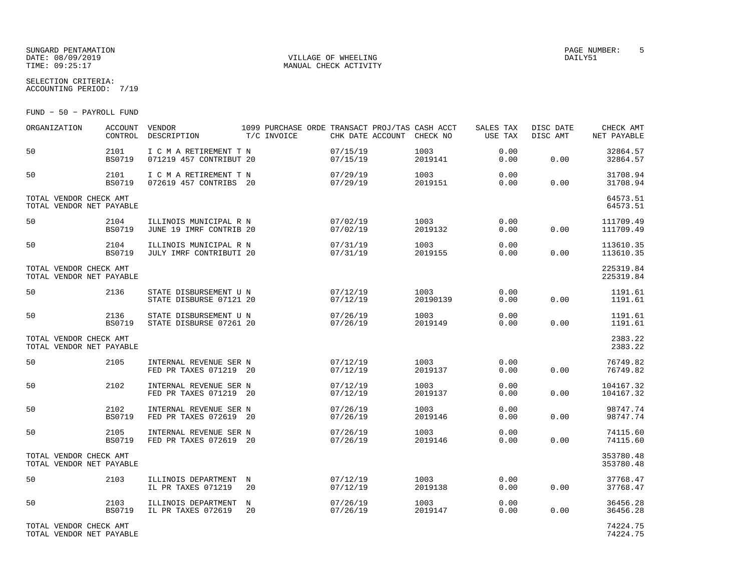#### SUNGARD PENTAMATION PAGE NUMBER: 5DATE:  $08/09/2019$  DAILY51 TIME:  $09:25:17$  MANUAL CHECK ACTIVITY

SELECTION CRITERIA:

ACCOUNTING PERIOD: 7/19

FUND − 50 − PAYROLL FUND

| ORGANIZATION                                       | <b>ACCOUNT</b><br>CONTROL | VENDOR<br>DESCRIPTION                             | T/C INVOICE      | CHK DATE ACCOUNT     | 1099 PURCHASE ORDE TRANSACT PROJ/TAS CASH ACCT<br>CHECK NO | SALES TAX<br>USE TAX | DISC DATE<br>DISC AMT | CHECK AMT<br>NET PAYABLE |
|----------------------------------------------------|---------------------------|---------------------------------------------------|------------------|----------------------|------------------------------------------------------------|----------------------|-----------------------|--------------------------|
| 50                                                 | 2101<br><b>BS0719</b>     | I C M A RETIREMENT T N<br>071219 457 CONTRIBUT 20 |                  | 07/15/19<br>07/15/19 | 1003<br>2019141                                            | 0.00<br>0.00         | 0.00                  | 32864.57<br>32864.57     |
| 50                                                 | 2101<br><b>BS0719</b>     | I C M A RETIREMENT T N<br>072619 457 CONTRIBS 20  |                  | 07/29/19<br>07/29/19 | 1003<br>2019151                                            | 0.00<br>0.00         | 0.00                  | 31708.94<br>31708.94     |
| TOTAL VENDOR CHECK AMT<br>TOTAL VENDOR NET PAYABLE |                           |                                                   |                  |                      |                                                            |                      |                       | 64573.51<br>64573.51     |
| 50                                                 | 2104<br><b>BS0719</b>     | ILLINOIS MUNICIPAL R N<br>JUNE 19 IMRF CONTRIB 20 |                  | 07/02/19<br>07/02/19 | 1003<br>2019132                                            | 0.00<br>0.00         | 0.00                  | 111709.49<br>111709.49   |
| 50                                                 | 2104<br><b>BS0719</b>     | ILLINOIS MUNICIPAL R N<br>JULY IMRF CONTRIBUTI 20 |                  | 07/31/19<br>07/31/19 | 1003<br>2019155                                            | 0.00<br>0.00         | 0.00                  | 113610.35<br>113610.35   |
| TOTAL VENDOR CHECK AMT<br>TOTAL VENDOR NET PAYABLE |                           |                                                   |                  |                      |                                                            |                      |                       | 225319.84<br>225319.84   |
| 50                                                 | 2136                      | STATE DISBURSEMENT U N<br>STATE DISBURSE 07121 20 |                  | 07/12/19<br>07/12/19 | 1003<br>20190139                                           | 0.00<br>0.00         | 0.00                  | 1191.61<br>1191.61       |
| 50                                                 | 2136<br>BS0719            | STATE DISBURSEMENT U N<br>STATE DISBURSE 07261 20 |                  | 07/26/19<br>07/26/19 | 1003<br>2019149                                            | 0.00<br>0.00         | 0.00                  | 1191.61<br>1191.61       |
| TOTAL VENDOR CHECK AMT<br>TOTAL VENDOR NET PAYABLE |                           |                                                   |                  |                      |                                                            |                      |                       | 2383.22<br>2383.22       |
| 50                                                 | 2105                      | INTERNAL REVENUE SER N<br>FED PR TAXES 071219 20  |                  | 07/12/19<br>07/12/19 | 1003<br>2019137                                            | 0.00<br>0.00         | 0.00                  | 76749.82<br>76749.82     |
| 50                                                 | 2102                      | INTERNAL REVENUE SER N<br>FED PR TAXES 071219 20  |                  | 07/12/19<br>07/12/19 | 1003<br>2019137                                            | 0.00<br>0.00         | 0.00                  | 104167.32<br>104167.32   |
| 50                                                 | 2102<br><b>BS0719</b>     | INTERNAL REVENUE SER N<br>FED PR TAXES 072619 20  |                  | 07/26/19<br>07/26/19 | 1003<br>2019146                                            | 0.00<br>0.00         | 0.00                  | 98747.74<br>98747.74     |
| 50                                                 | 2105<br><b>BS0719</b>     | INTERNAL REVENUE SER N<br>FED PR TAXES 072619 20  |                  | 07/26/19<br>07/26/19 | 1003<br>2019146                                            | 0.00<br>0.00         | 0.00                  | 74115.60<br>74115.60     |
| TOTAL VENDOR CHECK AMT<br>TOTAL VENDOR NET PAYABLE |                           |                                                   |                  |                      |                                                            |                      |                       | 353780.48<br>353780.48   |
| 50                                                 | 2103                      | ILLINOIS DEPARTMENT<br>IL PR TAXES 071219         | $_{\rm N}$<br>20 | 07/12/19<br>07/12/19 | 1003<br>2019138                                            | 0.00<br>0.00         | 0.00                  | 37768.47<br>37768.47     |
| 50                                                 | 2103<br><b>BS0719</b>     | ILLINOIS DEPARTMENT<br>IL PR TAXES 072619         | N<br>20          | 07/26/19<br>07/26/19 | 1003<br>2019147                                            | 0.00<br>0.00         | 0.00                  | 36456.28<br>36456.28     |
| TOTAL VENDOR CHECK AMT<br>TOTAL VENDOR NET PAYABLE |                           |                                                   |                  |                      |                                                            |                      |                       | 74224.75<br>74224.75     |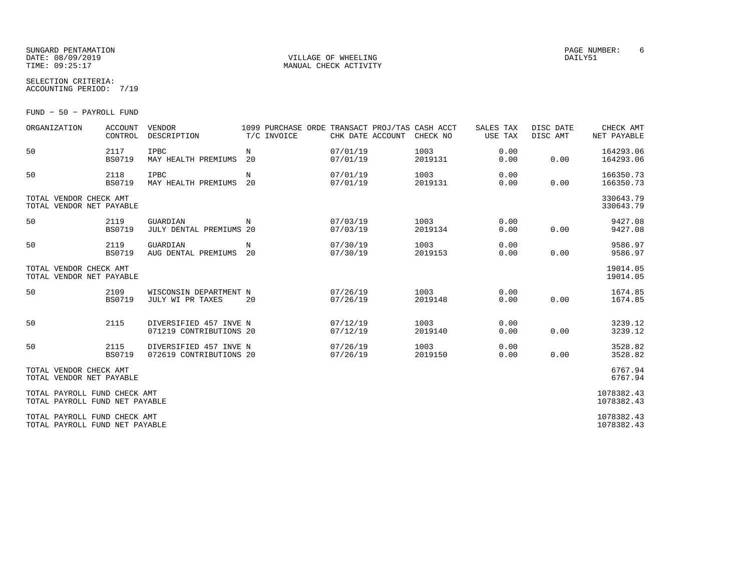### SUNGARD PENTAMATION PAGE NUMBER: 6DATE: 08/09/2019 VILLAGE OF WHEELING DAILY51

SELECTION CRITERIA:

MANUAL CHECK ACTIVITY

ACCOUNTING PERIOD: 7/19

FUND − 50 − PAYROLL FUND

| ORGANIZATION                                                   | <b>ACCOUNT</b><br>CONTROL | <b>VENDOR</b><br>DESCRIPTION                      | 1099 PURCHASE ORDE TRANSACT PROJ/TAS CASH ACCT<br>T/C INVOICE | CHK DATE ACCOUNT     | CHECK NO        | SALES TAX<br>USE TAX | DISC DATE<br>DISC AMT | CHECK AMT<br>NET PAYABLE |
|----------------------------------------------------------------|---------------------------|---------------------------------------------------|---------------------------------------------------------------|----------------------|-----------------|----------------------|-----------------------|--------------------------|
| 50                                                             | 2117<br><b>BS0719</b>     | IPBC<br>MAY HEALTH PREMIUMS                       | N<br>20                                                       | 07/01/19<br>07/01/19 | 1003<br>2019131 | 0.00<br>0.00         | 0.00                  | 164293.06<br>164293.06   |
| 50                                                             | 2118<br><b>BS0719</b>     | <b>IPBC</b><br>MAY HEALTH PREMIUMS                | N<br>20                                                       | 07/01/19<br>07/01/19 | 1003<br>2019131 | 0.00<br>0.00         | 0.00                  | 166350.73<br>166350.73   |
| TOTAL VENDOR CHECK AMT<br>TOTAL VENDOR NET PAYABLE             |                           |                                                   |                                                               |                      |                 |                      |                       | 330643.79<br>330643.79   |
| 50                                                             | 2119<br><b>BS0719</b>     | GUARDIAN<br>JULY DENTAL PREMIUMS 20               | N                                                             | 07/03/19<br>07/03/19 | 1003<br>2019134 | 0.00<br>0.00         | 0.00                  | 9427.08<br>9427.08       |
| 50                                                             | 2119<br><b>BS0719</b>     | GUARDIAN<br>AUG DENTAL PREMIUMS                   | N<br>20                                                       | 07/30/19<br>07/30/19 | 1003<br>2019153 | 0.00<br>0.00         | 0.00                  | 9586.97<br>9586.97       |
| TOTAL VENDOR CHECK AMT<br>TOTAL VENDOR NET PAYABLE             |                           |                                                   |                                                               |                      |                 |                      |                       | 19014.05<br>19014.05     |
| 50                                                             | 2109<br>BS0719            | WISCONSIN DEPARTMENT N<br>JULY WI PR TAXES        | 20                                                            | 07/26/19<br>07/26/19 | 1003<br>2019148 | 0.00<br>0.00         | 0.00                  | 1674.85<br>1674.85       |
| 50                                                             | 2115                      | DIVERSIFIED 457 INVE N<br>071219 CONTRIBUTIONS 20 |                                                               | 07/12/19<br>07/12/19 | 1003<br>2019140 | 0.00<br>0.00         | 0.00                  | 3239.12<br>3239.12       |
| 50                                                             | 2115<br><b>BS0719</b>     | DIVERSIFIED 457 INVE N<br>072619 CONTRIBUTIONS 20 |                                                               | 07/26/19<br>07/26/19 | 1003<br>2019150 | 0.00<br>0.00         | 0.00                  | 3528.82<br>3528.82       |
| TOTAL VENDOR CHECK AMT<br>TOTAL VENDOR NET PAYABLE             |                           |                                                   |                                                               |                      |                 |                      |                       | 6767.94<br>6767.94       |
| TOTAL PAYROLL FUND CHECK AMT<br>TOTAL PAYROLL FUND NET PAYABLE |                           |                                                   |                                                               |                      |                 |                      |                       | 1078382.43<br>1078382.43 |
| TOTAL PAYROLL FUND CHECK AMT<br>TOTAL PAYROLL FUND NET PAYABLE |                           |                                                   |                                                               |                      |                 |                      |                       | 1078382.43<br>1078382.43 |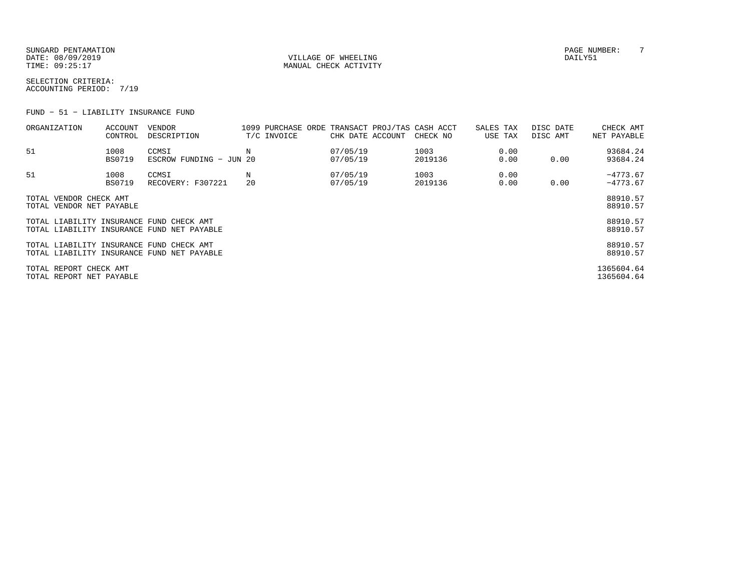SUNGARD PENTAMATION PAGE NUMBER: T DATE: 08/09/2019 VILLAGE OF WHEELING DAILY51

MANUAL CHECK ACTIVITY

SELECTION CRITERIA:ACCOUNTING PERIOD: 7/19

FUND − 51 − LIABILITY INSURANCE FUND

| ORGANIZATION                                       | ACCOUNT<br>CONTROL    | VENDOR<br>DESCRIPTION                      |         | T/C INVOICE | CHK DATE ACCOUNT     | 1099 PURCHASE ORDE TRANSACT PROJ/TAS CASH ACCT<br>CHECK NO | SALES TAX<br>USE TAX | DISC DATE<br>DISC AMT | CHECK AMT<br>NET PAYABLE |
|----------------------------------------------------|-----------------------|--------------------------------------------|---------|-------------|----------------------|------------------------------------------------------------|----------------------|-----------------------|--------------------------|
| 51                                                 | 1008<br><b>BS0719</b> | CCMSI<br>ESCROW FUNDING - JUN 20           | N       |             | 07/05/19<br>07/05/19 | 1003<br>2019136                                            | 0.00<br>0.00         | 0.00                  | 93684.24<br>93684.24     |
| 51                                                 | 1008<br><b>BS0719</b> | CCMSI<br>RECOVERY: F307221                 | N<br>20 |             | 07/05/19<br>07/05/19 | 1003<br>2019136                                            | 0.00<br>0.00         | 0.00                  | $-4773.67$<br>$-4773.67$ |
| TOTAL VENDOR CHECK AMT<br>TOTAL VENDOR NET PAYABLE |                       |                                            |         |             |                      |                                                            |                      |                       | 88910.57<br>88910.57     |
| TOTAL LIABILITY INSURANCE FUND CHECK AMT           |                       | TOTAL LIABILITY INSURANCE FUND NET PAYABLE |         |             |                      |                                                            |                      |                       | 88910.57<br>88910.57     |
| TOTAL LIABILITY INSURANCE FUND CHECK AMT           |                       | TOTAL LIABILITY INSURANCE FUND NET PAYABLE |         |             |                      |                                                            |                      |                       | 88910.57<br>88910.57     |
| TOTAL REPORT CHECK AMT<br>TOTAL REPORT NET PAYABLE |                       |                                            |         |             |                      |                                                            |                      |                       | 1365604.64<br>1365604.64 |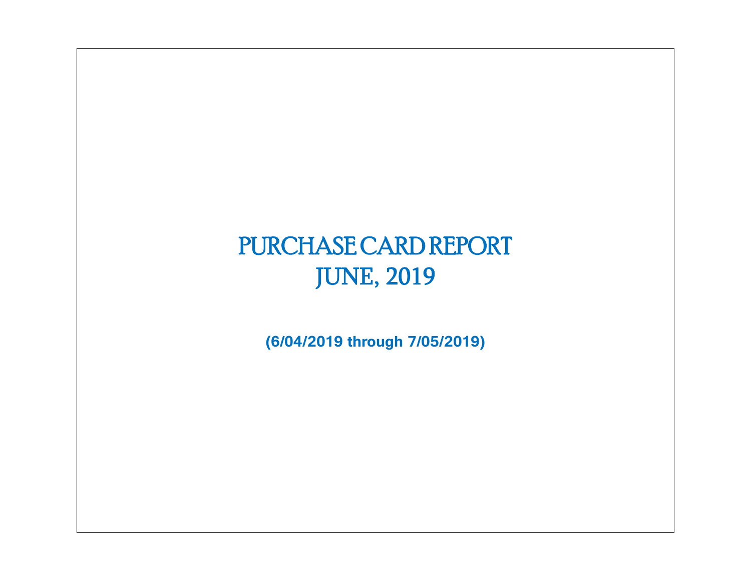# PURCHASE CARD REPORT JUNE, 2019

**(6/04/2019 through 7/05/2019)**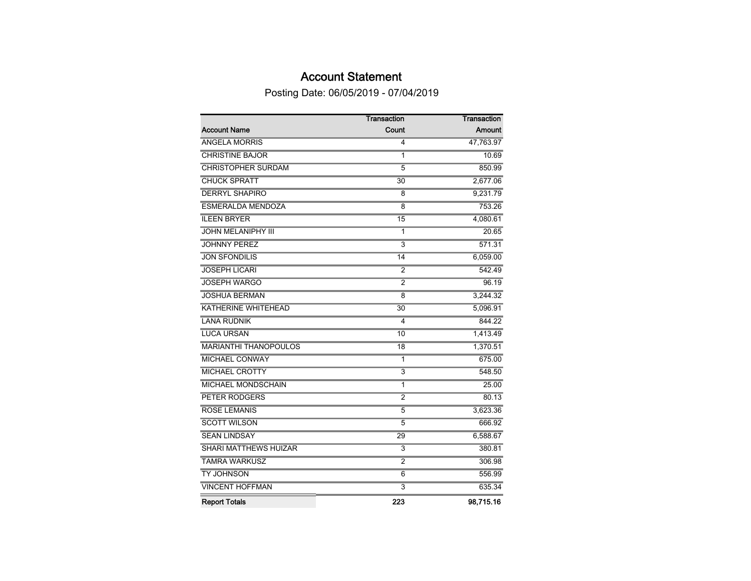### Account Statement

Posting Date: 06/05/2019 - 07/04/2019

|                              | Transaction             | Transaction   |
|------------------------------|-------------------------|---------------|
| <b>Account Name</b>          | Count                   | <b>Amount</b> |
| <b>ANGELA MORRIS</b>         | 4                       | 47,763.97     |
| <b>CHRISTINE BAJOR</b>       | 1                       | 10.69         |
| <b>CHRISTOPHER SURDAM</b>    | $\overline{5}$          | 850.99        |
| <b>CHUCK SPRATT</b>          | 30                      | 2,677.06      |
| <b>DERRYL SHAPIRO</b>        | 8                       | 9,231.79      |
| <b>ESMERALDA MENDOZA</b>     | 8                       | 753.26        |
| <b>ILEEN BRYER</b>           | 15                      | 4,080.61      |
| <b>JOHN MELANIPHY III</b>    | 1                       | 20.65         |
| <b>JOHNNY PEREZ</b>          | 3                       | 571.31        |
| <b>JON SFONDILIS</b>         | 14                      | 6,059.00      |
| <b>JOSEPH LICARI</b>         | $\overline{2}$          | 542.49        |
| <b>JOSEPH WARGO</b>          | $\overline{2}$          | 96.19         |
| <b>JOSHUA BERMAN</b>         | $\overline{8}$          | 3,244.32      |
| KATHERINE WHITEHEAD          | $\overline{30}$         | 5,096.91      |
| <b>LANA RUDNIK</b>           | 4                       | 844.22        |
| <b>LUCA URSAN</b>            | 10                      | 1,413.49      |
| <b>MARIANTHI THANOPOULOS</b> | $\overline{18}$         | 1,370.51      |
| <b>MICHAEL CONWAY</b>        | 1                       | 675.00        |
| <b>MICHAEL CROTTY</b>        | $\overline{\mathbf{3}}$ | 548.50        |
| <b>MICHAEL MONDSCHAIN</b>    | 1                       | 25.00         |
| <b>PETER RODGERS</b>         | $\overline{2}$          | 80.13         |
| <b>ROSE LEMANIS</b>          | 5                       | 3,623.36      |
| <b>SCOTT WILSON</b>          | $\overline{5}$          | 666.92        |
| <b>SEAN LINDSAY</b>          | 29                      | 6,588.67      |
| <b>SHARI MATTHEWS HUIZAR</b> | $\overline{3}$          | 380.81        |
| <b>TAMRA WARKUSZ</b>         | $\overline{2}$          | 306.98        |
| <b>TY JOHNSON</b>            | 6                       | 556.99        |
| <b>VINCENT HOFFMAN</b>       | $\overline{3}$          | 635.34        |
| <b>Report Totals</b>         | 223                     | 98,715.16     |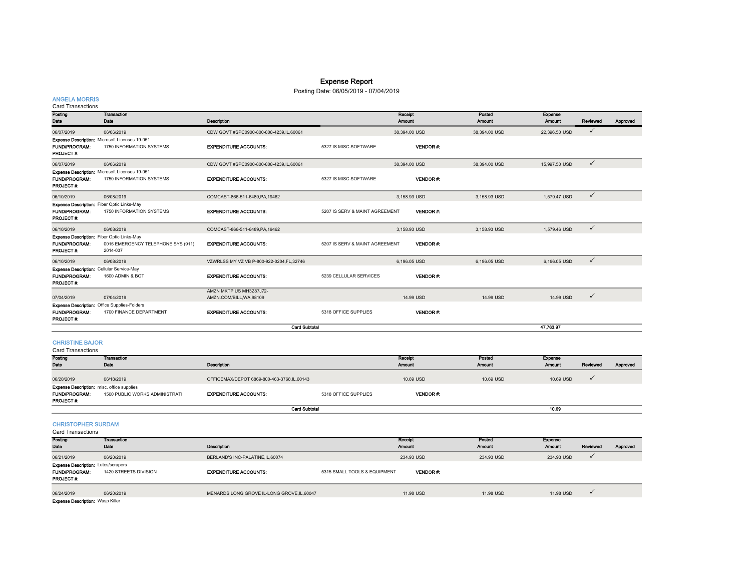### Expense Report

### Posting Date: 06/05/2019 - 07/04/2019

### ANGELA MORRIS<br>Card Transactions

| Card Transactions                 |                                                     |                                          |                                |                   |                         |                          |              |          |
|-----------------------------------|-----------------------------------------------------|------------------------------------------|--------------------------------|-------------------|-------------------------|--------------------------|--------------|----------|
| Posting<br>Date                   | Transaction<br>Date                                 | Description                              |                                | Receipt<br>Amount | Posted<br><b>Amount</b> | <b>Expense</b><br>Amount | Reviewed     | Approved |
| 06/07/2019                        | 06/06/2019                                          | CDW GOVT #SPC0900-800-808-4239,IL,60061  |                                | 38,394.00 USD     | 38,394.00 USD           | 22,396.50 USD            | $\checkmark$ |          |
|                                   | Expense Description: Microsoft Licenses 19-051      |                                          |                                |                   |                         |                          |              |          |
| <b>FUND/PROGRAM:</b>              | 1750 INFORMATION SYSTEMS                            | <b>EXPENDITURE ACCOUNTS:</b>             | 5327 IS MISC SOFTWARE          | <b>VENDOR#:</b>   |                         |                          |              |          |
| PROJECT#:                         |                                                     |                                          |                                |                   |                         |                          |              |          |
| 06/07/2019                        | 06/06/2019                                          | CDW GOVT #SPC0900-800-808-4239,IL,60061  |                                | 38,394.00 USD     | 38,394.00 USD           | 15,997.50 USD            | $\checkmark$ |          |
|                                   | Expense Description: Microsoft Licenses 19-051      |                                          |                                |                   |                         |                          |              |          |
| <b>FUND/PROGRAM:</b><br>PROJECT#: | 1750 INFORMATION SYSTEMS                            | <b>EXPENDITURE ACCOUNTS:</b>             | 5327 IS MISC SOFTWARE          | <b>VENDOR#:</b>   |                         |                          |              |          |
| 06/10/2019                        | 06/08/2019                                          | COMCAST-866-511-6489.PA.19462            |                                | 3.158.93 USD      | 3.158.93 USD            | 1.579.47 USD             | $\checkmark$ |          |
|                                   | <b>Expense Description:</b> Fiber Optic Links-May   |                                          |                                |                   |                         |                          |              |          |
| FUND/PROGRAM:                     | 1750 INFORMATION SYSTEMS                            | <b>EXPENDITURE ACCOUNTS:</b>             | 5207 IS SERV & MAINT AGREEMENT | <b>VENDOR#:</b>   |                         |                          |              |          |
| PROJECT #:                        |                                                     |                                          |                                |                   |                         |                          |              |          |
| 06/10/2019                        | 06/08/2019                                          | COMCAST-866-511-6489.PA.19462            |                                | 3,158.93 USD      | 3,158.93 USD            | 1,579.46 USD             | $\checkmark$ |          |
|                                   | <b>Expense Description:</b> Fiber Optic Links-May   |                                          |                                |                   |                         |                          |              |          |
| <b>FUND/PROGRAM:</b>              | 0015 EMERGENCY TELEPHONE SYS (911)                  | <b>EXPENDITURE ACCOUNTS:</b>             | 5207 IS SERV & MAINT AGREEMENT | <b>VENDOR#:</b>   |                         |                          |              |          |
| PROJECT#:                         | 2014-037                                            |                                          |                                |                   |                         |                          |              |          |
| 06/10/2019                        | 06/08/2019                                          | VZWRLSS MY VZ VB P-800-922-0204.FL.32746 |                                | 6.196.05 USD      | 6.196.05 USD            | 6.196.05 USD             | $\checkmark$ |          |
|                                   | <b>Expense Description: Cellular Service-May</b>    |                                          |                                |                   |                         |                          |              |          |
| <b>FUND/PROGRAM:</b>              | 1600 ADMIN & BOT                                    | <b>EXPENDITURE ACCOUNTS:</b>             | 5239 CELLULAR SERVICES         | <b>VENDOR#:</b>   |                         |                          |              |          |
| PROJECT#:                         |                                                     |                                          |                                |                   |                         |                          |              |          |
|                                   |                                                     | AMZN MKTP US MH3Z87J72-                  |                                |                   |                         |                          |              |          |
| 07/04/2019                        | 07/04/2019                                          | AMZN.COM/BILL, WA, 98109                 |                                | 14.99 USD         | 14.99 USD               | 14.99 USD                | $\checkmark$ |          |
|                                   | <b>Expense Description:</b> Office Supplies-Folders |                                          |                                |                   |                         |                          |              |          |
| <b>FUND/PROGRAM:</b>              | 1700 FINANCE DEPARTMENT                             | <b>EXPENDITURE ACCOUNTS:</b>             | 5318 OFFICE SUPPLIES           | VENDOR#:          |                         |                          |              |          |
| PROJECT#:                         |                                                     |                                          |                                |                   |                         |                          |              |          |
|                                   |                                                     | <b>Card Subtotal</b>                     |                                |                   |                         | 47.763.97                |              |          |
|                                   |                                                     |                                          |                                |                   |                         |                          |              |          |

#### CHRISTINE BAJOR

Card Transactions

| Posting<br>Date                                                                               | <b>Transaction</b><br>Date     | Description                                |                      | Receipt<br>Amount | Posted<br><b>Amount</b> | <b>Expense</b><br><b>Amount</b> | Reviewed | Approved |
|-----------------------------------------------------------------------------------------------|--------------------------------|--------------------------------------------|----------------------|-------------------|-------------------------|---------------------------------|----------|----------|
| 06/20/2019                                                                                    | 06/18/2019                     | OFFICEMAX/DEPOT 6869-800-463-3768,IL,60143 |                      | 10.69 USD         | 10.69 USD               | 10.69 USD                       |          |          |
| <b>Expense Description:</b> misc. office supplies<br><b>FUND/PROGRAM:</b><br><b>PROJECT#:</b> | 1500 PUBLIC WORKS ADMINISTRATI | <b>EXPENDITURE ACCOUNTS:</b>               | 5318 OFFICE SUPPLIES | <b>VENDOR#:</b>   |                         |                                 |          |          |
|                                                                                               |                                | <b>Card Subtotal</b>                       |                      |                   |                         | 10.69                           |          |          |

CHRISTOPHER SURDAM

| Card Transactions                          |                       |                                             |                              |                 |               |               |          |          |
|--------------------------------------------|-----------------------|---------------------------------------------|------------------------------|-----------------|---------------|---------------|----------|----------|
| Posting                                    | Transaction           |                                             |                              | Receipt         | Posted        | Expense       |          |          |
| Date                                       | Date                  | Description                                 |                              | <b>Amount</b>   | <b>Amount</b> | <b>Amount</b> | Reviewed | Approved |
| 06/21/2019                                 | 06/20/2019            | BERLAND'S INC-PALATINE.IL.60074             |                              | 234.93 USD      | 234.93 USD    | 234.93 USD    |          |          |
| <b>Expense Description: Lutes/scrapers</b> |                       |                                             |                              |                 |               |               |          |          |
| <b>FUND/PROGRAM:</b>                       | 1420 STREETS DIVISION | <b>EXPENDITURE ACCOUNTS:</b>                | 5315 SMALL TOOLS & EQUIPMENT | <b>VENDOR#:</b> |               |               |          |          |
| <b>PROJECT #:</b>                          |                       |                                             |                              |                 |               |               |          |          |
|                                            |                       |                                             |                              |                 |               |               |          |          |
| 06/24/2019                                 | 06/20/2019            | MENARDS LONG GROVE IL-LONG GROVE, IL, 60047 |                              | 11.98 USD       | 11.98 USD     | 11.98 USD     |          |          |
| <b>Expense Description: Wasp Killer</b>    |                       |                                             |                              |                 |               |               |          |          |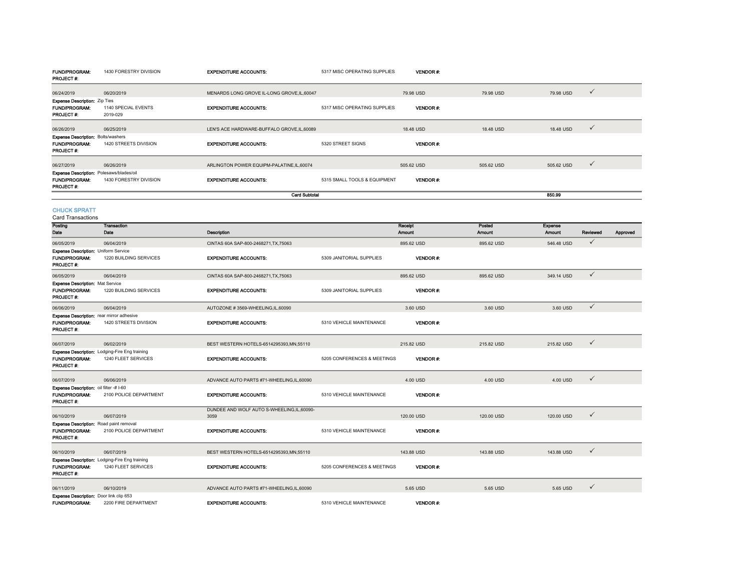| PROJECT #:                                                                     |                                                                       |                                                     |                              |                   |                  |                   |              |          |
|--------------------------------------------------------------------------------|-----------------------------------------------------------------------|-----------------------------------------------------|------------------------------|-------------------|------------------|-------------------|--------------|----------|
| 06/24/2019                                                                     | 06/20/2019                                                            | MENARDS LONG GROVE IL-LONG GROVE, IL, 60047         |                              | 79.98 USD         | 79.98 USD        | 79.98 USD         | ✓            |          |
| <b>Expense Description: Zip Ties</b>                                           |                                                                       |                                                     |                              |                   |                  |                   |              |          |
| FUND/PROGRAM:<br>PROJECT#:                                                     | 1140 SPECIAL EVENTS<br>2019-029                                       | <b>EXPENDITURE ACCOUNTS:</b>                        | 5317 MISC OPERATING SUPPLIES | <b>VENDOR#:</b>   |                  |                   |              |          |
| 06/26/2019                                                                     | 06/25/2019                                                            | LEN'S ACE HARDWARE-BUFFALO GROVE,IL,60089           |                              | 18.48 USD         | 18.48 USD        | 18.48 USD         | ✓            |          |
| <b>Expense Description: Bolts/washers</b><br>FUND/PROGRAM:<br>PROJECT#:        | 1420 STREETS DIVISION                                                 | <b>EXPENDITURE ACCOUNTS:</b>                        | 5320 STREET SIGNS            | <b>VENDOR#:</b>   |                  |                   |              |          |
| 06/27/2019                                                                     | 06/26/2019                                                            | ARLINGTON POWER EQUIPM-PALATINE,IL,60074            |                              | 505.62 USD        | 505.62 USD       | 505.62 USD        | $\checkmark$ |          |
| Expense Description: Polesaws/blades/oil<br><b>FUND/PROGRAM:</b><br>PROJECT #: | 1430 FORESTRY DIVISION                                                | <b>EXPENDITURE ACCOUNTS:</b>                        | 5315 SMALL TOOLS & EQUIPMENT | VENDOR#:          |                  |                   |              |          |
|                                                                                |                                                                       | <b>Card Subtotal</b>                                |                              |                   |                  | 850.99            |              |          |
| <b>CHUCK SPRATT</b><br><b>Card Transactions</b>                                |                                                                       |                                                     |                              |                   |                  |                   |              |          |
| Posting<br>Date                                                                | <b>Transaction</b><br>Date                                            | Description                                         |                              | Receipt<br>Amount | Posted<br>Amount | Expense<br>Amount | Reviewed     | Approved |
| 06/05/2019                                                                     | 06/04/2019                                                            | CINTAS 60A SAP-800-2468271, TX, 75063               |                              | 895.62 USD        | 895.62 USD       | 546.48 USD        | ✓            |          |
| Expense Description: Uniform Service<br>FUND/PROGRAM:<br>PROJECT#:             | 1220 BUILDING SERVICES                                                | <b>EXPENDITURE ACCOUNTS:</b>                        | 5309 JANITORIAL SUPPLIES     | <b>VENDOR#:</b>   |                  |                   |              |          |
| 06/05/2019                                                                     | 06/04/2019                                                            | CINTAS 60A SAP-800-2468271.TX.75063                 |                              | 895.62 USD        | 895.62 USD       | 349.14 USD        | $\checkmark$ |          |
| <b>Expense Description: Mat Service</b><br>FUND/PROGRAM:<br>PROJECT#:          | 1220 BUILDING SERVICES                                                | <b>EXPENDITURE ACCOUNTS:</b>                        | 5309 JANITORIAL SUPPLIES     | VENDOR#:          |                  |                   |              |          |
| 06/06/2019                                                                     | 06/04/2019                                                            | AUTOZONE #3569-WHEELING,IL,60090                    |                              | 3.60 USD          | 3.60 USD         | 3.60 USD          | $\checkmark$ |          |
| Expense Description: rear mirror adhesive<br>FUND/PROGRAM:<br>PROJECT#:        | 1420 STREETS DIVISION                                                 | <b>EXPENDITURE ACCOUNTS:</b>                        | 5310 VEHICLE MAINTENANCE     | <b>VENDOR#:</b>   |                  |                   |              |          |
| 06/07/2019                                                                     | 06/02/2019                                                            | BEST WESTERN HOTELS-6514295393, MN, 55110           |                              | 215.82 USD        | 215.82 USD       | 215.82 USD        | ✓            |          |
| <b>FUND/PROGRAM:</b><br>PROJECT#:                                              | Expense Description: Lodging-Fire Eng training<br>1240 FLEET SERVICES | <b>EXPENDITURE ACCOUNTS:</b>                        | 5205 CONFERENCES & MEETINGS  | <b>VENDOR#:</b>   |                  |                   |              |          |
| 06/07/2019                                                                     | 06/06/2019                                                            | ADVANCE AUTO PARTS #71-WHEELING.IL.60090            |                              | 4.00 USD          | 4.00 USD         | 4.00 USD          | $\checkmark$ |          |
| Expense Description: oil filter # I-60<br>FUND/PROGRAM:<br>PROJECT#:           | 2100 POLICE DEPARTMENT                                                | <b>EXPENDITURE ACCOUNTS:</b>                        | 5310 VEHICLE MAINTENANCE     | VENDOR#:          |                  |                   |              |          |
| 06/10/2019                                                                     | 06/07/2019                                                            | DUNDEE AND WOLF AUTO S-WHEELING, IL, 60090-<br>3059 |                              | 120.00 USD        | 120.00 USD       | 120.00 USD        | $\checkmark$ |          |
| Expense Description: Road paint removal<br>FUND/PROGRAM:<br>PROJECT#:          | 2100 POLICE DEPARTMENT                                                | <b>EXPENDITURE ACCOUNTS:</b>                        | 5310 VEHICLE MAINTENANCE     | VENDOR#:          |                  |                   |              |          |
| 06/10/2019                                                                     | 06/07/2019                                                            | BEST WESTERN HOTELS-6514295393, MN, 55110           |                              | 143.88 USD        | 143.88 USD       | 143.88 USD        | ✓            |          |
| FUND/PROGRAM:<br>PROJECT#:                                                     | Expense Description: Lodging-Fire Eng training<br>1240 FLEET SERVICES | <b>EXPENDITURE ACCOUNTS:</b>                        | 5205 CONFERENCES & MEETINGS  | <b>VENDOR#:</b>   |                  |                   |              |          |
| 06/11/2019                                                                     | 06/10/2019                                                            | ADVANCE AUTO PARTS #71-WHEELING,IL,60090            |                              | 5.65 USD          | 5.65 USD         | 5.65 USD          | ✓            |          |
| <b>Expense Description:</b> Door link clip 653<br><b>FUND/PROGRAM:</b>         | 2200 FIRE DEPARTMENT                                                  | <b>EXPENDITURE ACCOUNTS:</b>                        | 5310 VEHICLE MAINTENANCE     | <b>VENDOR#:</b>   |                  |                   |              |          |

EXPENDITURE ACCOUNTS: 5317 MISC OPERATING SUPPLIES VENDOR #:

FUND/PROGRAM: 1430 FORESTRY DIVISION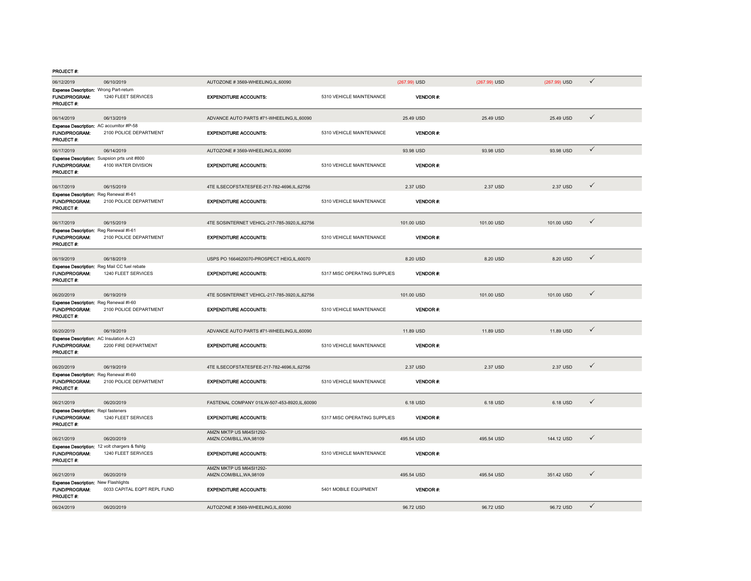#### PROJECT #:

| 06/12/2019                                                                         | 06/10/2019                  | AUTOZONE #3569-WHEELING,IL,60090                    |                              | (267.99) USD    | $(267.99)$ USD | (267.99) USD | $\checkmark$ |  |
|------------------------------------------------------------------------------------|-----------------------------|-----------------------------------------------------|------------------------------|-----------------|----------------|--------------|--------------|--|
| Expense Description: Wrong Part-return                                             |                             |                                                     |                              |                 |                |              |              |  |
| FUND/PROGRAM:<br>PROJECT #:                                                        | 1240 FLEET SERVICES         | <b>EXPENDITURE ACCOUNTS:</b>                        | 5310 VEHICLE MAINTENANCE     | VENDOR#:        |                |              |              |  |
| 06/14/2019                                                                         | 06/13/2019                  | ADVANCE AUTO PARTS #71-WHEELING,IL,60090            |                              | 25.49 USD       | 25.49 USD      | 25.49 USD    | $\checkmark$ |  |
| Expense Description: AC accumitor #P-58<br><b>FUND/PROGRAM:</b><br>PROJECT #:      | 2100 POLICE DEPARTMENT      | <b>EXPENDITURE ACCOUNTS:</b>                        | 5310 VEHICLE MAINTENANCE     | VENDOR#:        |                |              |              |  |
| 06/17/2019                                                                         | 06/14/2019                  | AUTOZONE #3569-WHEELING,IL,60090                    |                              | 93.98 USD       | 93.98 USD      | 93.98 USD    | $\checkmark$ |  |
| Expense Description: Suspsion prts unit #800<br><b>FUND/PROGRAM:</b><br>PROJECT #: | 4100 WATER DIVISION         | <b>EXPENDITURE ACCOUNTS:</b>                        | 5310 VEHICLE MAINTENANCE     | VENDOR#:        |                |              |              |  |
| 06/17/2019                                                                         | 06/15/2019                  | 4TE ILSECOFSTATESFEE-217-782-4696,IL,62756          |                              | 2.37 USD        | 2.37 USD       | 2.37 USD     | $\checkmark$ |  |
| Expense Description: Reg Renewal #I-61<br>FUND/PROGRAM:<br>PROJECT #:              | 2100 POLICE DEPARTMENT      | <b>EXPENDITURE ACCOUNTS:</b>                        | 5310 VEHICLE MAINTENANCE     | VENDOR #:       |                |              |              |  |
| 06/17/2019                                                                         | 06/15/2019                  | 4TE SOSINTERNET VEHICL-217-785-3920,IL,62756        |                              | 101.00 USD      | 101.00 USD     | 101.00 USD   | $\checkmark$ |  |
| Expense Description: Reg Renewal #I-61<br>FUND/PROGRAM:<br>PROJECT#:               | 2100 POLICE DEPARTMENT      | <b>EXPENDITURE ACCOUNTS:</b>                        | 5310 VEHICLE MAINTENANCE     | <b>VENDOR#:</b> |                |              |              |  |
| 06/19/2019                                                                         | 06/18/2019                  | USPS PO 1664620070-PROSPECT HEIG,IL,60070           |                              | 8.20 USD        | 8.20 USD       | 8.20 USD     | $\checkmark$ |  |
| Expense Description: Reg Mail CC fuel rebate<br>FUND/PROGRAM:<br>PROJECT #:        | 1240 FLEET SERVICES         | <b>EXPENDITURE ACCOUNTS:</b>                        | 5317 MISC OPERATING SUPPLIES | <b>VENDOR#:</b> |                |              |              |  |
| 06/20/2019                                                                         | 06/19/2019                  | 4TE SOSINTERNET VEHICL-217-785-3920,IL,62756        |                              | 101.00 USD      | 101.00 USD     | 101.00 USD   | $\checkmark$ |  |
| Expense Description: Reg Renewal #I-60<br><b>FUND/PROGRAM:</b><br>PROJECT #:       | 2100 POLICE DEPARTMENT      | <b>EXPENDITURE ACCOUNTS:</b>                        | 5310 VEHICLE MAINTENANCE     | <b>VENDOR#</b>  |                |              |              |  |
| 06/20/2019                                                                         | 06/19/2019                  | ADVANCE AUTO PARTS #71-WHEELING,IL,60090            |                              | 11.89 USD       | 11.89 USD      | 11.89 USD    | $\checkmark$ |  |
| Expense Description: AC Insulation A-23<br>FUND/PROGRAM:<br>PROJECT #:             | 2200 FIRE DEPARTMENT        | <b>EXPENDITURE ACCOUNTS:</b>                        | 5310 VEHICLE MAINTENANCE     | <b>VENDOR#:</b> |                |              |              |  |
| 06/20/2019                                                                         | 06/19/2019                  | 4TE ILSECOFSTATESFEE-217-782-4696,IL,62756          |                              | 2.37 USD        | 2.37 USD       | 2.37 USD     | $\checkmark$ |  |
| Expense Description: Reg Renewal #I-60<br>FUND/PROGRAM:<br>PROJECT#:               | 2100 POLICE DEPARTMENT      | <b>EXPENDITURE ACCOUNTS:</b>                        | 5310 VEHICLE MAINTENANCE     | <b>VENDOR#:</b> |                |              |              |  |
| 06/21/2019                                                                         | 06/20/2019                  | FASTENAL COMPANY 01ILW-507-453-8920, IL, 60090      |                              | 6.18 USD        | 6.18 USD       | 6.18 USD     | $\checkmark$ |  |
| <b>Expense Description: Repl fasteners</b><br><b>FUND/PROGRAM:</b><br>PROJECT #:   | 1240 FLEET SERVICES         | <b>EXPENDITURE ACCOUNTS:</b>                        | 5317 MISC OPERATING SUPPLIES | <b>VENDOR#:</b> |                |              |              |  |
| 06/21/2019                                                                         | 06/20/2019                  | AMZN MKTP US M64SI1292-<br>AMZN.COM/BILL, WA, 98109 |                              | 495.54 USD      | 495.54 USD     | 144.12 USD   | $\checkmark$ |  |
| Expense Description: 12 volt chargers & fishlg<br>FUND/PROGRAM:<br>PROJECT #:      | 1240 FLEET SERVICES         | <b>EXPENDITURE ACCOUNTS:</b>                        | 5310 VEHICLE MAINTENANCE     | <b>VENDOR#:</b> |                |              |              |  |
| 06/21/2019                                                                         | 06/20/2019                  | AMZN MKTP US M64SI1292-<br>AMZN.COM/BILL, WA, 98109 |                              | 495.54 USD      | 495.54 USD     | 351.42 USD   | $\checkmark$ |  |
| <b>Expense Description: New Flashlights</b><br>FUND/PROGRAM.<br>PROJECT #:         | 0033 CAPITAL EQPT REPL FUND | <b>EXPENDITURE ACCOUNTS:</b>                        | 5401 MOBILE EQUIPMENT        | VENDOR#:        |                |              |              |  |
| 06/24/2019                                                                         | 06/20/2019                  | AUTOZONE #3569-WHEELING,IL,60090                    |                              | 96.72 USD       | 96.72 USD      | 96.72 USD    | $\checkmark$ |  |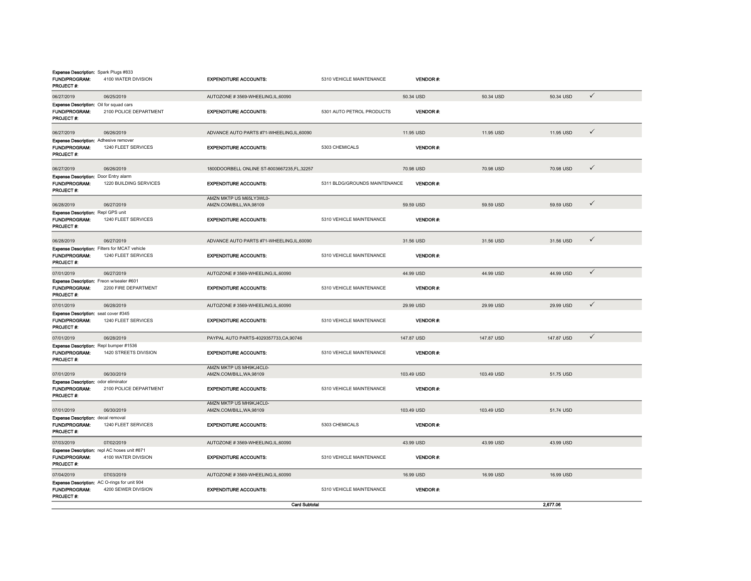| Expense Description: Spark Plugs #833<br>FUND/PROGRAM:<br>PROJECT#:          | 4100 WATER DIVISION                                                         | <b>EXPENDITURE ACCOUNTS:</b>                        | 5310 VEHICLE MAINTENANCE      | <b>VENDOR#:</b> |            |            |              |
|------------------------------------------------------------------------------|-----------------------------------------------------------------------------|-----------------------------------------------------|-------------------------------|-----------------|------------|------------|--------------|
| 06/27/2019                                                                   | 06/25/2019                                                                  | AUTOZONE #3569-WHEELING.IL.60090                    |                               | 50.34 USD       | 50.34 USD  | 50.34 USD  | $\checkmark$ |
| <b>Expense Description:</b> Oil for squad cars<br>FUND/PROGRAM:<br>PROJECT#: | 2100 POLICE DEPARTMENT                                                      | <b>EXPENDITURE ACCOUNTS:</b>                        | 5301 AUTO PETROL PRODUCTS     | <b>VENDOR#:</b> |            |            |              |
| 06/27/2019                                                                   | 06/26/2019                                                                  | ADVANCE AUTO PARTS #71-WHEELING,IL,60090            |                               | 11.95 USD       | 11.95 USD  | 11.95 USD  | $\checkmark$ |
| Expense Description: Adhesive remover<br><b>FUND/PROGRAM:</b><br>PROJECT #:  | 1240 FLEET SERVICES                                                         | <b>EXPENDITURE ACCOUNTS:</b>                        | 5303 CHEMICALS                | VENDOR#:        |            |            |              |
| 06/27/2019                                                                   | 06/26/2019                                                                  | 1800DOORBELL ONLINE ST-8003667235,FL,32257          |                               | 70.98 USD       | 70.98 USD  | 70.98 USD  | ✓            |
| Expense Description: Door Entry alarm<br>FUND/PROGRAM:<br><b>PROJECT #:</b>  | 1220 BUILDING SERVICES                                                      | <b>EXPENDITURE ACCOUNTS:</b>                        | 5311 BLDG/GROUNDS MAINTENANCE | VENDOR#:        |            |            |              |
| 06/28/2019                                                                   | 06/27/2019                                                                  | AMZN MKTP US M65LY3WL0-<br>AMZN.COM/BILL, WA, 98109 |                               | 59.59 USD       | 59.59 USD  | 59.59 USD  | $\checkmark$ |
| Expense Description: Repl GPS unit<br>FUND/PROGRAM:<br>PROJECT #:            | 1240 FLEET SERVICES                                                         | <b>EXPENDITURE ACCOUNTS:</b>                        | 5310 VEHICLE MAINTENANCE      | <b>VENDOR#:</b> |            |            |              |
| 06/28/2019                                                                   | 06/27/2019                                                                  | ADVANCE AUTO PARTS #71-WHEELING,IL,60090            |                               | 31.56 USD       | 31.56 USD  | 31.56 USD  | $\checkmark$ |
| FUND/PROGRAM:<br>PROJECT#:                                                   | <b>Expense Description:</b> Filters for MCAT vehicle<br>1240 FLEET SERVICES | <b>EXPENDITURE ACCOUNTS:</b>                        | 5310 VEHICLE MAINTENANCE      | VENDOR#:        |            |            |              |
| 07/01/2019                                                                   | 06/27/2019                                                                  | AUTOZONE #3569-WHEELING,IL,60090                    |                               | 44.99 USD       | 44.99 USD  | 44.99 USD  | $\checkmark$ |
| Expense Description: Freon w/sealer #601<br>FUND/PROGRAM:<br>PROJECT#:       | 2200 FIRE DEPARTMENT                                                        | <b>EXPENDITURE ACCOUNTS:</b>                        | 5310 VEHICLE MAINTENANCE      | <b>VENDOR#:</b> |            |            |              |
| 07/01/2019                                                                   | 06/28/2019                                                                  | AUTOZONE #3569-WHEELING,IL,60090                    |                               | 29.99 USD       | 29.99 USD  | 29.99 USD  | $\checkmark$ |
| Expense Description: seat cover #345<br><b>FUND/PROGRAM:</b><br>PROJECT#:    | 1240 FLEET SERVICES                                                         | <b>EXPENDITURE ACCOUNTS:</b>                        | 5310 VEHICLE MAINTENANCE      | VENDOR#:        |            |            |              |
| 07/01/2019                                                                   | 06/28/2019                                                                  | PAYPAL AUTO PARTS-4029357733, CA, 90746             |                               | 147.87 USD      | 147.87 USD | 147.87 USD | $\checkmark$ |
| Expense Description: Repl bumper #1536<br><b>FUND/PROGRAM:</b><br>PROJECT #: | 1420 STREETS DIVISION                                                       | <b>EXPENDITURE ACCOUNTS:</b>                        | 5310 VEHICLE MAINTENANCE      | VENDOR#:        |            |            |              |
| 07/01/2019                                                                   | 06/30/2019                                                                  | AMZN MKTP US MH9KJ4CL0-<br>AMZN.COM/BILL, WA, 98109 |                               | 103.49 USD      | 103.49 USD | 51.75 USD  |              |
| Expense Description: odor eliminator<br>FUND/PROGRAM:<br>PROJECT #:          | 2100 POLICE DEPARTMENT                                                      | <b>EXPENDITURE ACCOUNTS:</b>                        | 5310 VEHICLE MAINTENANCE      | VENDOR#:        |            |            |              |
| 07/01/2019                                                                   | 06/30/2019                                                                  | AMZN MKTP US MH9KJ4CL0-<br>AMZN.COM/BILL, WA, 98109 |                               | 103.49 USD      | 103.49 USD | 51.74 USD  |              |
| Expense Description: decal removal<br>FUND/PROGRAM:<br>PROJECT #:            | 1240 FLEET SERVICES                                                         | <b>EXPENDITURE ACCOUNTS:</b>                        | 5303 CHEMICALS                | <b>VENDOR#:</b> |            |            |              |
| 07/03/2019                                                                   | 07/02/2019                                                                  | AUTOZONE #3569-WHEELING.IL.60090                    |                               | 43.99 USD       | 43.99 USD  | 43.99 USD  |              |
| FUND/PROGRAM:<br>PROJECT#:                                                   | Expense Description: repl AC hoses unit #871<br>4100 WATER DIVISION         | <b>EXPENDITURE ACCOUNTS:</b>                        | 5310 VEHICLE MAINTENANCE      | VENDOR#:        |            |            |              |
| 07/04/2019                                                                   | 07/03/2019                                                                  | AUTOZONE #3569-WHEELING,IL,60090                    |                               | 16.99 USD       | 16.99 USD  | 16.99 USD  |              |
| FUND/PROGRAM:<br>PROJECT#:                                                   | Expense Description: AC O-rings for unit 904<br>4200 SEWER DIVISION         | <b>EXPENDITURE ACCOUNTS:</b>                        | 5310 VEHICLE MAINTENANCE      | <b>VENDOR#:</b> |            |            |              |
|                                                                              |                                                                             | <b>Card Subtotal</b>                                |                               |                 |            | 2.677.06   |              |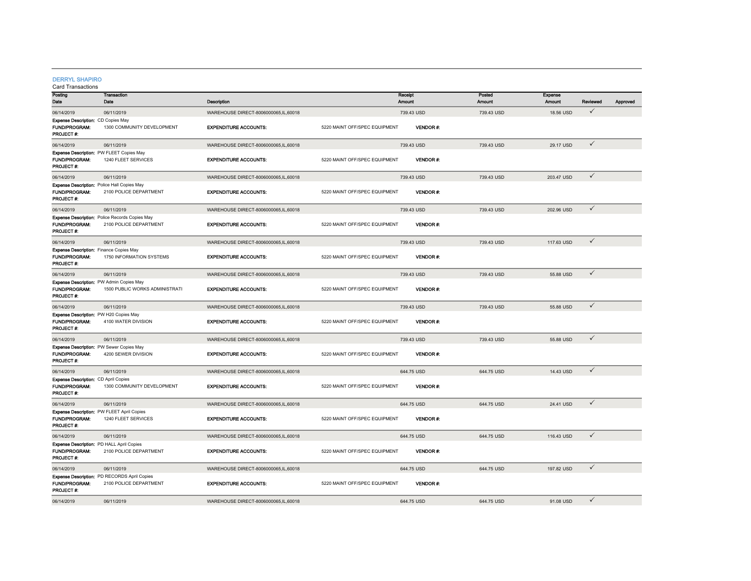#### DERRYL SHAPIRO

| Posting                                                                 | <b>Transaction</b>                                                       |                                      |                               | Receipt         | Posted     | Expense       |              |          |
|-------------------------------------------------------------------------|--------------------------------------------------------------------------|--------------------------------------|-------------------------------|-----------------|------------|---------------|--------------|----------|
| Date                                                                    | Date                                                                     | Description                          |                               | Amount          | Amount     | <b>Amount</b> | Reviewed     | Approved |
| 06/14/2019                                                              | 06/11/2019                                                               | WAREHOUSE DIRECT-8006000065,IL,60018 |                               | 739.43 USD      | 739.43 USD | 18.56 USD     | $\checkmark$ |          |
| <b>Expense Description: CD Copies May</b>                               |                                                                          |                                      |                               |                 |            |               |              |          |
| <b>FUND/PROGRAM:</b>                                                    | 1300 COMMUNITY DEVELOPMENT                                               | <b>EXPENDITURE ACCOUNTS:</b>         | 5220 MAINT OFF/SPEC EQUIPMENT | <b>VENDOR#:</b> |            |               |              |          |
| PROJECT #:                                                              |                                                                          |                                      |                               |                 |            |               |              |          |
| 06/14/2019                                                              | 06/11/2019                                                               | WAREHOUSE DIRECT-8006000065,IL,60018 |                               | 739.43 USD      | 739.43 USD | 29.17 USD     | $\checkmark$ |          |
| Expense Description: PW FLEET Copies May                                |                                                                          |                                      |                               |                 |            |               |              |          |
| <b>FUND/PROGRAM:</b>                                                    | 1240 FLEET SERVICES                                                      | <b>EXPENDITURE ACCOUNTS:</b>         | 5220 MAINT OFF/SPEC EQUIPMENT | VENDOR#:        |            |               |              |          |
| PROJECT #:                                                              |                                                                          |                                      |                               |                 |            |               |              |          |
| 06/14/2019                                                              | 06/11/2019                                                               | WAREHOUSE DIRECT-8006000065,IL,60018 |                               | 739.43 USD      | 739.43 USD | 203.47 USD    | $\checkmark$ |          |
| Expense Description: Police Hall Copies May                             |                                                                          |                                      |                               |                 |            |               |              |          |
| <b>FUND/PROGRAM:</b><br>PROJECT #:                                      | 2100 POLICE DEPARTMENT                                                   | <b>EXPENDITURE ACCOUNTS:</b>         | 5220 MAINT OFF/SPEC EQUIPMENT | VENDOR#:        |            |               |              |          |
|                                                                         |                                                                          |                                      |                               |                 |            |               | $\checkmark$ |          |
| 06/14/2019                                                              | 06/11/2019                                                               | WAREHOUSE DIRECT-8006000065,IL,60018 |                               | 739.43 USD      | 739.43 USD | 202.96 USD    |              |          |
| <b>FUND/PROGRAM:</b>                                                    | Expense Description: Police Records Copies May<br>2100 POLICE DEPARTMENT | <b>EXPENDITURE ACCOUNTS:</b>         | 5220 MAINT OFF/SPEC EQUIPMENT | <b>VENDOR#:</b> |            |               |              |          |
| PROJECT #:                                                              |                                                                          |                                      |                               |                 |            |               |              |          |
| 06/14/2019                                                              | 06/11/2019                                                               | WAREHOUSE DIRECT-8006000065,IL,60018 |                               | 739.43 USD      | 739.43 USD | 117.63 USD    | $\checkmark$ |          |
| <b>Expense Description:</b> Finance Copies May                          |                                                                          |                                      |                               |                 |            |               |              |          |
| <b>FUND/PROGRAM:</b>                                                    | 1750 INFORMATION SYSTEMS                                                 | <b>EXPENDITURE ACCOUNTS:</b>         | 5220 MAINT OFF/SPEC EQUIPMENT | <b>VENDOR#:</b> |            |               |              |          |
| <b>PROJECT #:</b>                                                       |                                                                          |                                      |                               |                 |            |               |              |          |
| 06/14/2019                                                              | 06/11/2019                                                               | WAREHOUSE DIRECT-8006000065,IL,60018 |                               | 739.43 USD      | 739.43 USD | 55.88 USD     | $\checkmark$ |          |
| Expense Description: PW Admin Copies May                                |                                                                          |                                      |                               |                 |            |               |              |          |
| <b>FUND/PROGRAM:</b>                                                    | 1500 PUBLIC WORKS ADMINISTRATI                                           | <b>EXPENDITURE ACCOUNTS:</b>         | 5220 MAINT OFF/SPEC EQUIPMENT | <b>VENDOR#:</b> |            |               |              |          |
| PROJECT #:                                                              |                                                                          |                                      |                               |                 |            |               |              |          |
| 06/14/2019                                                              | 06/11/2019                                                               | WAREHOUSE DIRECT-8006000065,IL,60018 |                               | 739.43 USD      | 739.43 USD | 55.88 USD     | $\checkmark$ |          |
| Expense Description: PW H20 Copies May                                  |                                                                          |                                      |                               |                 |            |               |              |          |
| <b>FUND/PROGRAM:</b><br>PROJECT #:                                      | 4100 WATER DIVISION                                                      | <b>EXPENDITURE ACCOUNTS:</b>         | 5220 MAINT OFF/SPEC EQUIPMENT | <b>VENDOR#:</b> |            |               |              |          |
|                                                                         |                                                                          |                                      |                               |                 |            |               |              |          |
| 06/14/2019                                                              | 06/11/2019                                                               | WAREHOUSE DIRECT-8006000065.IL.60018 |                               | 739.43 USD      | 739.43 USD | 55.88 USD     | $\checkmark$ |          |
| <b>Expense Description: PW Sewer Copies May</b><br><b>FUND/PROGRAM:</b> | 4200 SEWER DIVISION                                                      | <b>EXPENDITURE ACCOUNTS:</b>         | 5220 MAINT OFF/SPEC EQUIPMENT | <b>VENDOR#:</b> |            |               |              |          |
| PROJECT #:                                                              |                                                                          |                                      |                               |                 |            |               |              |          |
|                                                                         |                                                                          |                                      |                               | 644.75 USD      |            | 14.43 USD     | $\checkmark$ |          |
| 06/14/2019<br>Expense Description: CD April Copies                      | 06/11/2019                                                               | WAREHOUSE DIRECT-8006000065,IL,60018 |                               |                 | 644.75 USD |               |              |          |
| <b>FUND/PROGRAM:</b>                                                    | 1300 COMMUNITY DEVELOPMENT                                               | <b>EXPENDITURE ACCOUNTS:</b>         | 5220 MAINT OFF/SPEC EQUIPMENT | <b>VENDOR#:</b> |            |               |              |          |
| <b>PROJECT#:</b>                                                        |                                                                          |                                      |                               |                 |            |               |              |          |
| 06/14/2019                                                              | 06/11/2019                                                               | WAREHOUSE DIRECT-8006000065,IL,60018 |                               | 644.75 USD      | 644.75 USD | 24.41 USD     | $\checkmark$ |          |
|                                                                         | Expense Description: PW FLEET April Copies                               |                                      |                               |                 |            |               |              |          |
| <b>FUND/PROGRAM:</b>                                                    | 1240 FLEET SERVICES                                                      | <b>EXPENDITURE ACCOUNTS:</b>         | 5220 MAINT OFF/SPEC EQUIPMENT | <b>VENDOR#:</b> |            |               |              |          |
| PROJECT#:                                                               |                                                                          |                                      |                               |                 |            |               |              |          |
| 06/14/2019                                                              | 06/11/2019                                                               | WAREHOUSE DIRECT-8006000065.IL.60018 |                               | 644.75 USD      | 644.75 USD | 116.43 USD    | $\checkmark$ |          |
| Expense Description: PD HALL April Copies                               |                                                                          |                                      |                               |                 |            |               |              |          |
| FUND/PROGRAM:                                                           | 2100 POLICE DEPARTMENT                                                   | <b>EXPENDITURE ACCOUNTS:</b>         | 5220 MAINT OFF/SPEC EQUIPMENT | <b>VENDOR#:</b> |            |               |              |          |
| PROJECT #:                                                              |                                                                          |                                      |                               |                 |            |               |              |          |
| 06/14/2019                                                              | 06/11/2019                                                               | WAREHOUSE DIRECT-8006000065,IL,60018 |                               | 644.75 USD      | 644.75 USD | 197.82 USD    | $\checkmark$ |          |
|                                                                         | Expense Description: PD RECORDS April Copies                             |                                      |                               |                 |            |               |              |          |
| FUND/PROGRAM:<br>PROJECT#:                                              | 2100 POLICE DEPARTMENT                                                   | <b>EXPENDITURE ACCOUNTS:</b>         | 5220 MAINT OFF/SPEC EQUIPMENT | <b>VENDOR#:</b> |            |               |              |          |
|                                                                         |                                                                          |                                      |                               |                 |            |               | $\checkmark$ |          |
| 06/14/2019                                                              | 06/11/2019                                                               | WAREHOUSE DIRECT-8006000065,IL,60018 |                               | 644.75 USD      | 644.75 USD | 91.08 USD     |              |          |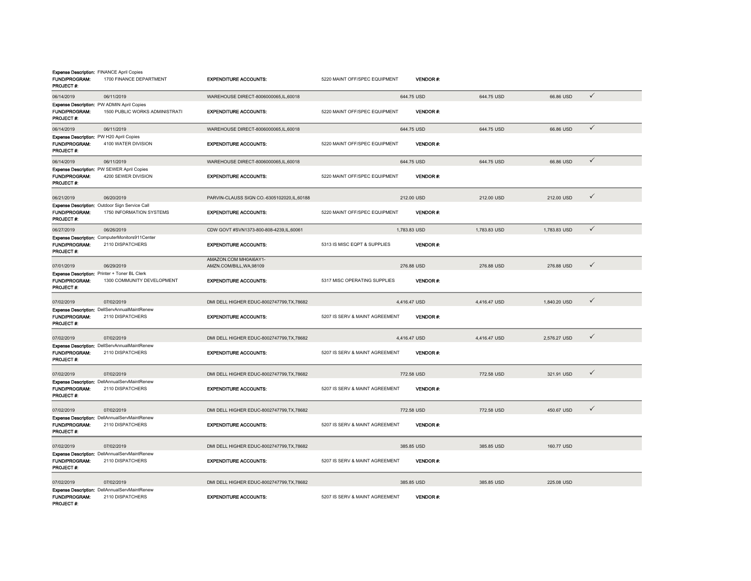| <b>Expense Description: FINANCE April Copies</b><br>FUND/PROGRAM:<br>PROJECT #: | 1700 FINANCE DEPARTMENT                                                     | <b>EXPENDITURE ACCOUNTS:</b>                      | 5220 MAINT OFF/SPEC EQUIPMENT  | VENDOR #:       |              |              |              |
|---------------------------------------------------------------------------------|-----------------------------------------------------------------------------|---------------------------------------------------|--------------------------------|-----------------|--------------|--------------|--------------|
| 06/14/2019                                                                      | 06/11/2019                                                                  | WAREHOUSE DIRECT-8006000065,IL,60018              |                                | 644.75 USD      | 644.75 USD   | 66.86 USD    | $\checkmark$ |
| Expense Description: PW ADMIN April Copies<br>FUND/PROGRAM:<br>PROJECT#:        | 1500 PUBLIC WORKS ADMINISTRATI                                              | <b>EXPENDITURE ACCOUNTS:</b>                      | 5220 MAINT OFF/SPEC EQUIPMENT  | VENDOR #:       |              |              |              |
| 06/14/2019                                                                      | 06/11/2019                                                                  | WAREHOUSE DIRECT-8006000065,IL,60018              |                                | 644.75 USD      | 644.75 USD   | 66.86 USD    | $\checkmark$ |
| Expense Description: PW H20 April Copies<br>FUND/PROGRAM:<br>PROJECT#:          | 4100 WATER DIVISION                                                         | <b>EXPENDITURE ACCOUNTS:</b>                      | 5220 MAINT OFF/SPEC EQUIPMENT  | <b>VENDOR#:</b> |              |              |              |
| 06/14/2019                                                                      | 06/11/2019                                                                  | WAREHOUSE DIRECT-8006000065,IL,60018              |                                | 644.75 USD      | 644.75 USD   | 66.86 USD    | $\checkmark$ |
| FUND/PROGRAM:<br>PROJECT#:                                                      | Expense Description: PW SEWER April Copies<br>4200 SEWER DIVISION           | <b>EXPENDITURE ACCOUNTS:</b>                      | 5220 MAINT OFF/SPEC EQUIPMENT  | <b>VENDOR#:</b> |              |              |              |
| 06/21/2019                                                                      | 06/20/2019<br>Expense Description: Outdoor Sign Service Call                | PARVIN-CLAUSS SIGN CO.-6305102020,IL,60188        |                                | 212.00 USD      | 212.00 USD   | 212.00 USD   | $\checkmark$ |
| <b>FUND/PROGRAM:</b><br><b>PROJECT #:</b>                                       | 1750 INFORMATION SYSTEMS                                                    | <b>EXPENDITURE ACCOUNTS:</b>                      | 5220 MAINT OFF/SPEC EQUIPMENT  | VENDOR#:        |              |              |              |
| 06/27/2019                                                                      | 06/26/2019                                                                  | CDW GOVT #SVN1373-800-808-4239,IL,60061           |                                | 1,783.83 USD    | 1,783.83 USD | 1,783.83 USD | $\checkmark$ |
| <b>FUND/PROGRAM:</b><br>PROJECT #:                                              | Expense Description: ComputerMonitors911Center<br>2110 DISPATCHERS          | <b>EXPENDITURE ACCOUNTS:</b>                      | 5313 IS MISC EQPT & SUPPLIES   | VENDOR#:        |              |              |              |
| 07/01/2019                                                                      | 06/29/2019                                                                  | AMAZON.COM MH0AI6AY1-<br>AMZN.COM/BILL, WA, 98109 |                                | 276.88 USD      | 276.88 USD   | 276.88 USD   | $\checkmark$ |
| FUND/PROGRAM:<br>PROJECT #:                                                     | Expense Description: Printer + Toner BL Clerk<br>1300 COMMUNITY DEVELOPMENT | <b>EXPENDITURE ACCOUNTS:</b>                      | 5317 MISC OPERATING SUPPLIES   | <b>VENDOR#:</b> |              |              |              |
| 07/02/2019                                                                      | 07/02/2019                                                                  | DMI DELL HIGHER EDUC-8002747799, TX, 78682        |                                | 4,416.47 USD    | 4,416.47 USD | 1,840.20 USD | $\checkmark$ |
| FUND/PROGRAM:<br>PROJECT#:                                                      | Expense Description: DellServAnnualMaintRenew<br>2110 DISPATCHERS           | <b>EXPENDITURE ACCOUNTS:</b>                      | 5207 IS SERV & MAINT AGREEMENT | <b>VENDOR#:</b> |              |              |              |
| 07/02/2019                                                                      | 07/02/2019                                                                  | DMI DELL HIGHER EDUC-8002747799, TX, 78682        |                                | 4,416.47 USD    | 4,416.47 USD | 2,576.27 USD | $\checkmark$ |
| <b>FUND/PROGRAM:</b><br>PROJECT #:                                              | Expense Description: DellServAnnualMaintRenew<br>2110 DISPATCHERS           | <b>EXPENDITURE ACCOUNTS:</b>                      | 5207 IS SERV & MAINT AGREEMENT | VENDOR#:        |              |              |              |
| 07/02/2019                                                                      | 07/02/2019                                                                  | DMI DELL HIGHER EDUC-8002747799, TX, 78682        |                                | 772.58 USD      | 772.58 USD   | 321.91 USD   | $\checkmark$ |
| FUND/PROGRAM:<br>PROJECT #:                                                     | Expense Description: DellAnnualServMaintRenew<br>2110 DISPATCHERS           | <b>EXPENDITURE ACCOUNTS:</b>                      | 5207 IS SERV & MAINT AGREEMENT | <b>VENDOR#:</b> |              |              |              |
| 07/02/2019                                                                      | 07/02/2019                                                                  | DMI DELL HIGHER EDUC-8002747799.TX.78682          |                                | 772.58 USD      | 772.58 USD   | 450.67 USD   | $\checkmark$ |
| FUND/PROGRAM:<br>PROJECT#:                                                      | Expense Description: DellAnnualServMaintRenew<br>2110 DISPATCHERS           | <b>EXPENDITURE ACCOUNTS:</b>                      | 5207 IS SERV & MAINT AGREEMENT | VENDOR #:       |              |              |              |
| 07/02/2019                                                                      | 07/02/2019                                                                  | DMI DELL HIGHER EDUC-8002747799, TX, 78682        |                                | 385.85 USD      | 385.85 USD   | 160.77 USD   |              |
| FUND/PROGRAM:<br>PROJECT#:                                                      | Expense Description: DellAnnualServMaintRenew<br>2110 DISPATCHERS           | <b>EXPENDITURE ACCOUNTS:</b>                      | 5207 IS SERV & MAINT AGREEMENT | VENDOR #:       |              |              |              |
| 07/02/2019                                                                      | 07/02/2019                                                                  | DMI DELL HIGHER EDUC-8002747799, TX, 78682        |                                | 385.85 USD      | 385.85 USD   | 225.08 USD   |              |
| <b>FUND/PROGRAM:</b><br>PROJECT #:                                              | Expense Description: DellAnnualServMaintRenew<br>2110 DISPATCHERS           | <b>EXPENDITURE ACCOUNTS:</b>                      | 5207 IS SERV & MAINT AGREEMENT | VENDOR#:        |              |              |              |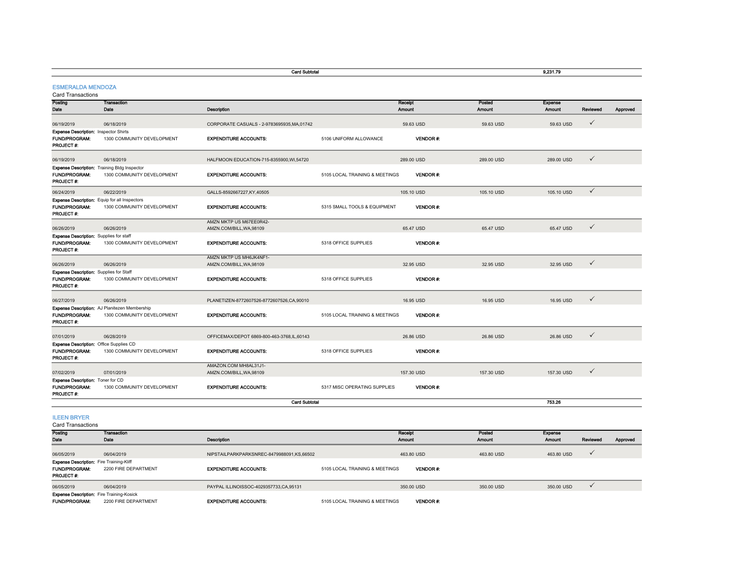|                                                                                      |                                                                                   | <b>Card Subtotal</b>                                |                                |                   |                         | 9.231.79          |              |          |
|--------------------------------------------------------------------------------------|-----------------------------------------------------------------------------------|-----------------------------------------------------|--------------------------------|-------------------|-------------------------|-------------------|--------------|----------|
| <b>ESMERALDA MENDOZA</b><br><b>Card Transactions</b>                                 |                                                                                   |                                                     |                                |                   |                         |                   |              |          |
| Posting<br>Date                                                                      | <b>Transaction</b><br>Date                                                        | Description                                         |                                | Receipt<br>Amount | Posted<br><b>Amount</b> | Expense<br>Amount | Reviewed     | Approved |
| 06/19/2019                                                                           | 06/18/2019                                                                        | CORPORATE CASUALS - 2-9783695935, MA, 01742         |                                | 59.63 USD         | 59.63 USD               | 59.63 USD         | ✓            |          |
| <b>Expense Description: Inspector Shirts</b><br>FUND/PROGRAM:<br>PROJECT#:           | 1300 COMMUNITY DEVELOPMENT                                                        | <b>EXPENDITURE ACCOUNTS:</b>                        | 5106 UNIFORM ALLOWANCE         | VENDOR#:          |                         |                   |              |          |
| 06/19/2019                                                                           | 06/18/2019                                                                        | HALFMOON EDUCATION-715-8355900, WI,54720            |                                | 289.00 USD        | 289.00 USD              | 289.00 USD        | ✓            |          |
| <b>FUND/PROGRAM:</b><br>PROJECT #:                                                   | <b>Expense Description:</b> Training Bldg Inspector<br>1300 COMMUNITY DEVELOPMENT | <b>EXPENDITURE ACCOUNTS:</b>                        | 5105 LOCAL TRAINING & MEETINGS | <b>VENDOR#:</b>   |                         |                   |              |          |
| 06/24/2019                                                                           | 06/22/2019                                                                        | GALLS-8592667227,KY,40505                           |                                | 105.10 USD        | 105.10 USD              | 105.10 USD        | $\checkmark$ |          |
| <b>FUND/PROGRAM:</b><br>PROJECT #:                                                   | Expense Description: Equip for all Inspectors<br>1300 COMMUNITY DEVELOPMENT       | <b>EXPENDITURE ACCOUNTS:</b>                        | 5315 SMALL TOOLS & EQUIPMENT   | <b>VENDOR#:</b>   |                         |                   |              |          |
| 06/26/2019                                                                           | 06/26/2019                                                                        | AMZN MKTP US M67EE0R42-<br>AMZN.COM/BILL, WA, 98109 |                                | 65.47 USD         | 65.47 USD               | 65.47 USD         | ✓            |          |
| Expense Description: Supplies for staff<br>FUND/PROGRAM:<br>PROJECT #:               | 1300 COMMUNITY DEVELOPMENT                                                        | <b>EXPENDITURE ACCOUNTS:</b>                        | 5318 OFFICE SUPPLIES           | <b>VENDOR#:</b>   |                         |                   |              |          |
| 06/26/2019                                                                           | 06/26/2019                                                                        | AMZN MKTP US MH6JK4NF1-<br>AMZN.COM/BILL, WA, 98109 |                                | 32.95 USD         | 32.95 USD               | 32.95 USD         | ✓            |          |
| Expense Description: Supplies for Staff<br>FUND/PROGRAM:<br>PROJECT#:                | 1300 COMMUNITY DEVELOPMENT                                                        | <b>EXPENDITURE ACCOUNTS:</b>                        | 5318 OFFICE SUPPLIES           | <b>VENDOR#:</b>   |                         |                   |              |          |
| 06/27/2019                                                                           | 06/26/2019                                                                        | PLANETIZEN-8772607526-8772607526,CA,90010           |                                | 16.95 USD         | 16.95 USD               | 16.95 USD         | ✓            |          |
| <b>FUND/PROGRAM:</b><br>PROJECT #:                                                   | Expense Description: AJ Planitezen Membership<br>1300 COMMUNITY DEVELOPMENT       | <b>EXPENDITURE ACCOUNTS:</b>                        | 5105 LOCAL TRAINING & MEETINGS | VENDOR#:          |                         |                   |              |          |
| 07/01/2019                                                                           | 06/28/2019                                                                        | OFFICEMAX/DEPOT 6869-800-463-3768,IL,60143          |                                | 26.86 USD         | 26.86 USD               | 26.86 USD         | ✓            |          |
| Expense Description: Office Supplies CD<br><b>FUND/PROGRAM:</b><br><b>PROJECT #:</b> | 1300 COMMUNITY DEVELOPMENT                                                        | <b>EXPENDITURE ACCOUNTS:</b>                        | 5318 OFFICE SUPPLIES           | <b>VENDOR#:</b>   |                         |                   |              |          |
| 07/02/2019                                                                           | 07/01/2019                                                                        | AMAZON.COM MH8AL31J1-<br>AMZN.COM/BILL, WA, 98109   |                                | 157.30 USD        | 157.30 USD              | 157.30 USD        | ✓            |          |
| Expense Description: Toner for CD<br>FUND/PROGRAM:<br>PROJECT#:                      | 1300 COMMUNITY DEVELOPMENT                                                        | <b>EXPENDITURE ACCOUNTS:</b>                        | 5317 MISC OPERATING SUPPLIES   | VENDOR#:          |                         |                   |              |          |
|                                                                                      |                                                                                   | <b>Card Subtotal</b>                                |                                |                   |                         | 753.26            |              |          |
| <b>ILEEN BRYER</b>                                                                   |                                                                                   |                                                     |                                |                   |                         |                   |              |          |

| Posting                                                                                      | <b>Transaction</b>   |                                           | Receipt                                           | Posted        | Expense       |          |          |
|----------------------------------------------------------------------------------------------|----------------------|-------------------------------------------|---------------------------------------------------|---------------|---------------|----------|----------|
| Date                                                                                         | Date                 | <b>Description</b>                        | <b>Amount</b>                                     | <b>Amount</b> | <b>Amount</b> | Reviewed | Approved |
| 06/05/2019                                                                                   | 06/04/2019           | NIPSTAILPARKPARKSNREC-8479988091.KS.66502 | 463.80 USD                                        | 463.80 USD    | 463.80 USD    |          |          |
| <b>Expense Description:</b> Fire Training-Kliff<br><b>FUND/PROGRAM:</b><br><b>PROJECT #:</b> | 2200 FIRE DEPARTMENT | <b>EXPENDITURE ACCOUNTS:</b>              | <b>VENDOR#:</b><br>5105 LOCAL TRAINING & MEETINGS |               |               |          |          |
| 06/05/2019                                                                                   | 06/04/2019           | PAYPAL ILLINOISSOC-4029357733,CA,95131    | 350.00 USD                                        | 350,00 USD    | 350.00 USD    |          |          |
| <b>Expense Description:</b> Fire Training-Kosick<br><b>FUND/PROGRAM:</b>                     | 2200 FIRE DEPARTMENT | <b>EXPENDITURE ACCOUNTS:</b>              | 5105 LOCAL TRAINING & MEETINGS<br><b>VENDOR#:</b> |               |               |          |          |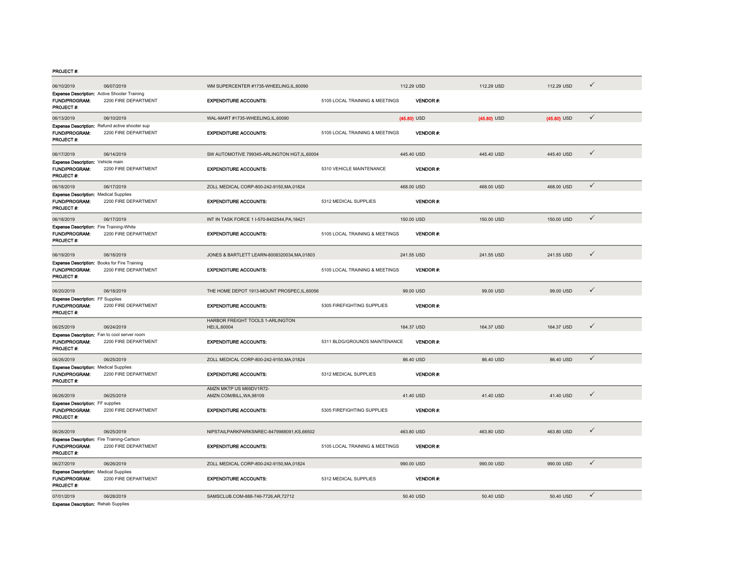PROJECT #:

| 06/10/2019                                                                         | 06/07/2019                                                             | WM SUPERCENTER #1735-WHEELING,IL,60090              |                                | 112.29 USD    |                 | 112.29 USD    | 112.29 USD    | ✓            |
|------------------------------------------------------------------------------------|------------------------------------------------------------------------|-----------------------------------------------------|--------------------------------|---------------|-----------------|---------------|---------------|--------------|
| Expense Description: Active Shooter Training<br><b>FUND/PROGRAM:</b><br>PROJECT #: | 2200 FIRE DEPARTMENT                                                   | <b>EXPENDITURE ACCOUNTS:</b>                        | 5105 LOCAL TRAINING & MEETINGS |               | <b>VENDOR#:</b> |               |               |              |
| 06/13/2019                                                                         | 06/10/2019                                                             | WAL-MART #1735-WHEELING,IL,60090                    |                                | $(45.80)$ USD |                 | $(45.80)$ USD | $(45.80)$ USD | $\checkmark$ |
| <b>FUND/PROGRAM:</b><br>PROJECT #:                                                 | Expense Description: Refund active shooter sup<br>2200 FIRE DEPARTMENT | <b>EXPENDITURE ACCOUNTS:</b>                        | 5105 LOCAL TRAINING & MEETINGS |               | VENDOR#:        |               |               |              |
| 06/17/2019                                                                         | 06/14/2019                                                             | SW AUTOMOTIVE 799345-ARLINGTON HGT,IL,60004         |                                | 445.40 USD    |                 | 445.40 USD    | 445.40 USD    | $\checkmark$ |
| Expense Description: Vehicle main<br>FUND/PROGRAM:<br>PROJECT #:                   | 2200 FIRE DEPARTMENT                                                   | <b>EXPENDITURE ACCOUNTS:</b>                        | 5310 VEHICLE MAINTENANCE       |               | VENDOR #:       |               |               |              |
| 06/18/2019                                                                         | 06/17/2019                                                             | ZOLL MEDICAL CORP-800-242-9150, MA, 01824           |                                | 468.00 USD    |                 | 468.00 USD    | 468.00 USD    | $\checkmark$ |
| <b>Expense Description: Medical Supplies</b><br>FUND/PROGRAM:<br>PROJECT #:        | 2200 FIRE DEPARTMENT                                                   | <b>EXPENDITURE ACCOUNTS:</b>                        | 5312 MEDICAL SUPPLIES          |               | <b>VENDOR#:</b> |               |               |              |
| 06/18/2019                                                                         | 06/17/2019                                                             | INT IN TASK FORCE 1 I-570-8402544, PA, 18421        |                                | 150.00 USD    |                 | 150.00 USD    | 150.00 USD    | $\checkmark$ |
| <b>Expense Description:</b> Fire Training-White<br>FUND/PROGRAM:<br>PROJECT #:     | 2200 FIRE DEPARTMENT                                                   | <b>EXPENDITURE ACCOUNTS:</b>                        | 5105 LOCAL TRAINING & MEETINGS |               | VENDOR#:        |               |               |              |
| 06/19/2019                                                                         | 06/18/2019                                                             | JONES & BARTLETT LEARN-8008320034.MA.01803          |                                | 241.55 USD    |                 | 241.55 USD    | 241.55 USD    | $\checkmark$ |
| Expense Description: Books for Fire Training<br>FUND/PROGRAM:<br>PROJECT #:        | 2200 FIRE DEPARTMENT                                                   | <b>EXPENDITURE ACCOUNTS:</b>                        | 5105 LOCAL TRAINING & MEETINGS |               | VENDOR#:        |               |               |              |
| 06/20/2019                                                                         | 06/18/2019                                                             | THE HOME DEPOT 1913-MOUNT PROSPEC,IL,60056          |                                |               | 99.00 USD       | 99.00 USD     | 99.00 USD     | $\checkmark$ |
| <b>Expense Description: FF Supplies</b><br><b>FUND/PROGRAM:</b><br>PROJECT#:       | 2200 FIRE DEPARTMENT                                                   | <b>EXPENDITURE ACCOUNTS:</b>                        | 5305 FIREFIGHTING SUPPLIES     |               | VENDOR#:        |               |               |              |
| 06/25/2019                                                                         | 06/24/2019                                                             | HARBOR FREIGHT TOOLS 1-ARLINGTON<br>HEI, IL, 60004  |                                | 164.37 USD    |                 | 164.37 USD    | 164.37 USD    | ✓            |
| <b>Expense Description:</b> Fan to cool server room<br>FUND/PROGRAM:<br>PROJECT #: | 2200 FIRE DEPARTMENT                                                   | <b>EXPENDITURE ACCOUNTS:</b>                        | 5311 BLDG/GROUNDS MAINTENANCE  |               | <b>VENDOR#</b>  |               |               |              |
| 06/26/2019                                                                         | 06/25/2019                                                             | ZOLL MEDICAL CORP-800-242-9150, MA, 01824           |                                |               | 86.40 USD       | 86.40 USD     | 86.40 USD     | $\checkmark$ |
| <b>Expense Description: Medical Supplies</b><br>FUND/PROGRAM:<br>PROJECT #:        | 2200 FIRE DEPARTMENT                                                   | <b>EXPENDITURE ACCOUNTS:</b>                        | 5312 MEDICAL SUPPLIES          |               | <b>VENDOR#:</b> |               |               |              |
| 06/26/2019                                                                         | 06/25/2019                                                             | AMZN MKTP US M69DV1R72-<br>AMZN.COM/BILL, WA, 98109 |                                |               | 41.40 USD       | 41.40 USD     | 41.40 USD     | ✓            |
| <b>Expense Description: FF supplies</b><br>FUND/PROGRAM:<br>PROJECT #:             | 2200 FIRE DEPARTMENT                                                   | <b>EXPENDITURE ACCOUNTS:</b>                        | 5305 FIREFIGHTING SUPPLIES     |               | VENDOR#:        |               |               |              |
| 06/26/2019                                                                         | 06/25/2019                                                             | NIPSTAILPARKPARKSNREC-8479988091,KS,66502           |                                | 463.80 USD    |                 | 463.80 USD    | 463.80 USD    | $\checkmark$ |
| Expense Description: Fire Training-Carlson<br>FUND/PROGRAM:<br>PROJECT #:          | 2200 FIRE DEPARTMENT                                                   | <b>EXPENDITURE ACCOUNTS:</b>                        | 5105 LOCAL TRAINING & MEETINGS |               | <b>VENDOR#:</b> |               |               |              |
| 06/27/2019                                                                         | 06/26/2019                                                             | ZOLL MEDICAL CORP-800-242-9150, MA, 01824           |                                | 990.00 USD    |                 | 990.00 USD    | 990.00 USD    | $\checkmark$ |
| <b>Expense Description: Medical Supplies</b><br>FUND/PROGRAM:<br>PROJECT #:        | 2200 FIRE DEPARTMENT                                                   | <b>EXPENDITURE ACCOUNTS:</b>                        | 5312 MEDICAL SUPPLIES          |               | VENDOR#:        |               |               |              |
| 07/01/2019<br><b>Expense Description: Rehab Supplies</b>                           | 06/28/2019                                                             | SAMSCLUB.COM-888-746-7726,AR,72712                  |                                |               | 50.40 USD       | 50.40 USD     | 50.40 USD     | $\checkmark$ |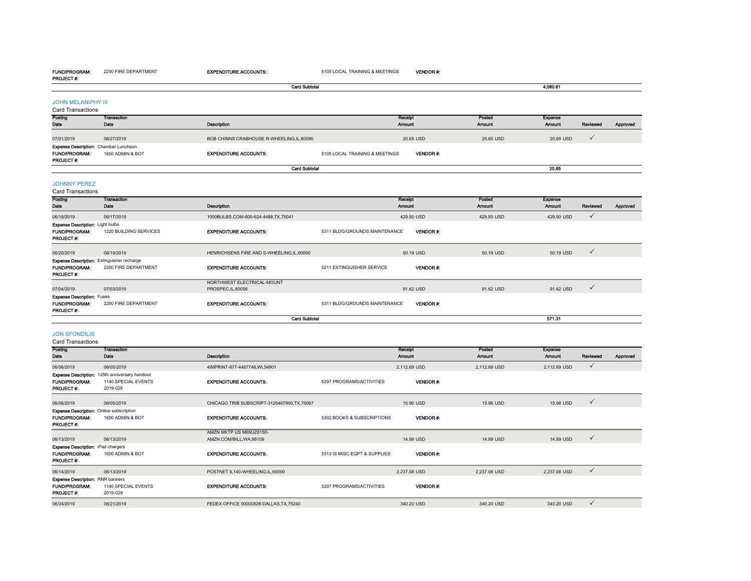#### FUND/PROGRAM:2200 FIRE DEPARTMENT

EXPENDITURE ACCOUNTS: 5105 LOCAL TRAINING & MEETINGS

| <b>PROJECT#:</b>                                                       |                                                                    |                                                |                                |                          |                  |                                 |              |          |
|------------------------------------------------------------------------|--------------------------------------------------------------------|------------------------------------------------|--------------------------------|--------------------------|------------------|---------------------------------|--------------|----------|
|                                                                        |                                                                    | <b>Card Subtotal</b>                           |                                |                          |                  | 4,080.61                        |              |          |
| <b>JOHN MELANIPHY III</b><br><b>Card Transactions</b>                  |                                                                    |                                                |                                |                          |                  |                                 |              |          |
| Posting<br>Date                                                        | <b>Transaction</b><br>Date                                         | Description                                    |                                | Receipt<br>Amount        | Posted<br>Amount | Expense<br><b>Amount</b>        | Reviewed     | Approved |
| 07/01/2019                                                             | 06/27/2019                                                         | BOB CHINNS CRABHOUSE R-WHEELING, IL, 60090     |                                | 20.65 USD                | 20.65 USD        | 20.65 USD                       | $\checkmark$ |          |
| <b>FUND/PROGRAM:</b><br>PROJECT#:                                      | Expense Description: Chamber Luncheon<br>1600 ADMIN & BOT          | <b>EXPENDITURE ACCOUNTS:</b>                   | 5105 LOCAL TRAINING & MEETINGS | VENDOR#:                 |                  |                                 |              |          |
|                                                                        |                                                                    | <b>Card Subtotal</b>                           |                                |                          |                  | 20.65                           |              |          |
| <b>JOHNNY PEREZ</b><br>Card Transactions                               |                                                                    |                                                |                                |                          |                  |                                 |              |          |
| Posting<br>Date                                                        | <b>Transaction</b><br>Date                                         | Description                                    |                                | Receipt<br>Amount        | Posted<br>Amount | <b>Expense</b><br><b>Amount</b> | Reviewed     | Approved |
| 06/18/2019                                                             | 06/17/2019                                                         | 1000BULBS.COM-800-624-4488,TX,75041            |                                | 429.50 USD               | 429.50 USD       | 429.50 USD                      | $\checkmark$ |          |
| <b>Expense Description: Light bulbs</b><br>FUND/PROGRAM:<br>PROJECT #: | 1220 BUILDING SERVICES                                             | <b>EXPENDITURE ACCOUNTS:</b>                   | 5311 BLDG/GROUNDS MAINTENANCE  | <b>VENDOR#:</b>          |                  |                                 |              |          |
| 06/20/2019                                                             | 06/19/2019                                                         | HENRICHSENS FIRE AND S-WHEELING, IL, 60090     |                                | 50.19 USD                | 50.19 USD        | 50.19 USD                       | $\checkmark$ |          |
| FUND/PROGRAM:<br>PROJECT#:                                             | Expense Description: Extinguisher recharge<br>2200 FIRE DEPARTMENT | <b>EXPENDITURE ACCOUNTS:</b>                   | 5211 EXTINGUISHER SERVICE      | <b>VENDOR#:</b>          |                  |                                 |              |          |
| 07/04/2019                                                             | 07/03/2019                                                         | NORTHWEST ELECTRICAL-MOUNT<br>PROSPEC,IL,60056 |                                | 91.62 USD                | 91.62 USD        | 91.62 USD                       | $\checkmark$ |          |
| <b>Expense Description: Fuses</b><br><b>FUND/PROGRAM:</b><br>PROJECT#: | 2200 FIRE DEPARTMENT                                               | <b>EXPENDITURE ACCOUNTS:</b>                   | 5311 BLDG/GROUNDS MAINTENANCE  | VENDOR#:                 |                  |                                 |              |          |
|                                                                        |                                                                    | <b>Card Subtotal</b>                           |                                |                          |                  | 571.31                          |              |          |
| <b>JON SFONDILIS</b><br><b>Card Transactions</b>                       |                                                                    |                                                |                                |                          |                  |                                 |              |          |
| Posting<br>Date                                                        | <b>Transaction</b><br>Date                                         | Description                                    |                                | Receipt<br><b>Amount</b> | Posted<br>Amount | <b>Expense</b><br><b>Amount</b> | Reviewed     | Approved |
| 06/06/2019                                                             | 06/05/2019                                                         | 4IMPRINT-877-4467746.WI.54901                  |                                | 2.112.69 USD             | 2.112.69 USD     | 2,112.69 USD                    | $\checkmark$ |          |

#### Amount Reviewed Approved FUND/PROGRAM: 1140 SPECIAL EVENTSEXPENDITURE ACCOUNTS:  $5297$  PROGRAMS/ACTIVITIES VENDOR #: PROJECT #: 2019-02806/06/2019 06/05/2019 CHICAGO TRIB SUBSCRIPT-3125467900,TX,75067 15.96 USD 15.96 USD 15.96 USD **Expense Description:** Online subscription<br>**FUND/PROGRAM:** 1600 ADMIN & BOT 1600 ADMIN & BOT **EXPENDITURE ACCOUNTS:** 5302 BOOKS & SUBSCRIPTIONS VENDOR #: PROJECT #: 06/13/2019 06/13/2019 AMZN MKTP US M69UZ81S0-AMZN.COM/BILL,WA,98109 14.99 USD 14.99 USD 14.99 USD **FUND/PROGRAM:** 1600 ADMIN & BOT EXPENDITURE ACCOUNTS: 5313 IS MISC EQPT & SUPPLIES VENDOR #: PROJECT #: 06/14/2019 06/13/2019 POSTNET IL140-WHEELING,IL,60090 2,237.08 USD 2,237.08 USD 2,237.08 USD FUND/PROGRAM: 1140 SPECIAL EVENTS EXPENDITURE ACCOUNTS: 5297 PROGRAMS/ACTIVITIES VENDOR #: PROJECT #: 2019-02906/24/2019 06/21/2019 FEDEX OFFICE 00000828-DALLAS,TX,75240 340.20 USD 340.20 USD 340.20 USD Expense Description: 125th anniversary handout Expense Description: iPad chargers Expense Description: RNR banners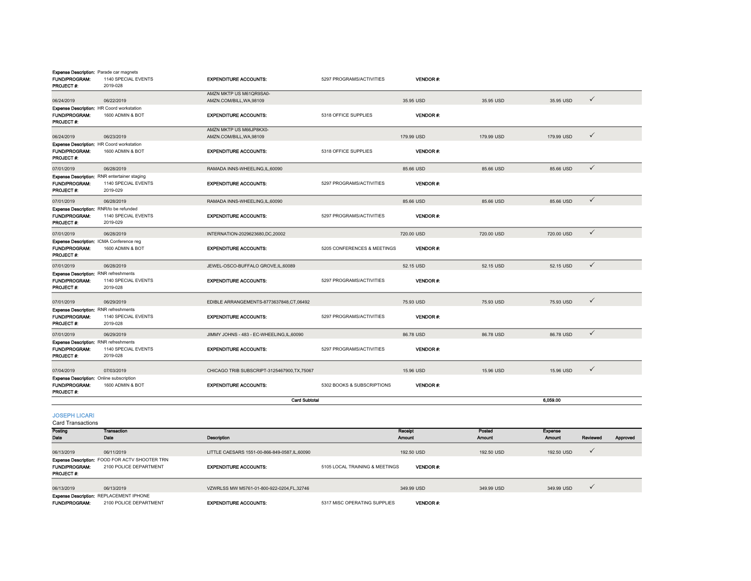| <b>Expense Description:</b> Parade car magnets<br>FUND/PROGRAM:<br>PROJECT#:           | 1140 SPECIAL EVENTS<br>2019-028 | <b>EXPENDITURE ACCOUNTS:</b>                        | 5297 PROGRAMS/ACTIVITIES    | <b>VENDOR#:</b>          |                  |                          |              |          |
|----------------------------------------------------------------------------------------|---------------------------------|-----------------------------------------------------|-----------------------------|--------------------------|------------------|--------------------------|--------------|----------|
| 06/24/2019                                                                             | 06/22/2019                      | AMZN MKTP US M61QR9SA0-<br>AMZN.COM/BILL, WA, 98109 |                             | 35.95 USD                | 35.95 USD        | 35.95 USD                | ✓            |          |
| Expense Description: HR Coord workstation<br><b>FUND/PROGRAM:</b><br>PROJECT#:         | 1600 ADMIN & BOT                | <b>EXPENDITURE ACCOUNTS:</b>                        | 5318 OFFICE SUPPLIES        | <b>VENDOR#:</b>          |                  |                          |              |          |
| 06/24/2019                                                                             | 06/23/2019                      | AMZN MKTP US M66JP8KX0-<br>AMZN.COM/BILL, WA, 98109 |                             | 179.99 USD               | 179.99 USD       | 179.99 USD               | $\checkmark$ |          |
| Expense Description: HR Coord workstation<br><b>FUND/PROGRAM:</b><br><b>PROJECT #:</b> | 1600 ADMIN & BOT                | <b>EXPENDITURE ACCOUNTS:</b>                        | 5318 OFFICE SUPPLIES        | <b>VENDOR#:</b>          |                  |                          |              |          |
| 07/01/2019                                                                             | 06/28/2019                      | RAMADA INNS-WHEELING,IL,60090                       |                             | 85.66 USD                | 85.66 USD        | 85.66 USD                | $\checkmark$ |          |
| Expense Description: RNR entertainer staging<br><b>FUND/PROGRAM:</b><br>PROJECT #:     | 1140 SPECIAL EVENTS<br>2019-029 | <b>EXPENDITURE ACCOUNTS:</b>                        | 5297 PROGRAMS/ACTIVITIES    | <b>VENDOR#:</b>          |                  |                          |              |          |
| 07/01/2019                                                                             | 06/28/2019                      | RAMADA INNS-WHEELING.IL.60090                       |                             | 85.66 USD                | 85.66 USD        | 85.66 USD                | ✓            |          |
| Expense Description: RNR/to be refunded<br>FUND/PROGRAM:<br>PROJECT #:                 | 1140 SPECIAL EVENTS<br>2019-029 | <b>EXPENDITURE ACCOUNTS:</b>                        | 5297 PROGRAMS/ACTIVITIES    | <b>VENDOR#:</b>          |                  |                          |              |          |
| 07/01/2019                                                                             | 06/28/2019                      | INTERNATION-2029623680.DC.20002                     |                             | 720.00 USD               | 720.00 USD       | 720.00 USD               | $\checkmark$ |          |
| Expense Description: ICMA Conference reg<br><b>FUND/PROGRAM:</b><br>PROJECT #:         | 1600 ADMIN & BOT                | <b>EXPENDITURE ACCOUNTS:</b>                        | 5205 CONFERENCES & MEETINGS | <b>VENDOR#:</b>          |                  |                          |              |          |
| 07/01/2019                                                                             | 06/28/2019                      | JEWEL-OSCO-BUFFALO GROVE,IL,60089                   |                             | 52.15 USD                | 52.15 USD        | 52.15 USD                | $\checkmark$ |          |
| Expense Description: RNR refreshments<br>FUND/PROGRAM:<br>PROJECT #:                   | 1140 SPECIAL EVENTS<br>2019-028 | <b>EXPENDITURE ACCOUNTS:</b>                        | 5297 PROGRAMS/ACTIVITIES    | <b>VENDOR#:</b>          |                  |                          |              |          |
| 07/01/2019                                                                             | 06/29/2019                      | EDIBLE ARRANGEMENTS-8773637848,CT,06492             |                             | 75.93 USD                | 75.93 USD        | 75.93 USD                | ✓            |          |
| <b>Expense Description: RNR refreshments</b><br>FUND/PROGRAM:<br>PROJECT#:             | 1140 SPECIAL EVENTS<br>2019-028 | <b>EXPENDITURE ACCOUNTS:</b>                        | 5297 PROGRAMS/ACTIVITIES    | <b>VENDOR#:</b>          |                  |                          |              |          |
| 07/01/2019                                                                             | 06/29/2019                      | JIMMY JOHNS - 483 - EC-WHEELING, IL, 60090          |                             | 86.78 USD                | 86.78 USD        | 86.78 USD                | $\checkmark$ |          |
| <b>Expense Description: RNR refreshments</b><br>FUND/PROGRAM:<br>PROJECT#:             | 1140 SPECIAL EVENTS<br>2019-028 | <b>EXPENDITURE ACCOUNTS:</b>                        | 5297 PROGRAMS/ACTIVITIES    | <b>VENDOR#:</b>          |                  |                          |              |          |
| 07/04/2019                                                                             | 07/03/2019                      | CHICAGO TRIB SUBSCRIPT-3125467900, TX, 75067        |                             | 15.96 USD                | 15.96 USD        | 15.96 USD                | ✓            |          |
| <b>Expense Description:</b> Online subscription<br><b>FUND/PROGRAM:</b><br>PROJECT #:  | 1600 ADMIN & BOT                | <b>EXPENDITURE ACCOUNTS:</b>                        | 5302 BOOKS & SUBSCRIPTIONS  | VENDOR#:                 |                  |                          |              |          |
|                                                                                        |                                 | <b>Card Subtotal</b>                                |                             |                          |                  | 6,059.00                 |              |          |
| <b>JOSEPH LICARI</b><br>Card Transactions                                              |                                 |                                                     |                             |                          |                  |                          |              |          |
| Posting<br>Date                                                                        | <b>Transaction</b><br>Date      | Description                                         |                             | Receipt<br><b>Amount</b> | Posted<br>Amount | <b>Expense</b><br>Amount | Reviewed     | Approved |
| 06/13/2019                                                                             | 06/11/2019                      | LITTLE CAESARS 1551-00-866-849-0587.IL.60090        |                             | 192.50 USD               | 192.50 USD       | 192.50 USD               | ✓            |          |

FUND/PROGRAM: 2100 POLICE DEPARTMENTEXPENDITURE ACCOUNTS: 5105 LOCAL TRAINING & MEETINGS VENDOR #: PROJECT #: 06/13/2019 06/13/2019 VZWRLSS MW M5761-01-800-922-0204,FL,32746 349.99 USD 349.99 USD 349.99 USD FUND/PROGRAM: 2100 POLICE DEPARTMENTExpense Description: REPLACEMENT IPHONE VENDOR #: Expense Description: FOOD FOR ACTV SHOOTER TRN

EXPENDITURE ACCOUNTS: 5317 MISC OPERATING SUPPLIES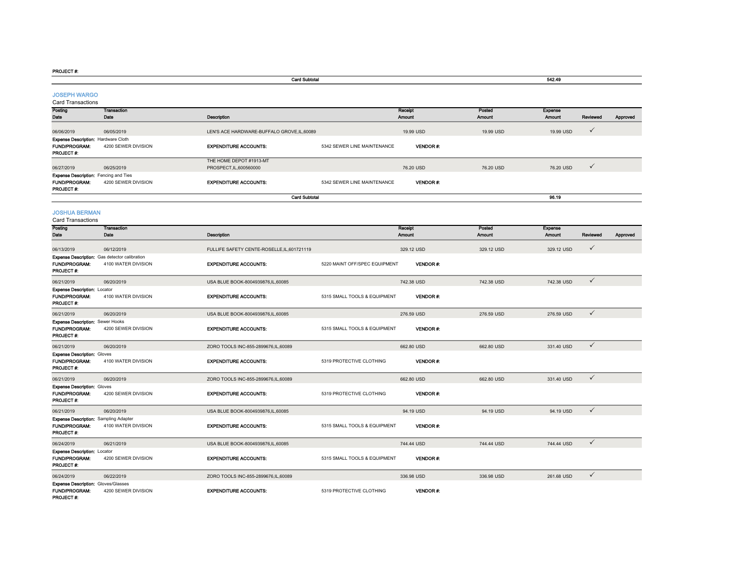#### PROJECT #:

PROJECT #:

|                                                                            |                                                                      | <b>Card Subtotal</b>                               |                               |                   |                  | 542.49            |              |          |
|----------------------------------------------------------------------------|----------------------------------------------------------------------|----------------------------------------------------|-------------------------------|-------------------|------------------|-------------------|--------------|----------|
| <b>JOSEPH WARGO</b><br><b>Card Transactions</b>                            |                                                                      |                                                    |                               |                   |                  |                   |              |          |
| Posting<br>Date                                                            | <b>Transaction</b><br>Date                                           | Description                                        |                               | Receipt<br>Amount | Posted<br>Amount | Expense<br>Amount | Reviewed     | Approved |
| 06/06/2019                                                                 | 06/05/2019                                                           | LEN'S ACE HARDWARE-BUFFALO GROVE,IL,60089          |                               | 19.99 USD         | 19.99 USD        | 19.99 USD         | ✓            |          |
| Expense Description: Hardware Cloth<br>FUND/PROGRAM:<br>PROJECT #:         | 4200 SEWER DIVISION                                                  | <b>EXPENDITURE ACCOUNTS:</b>                       | 5342 SEWER LINE MAINTENANCE   | VENDOR#:          |                  |                   |              |          |
| 06/27/2019                                                                 | 06/25/2019                                                           | THE HOME DEPOT #1913-MT<br>PROSPECT, IL, 600560000 |                               | 76.20 USD         | 76.20 USD        | 76.20 USD         | ✓            |          |
| <b>Expense Description:</b> Fencing and Ties<br>FUND/PROGRAM:<br>PROJECT#: | 4200 SEWER DIVISION                                                  | <b>EXPENDITURE ACCOUNTS:</b>                       | 5342 SEWER LINE MAINTENANCE   | <b>VENDOR#:</b>   |                  |                   |              |          |
|                                                                            |                                                                      | <b>Card Subtotal</b>                               |                               |                   |                  | 96.19             |              |          |
| <b>JOSHUA BERMAN</b><br><b>Card Transactions</b>                           |                                                                      |                                                    |                               |                   |                  |                   |              |          |
| Posting<br>Date                                                            | <b>Transaction</b><br>Date                                           | Description                                        |                               | Receipt<br>Amount | Posted<br>Amount | Expense<br>Amount | Reviewed     | Approved |
| 06/13/2019                                                                 | 06/12/2019                                                           | FULLIFE SAFETY CENTE-ROSELLE, IL, 601721119        |                               | 329.12 USD        | 329.12 USD       | 329.12 USD        | ✓            |          |
| FUND/PROGRAM:<br>PROJECT #:                                                | Expense Description: Gas detector calibration<br>4100 WATER DIVISION | <b>EXPENDITURE ACCOUNTS:</b>                       | 5220 MAINT OFF/SPEC EQUIPMENT | <b>VENDOR#:</b>   |                  |                   |              |          |
| 06/21/2019                                                                 | 06/20/2019                                                           | USA BLUE BOOK-8004939876,IL,60085                  |                               | 742.38 USD        | 742.38 USD       | 742.38 USD        | $\checkmark$ |          |
| <b>Expense Description: Locator</b><br>FUND/PROGRAM:<br>PROJECT#:          | 4100 WATER DIVISION                                                  | <b>EXPENDITURE ACCOUNTS:</b>                       | 5315 SMALL TOOLS & EQUIPMENT  | <b>VENDOR#:</b>   |                  |                   |              |          |
| 06/21/2019                                                                 | 06/20/2019                                                           | USA BLUE BOOK-8004939876,IL,60085                  |                               | 276.59 USD        | 276.59 USD       | 276.59 USD        | $\checkmark$ |          |
| <b>Expense Description: Sewer Hooks</b><br>FUND/PROGRAM:<br>PROJECT#:      | 4200 SEWER DIVISION                                                  | <b>EXPENDITURE ACCOUNTS:</b>                       | 5315 SMALL TOOLS & EQUIPMENT  | <b>VENDOR#:</b>   |                  |                   |              |          |
| 06/21/2019                                                                 | 06/20/2019                                                           | ZORO TOOLS INC-855-2899676,IL,60089                |                               | 662.80 USD        | 662.80 USD       | 331.40 USD        | ✓            |          |
| <b>Expense Description: Gloves</b><br>FUND/PROGRAM:<br>PROJECT#:           | 4100 WATER DIVISION                                                  | <b>EXPENDITURE ACCOUNTS:</b>                       | 5319 PROTECTIVE CLOTHING      | <b>VENDOR#:</b>   |                  |                   |              |          |
| 06/21/2019                                                                 | 06/20/2019                                                           | ZORO TOOLS INC-855-2899676.IL.60089                |                               | 662.80 USD        | 662.80 USD       | 331.40 USD        | $\checkmark$ |          |
| <b>Expense Description: Gloves</b><br>FUND/PROGRAM:<br>PROJECT#:           | 4200 SEWER DIVISION                                                  | <b>EXPENDITURE ACCOUNTS:</b>                       | 5319 PROTECTIVE CLOTHING      | <b>VENDOR#:</b>   |                  |                   |              |          |
| 06/21/2019                                                                 | 06/20/2019                                                           | USA BLUE BOOK-8004939876,IL,60085                  |                               | 94.19 USD         | 94.19 USD        | 94.19 USD         | $\checkmark$ |          |
| <b>Expense Description:</b> Sampling Adapter<br>FUND/PROGRAM:<br>PROJECT#: | 4100 WATER DIVISION                                                  | <b>EXPENDITURE ACCOUNTS:</b>                       | 5315 SMALL TOOLS & EQUIPMENT  | <b>VENDOR#:</b>   |                  |                   |              |          |
| 06/24/2019                                                                 | 06/21/2019                                                           | USA BLUE BOOK-8004939876,IL,60085                  |                               | 744.44 USD        | 744.44 USD       | 744.44 USD        | $\checkmark$ |          |
| <b>Expense Description: Locator</b><br>FUND/PROGRAM:<br>PROJECT#:          | 4200 SEWER DIVISION                                                  | <b>EXPENDITURE ACCOUNTS:</b>                       | 5315 SMALL TOOLS & EQUIPMENT  | <b>VENDOR#:</b>   |                  |                   |              |          |
| 06/24/2019                                                                 | 06/22/2019                                                           | ZORO TOOLS INC-855-2899676,IL,60089                |                               | 336.98 USD        | 336.98 USD       | 261.68 USD        | $\checkmark$ |          |
| <b>Expense Description: Gloves/Glasses</b><br>FUND/PROGRAM:                | 4200 SEWER DIVISION                                                  | <b>EXPENDITURE ACCOUNTS:</b>                       | 5319 PROTECTIVE CLOTHING      | <b>VENDOR#:</b>   |                  |                   |              |          |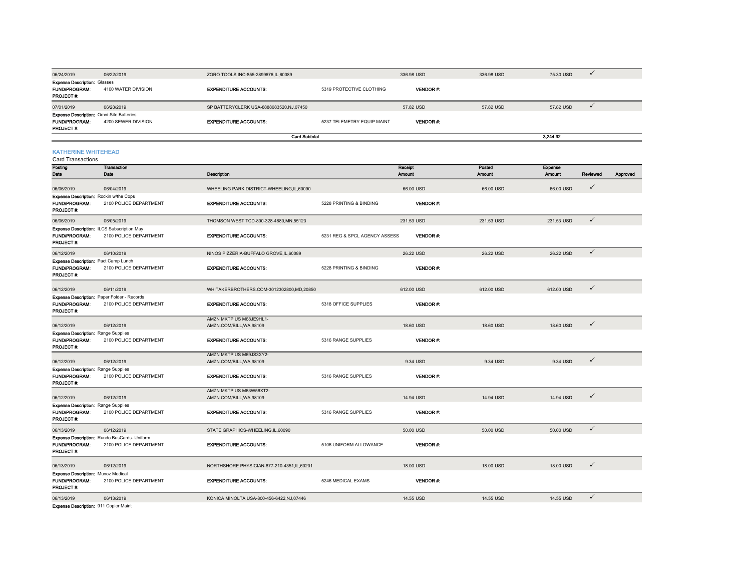| 06/24/2019                                                                                   | 06/22/2019          | ZORO TOOLS INC-855-2899676,IL,60089     |                            | 336.98 USD     | 336.98 USD | 75.30 USD |  |
|----------------------------------------------------------------------------------------------|---------------------|-----------------------------------------|----------------------------|----------------|------------|-----------|--|
| <b>Expense Description: Glasses</b><br><b>FUND/PROGRAM:</b><br><b>PROJECT #:</b>             | 4100 WATER DIVISION | <b>EXPENDITURE ACCOUNTS:</b>            | 5319 PROTECTIVE CLOTHING   | <b>VENDOR#</b> |            |           |  |
| 07/01/2019                                                                                   | 06/28/2019          | SP BATTERYCLERK USA-8888083520,NJ,07450 |                            | 57.82 USD      | 57.82 USD  | 57.82 USD |  |
| <b>Expense Description:</b> Omni-Site Batteries<br><b>FUND/PROGRAM:</b><br><b>PROJECT #:</b> | 4200 SEWER DIVISION | <b>EXPENDITURE ACCOUNTS:</b>            | 5237 TELEMETRY EQUIP MAINT | <b>VENDOR#</b> |            |           |  |
|                                                                                              |                     | <b>Card Subtotal</b>                    |                            |                |            | 3.244.32  |  |

### KATHERINE WHITEHEAD

| MITERINE WHITEREAD<br>Card Transactions    |                                                    |                                                     |                               |                 |               |            |              |          |
|--------------------------------------------|----------------------------------------------------|-----------------------------------------------------|-------------------------------|-----------------|---------------|------------|--------------|----------|
| Posting                                    | <b>Transaction</b>                                 |                                                     |                               | Receipt         | Posted        | Expense    |              |          |
| Date                                       | Date                                               | Description                                         |                               | Amount          | <b>Amount</b> | Amount     | Reviewed     | Approved |
| 06/06/2019                                 | 06/04/2019                                         | WHEELING PARK DISTRICT-WHEELING,IL,60090            |                               | 66.00 USD       | 66.00 USD     | 66.00 USD  | $\checkmark$ |          |
| Expense Description: Rockin w/the Cops     |                                                    |                                                     |                               |                 |               |            |              |          |
| <b>FUND/PROGRAM:</b><br>PROJECT#:          | 2100 POLICE DEPARTMENT                             | <b>EXPENDITURE ACCOUNTS:</b>                        | 5228 PRINTING & BINDING       | <b>VENDOR#:</b> |               |            |              |          |
| 06/06/2019                                 | 06/05/2019                                         | THOMSON WEST TCD-800-328-4880, MN, 55123            |                               | 231.53 USD      | 231.53 USD    | 231.53 USD | $\checkmark$ |          |
|                                            | Expense Description: ILCS Subscription May         |                                                     |                               |                 |               |            |              |          |
| <b>FUND/PROGRAM:</b><br>PROJECT #:         | 2100 POLICE DEPARTMENT                             | <b>EXPENDITURE ACCOUNTS:</b>                        | 5231 REG & SPCL AGENCY ASSESS | VENDOR#:        |               |            |              |          |
| 06/12/2019                                 | 06/10/2019                                         | NINOS PIZZERIA-BUFFALO GROVE, IL, 60089             |                               | 26.22 USD       | 26.22 USD     | 26.22 USD  | $\checkmark$ |          |
| Expense Description: Pact Camp Lunch       |                                                    |                                                     |                               |                 |               |            |              |          |
| <b>FUND/PROGRAM:</b><br>PROJECT#:          | 2100 POLICE DEPARTMENT                             | <b>EXPENDITURE ACCOUNTS:</b>                        | 5228 PRINTING & BINDING       | VENDOR#:        |               |            |              |          |
| 06/12/2019                                 | 06/11/2019                                         | WHITAKERBROTHERS.COM-3012302800,MD,20850            |                               | 612.00 USD      | 612.00 USD    | 612.00 USD | $\checkmark$ |          |
|                                            | <b>Expense Description: Paper Folder - Records</b> |                                                     |                               |                 |               |            |              |          |
| <b>FUND/PROGRAM:</b><br>PROJECT#:          | 2100 POLICE DEPARTMENT                             | <b>EXPENDITURE ACCOUNTS:</b>                        | 5318 OFFICE SUPPLIES          | <b>VENDOR#:</b> |               |            |              |          |
| 06/12/2019                                 | 06/12/2019                                         | AMZN MKTP US M68JE9HL1-<br>AMZN.COM/BILL, WA, 98109 |                               | 18,60 USD       | 18,60 USD     | 18.60 USD  | $\checkmark$ |          |
| <b>Expense Description: Range Supplies</b> |                                                    |                                                     |                               |                 |               |            |              |          |
| FUND/PROGRAM:<br>PROJECT#:                 | 2100 POLICE DEPARTMENT                             | <b>EXPENDITURE ACCOUNTS:</b>                        | 5316 RANGE SUPPLIES           | <b>VENDOR#:</b> |               |            |              |          |
| 06/12/2019                                 | 06/12/2019                                         | AMZN MKTP US M69JS3XY2-<br>AMZN.COM/BILL, WA, 98109 |                               | 9.34 USD        | 9.34 USD      | 9.34 USD   | $\checkmark$ |          |
| <b>Expense Description: Range Supplies</b> |                                                    |                                                     |                               |                 |               |            |              |          |
| <b>FUND/PROGRAM:</b><br>PROJECT#:          | 2100 POLICE DEPARTMENT                             | <b>EXPENDITURE ACCOUNTS:</b>                        | 5316 RANGE SUPPLIES           | <b>VENDOR#:</b> |               |            |              |          |
| 06/12/2019                                 | 06/12/2019                                         | AMZN MKTP US M63W56XT2-<br>AMZN.COM/BILL, WA, 98109 |                               | 14.94 USD       | 14.94 USD     | 14.94 USD  | $\checkmark$ |          |
| <b>Expense Description: Range Supplies</b> |                                                    |                                                     |                               |                 |               |            |              |          |
| <b>FUND/PROGRAM:</b>                       | 2100 POLICE DEPARTMENT                             | <b>EXPENDITURE ACCOUNTS:</b>                        | 5316 RANGE SUPPLIES           | <b>VENDOR#:</b> |               |            |              |          |
| PROJECT #:                                 |                                                    |                                                     |                               |                 |               |            |              |          |
| 06/13/2019                                 | 06/12/2019                                         | STATE GRAPHICS-WHEELING,IL,60090                    |                               | 50.00 USD       | 50.00 USD     | 50.00 USD  | $\checkmark$ |          |
|                                            | Expense Description: Rundo BusCards- Uniform       |                                                     |                               |                 |               |            |              |          |
| <b>FUND/PROGRAM:</b><br>PROJECT #:         | 2100 POLICE DEPARTMENT                             | <b>EXPENDITURE ACCOUNTS:</b>                        | 5106 UNIFORM ALLOWANCE        | <b>VENDOR#</b>  |               |            |              |          |
| 06/13/2019                                 | 06/12/2019                                         | NORTHSHORE PHYSICIAN-877-210-4351,IL,60201          |                               | 18.00 USD       | 18.00 USD     | 18.00 USD  | $\checkmark$ |          |
| Expense Description: Munoz Medical         |                                                    |                                                     |                               |                 |               |            |              |          |
| FUND/PROGRAM:<br>PROJECT#:                 | 2100 POLICE DEPARTMENT                             | <b>EXPENDITURE ACCOUNTS:</b>                        | 5246 MEDICAL EXAMS            | <b>VENDOR#:</b> |               |            |              |          |
| 06/13/2019                                 | 06/13/2019                                         | KONICA MINOLTA USA-800-456-6422.NJ.07446            |                               | 14.55 USD       | 14.55 USD     | 14.55 USD  | $\checkmark$ |          |
| Expense Description: 911 Copier Maint      |                                                    |                                                     |                               |                 |               |            |              |          |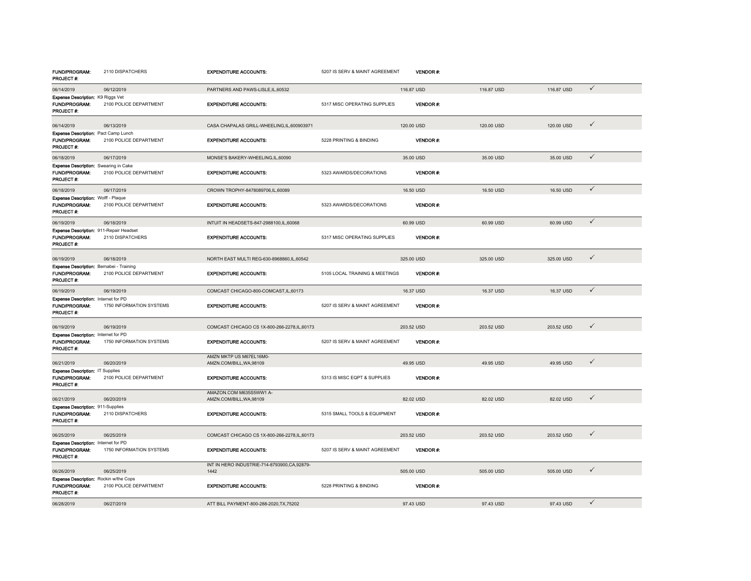| <b>FUND/PROGRAM:</b><br>PROJECT #:                                         | 2110 DISPATCHERS         | <b>EXPENDITURE ACCOUNTS:</b>                          | 5207 IS SERV & MAINT AGREEMENT | <b>VENDOR#</b>  |            |            |              |
|----------------------------------------------------------------------------|--------------------------|-------------------------------------------------------|--------------------------------|-----------------|------------|------------|--------------|
| 06/14/2019                                                                 | 06/12/2019               | PARTNERS AND PAWS-LISLE.IL.60532                      |                                | 116,87 USD      | 116,87 USD | 116,87 USD | $\checkmark$ |
| Expense Description: K9 Riggs Vet<br><b>FUND/PROGRAM:</b><br>PROJECT #:    | 2100 POLICE DEPARTMENT   | <b>EXPENDITURE ACCOUNTS:</b>                          | 5317 MISC OPERATING SUPPLIES   | VENDOR#:        |            |            |              |
| 06/14/2019<br>Expense Description: Pact Camp Lunch                         | 06/13/2019               | CASA CHAPALAS GRILL-WHEELING,IL,600903971             |                                | 120.00 USD      | 120.00 USD | 120.00 USD | $\checkmark$ |
| FUND/PROGRAM:<br>PROJECT#:                                                 | 2100 POLICE DEPARTMENT   | <b>EXPENDITURE ACCOUNTS:</b>                          | 5228 PRINTING & BINDING        | <b>VENDOR#:</b> |            |            |              |
| 06/18/2019                                                                 | 06/17/2019               | MONSE'S BAKERY-WHEELING,IL,60090                      |                                | 35.00 USD       | 35.00 USD  | 35.00 USD  | $\checkmark$ |
| Expense Description: Swearing in Cake<br>FUND/PROGRAM:<br>PROJECT#:        | 2100 POLICE DEPARTMENT   | <b>EXPENDITURE ACCOUNTS:</b>                          | 5323 AWARDS/DECORATIONS        | VENDOR#:        |            |            |              |
| 06/18/2019                                                                 | 06/17/2019               | CROWN TROPHY-8478089706,IL,60089                      |                                | 16.50 USD       | 16.50 USD  | 16.50 USD  | $\checkmark$ |
| Expense Description: Wolff - Plaque<br>FUND/PROGRAM:<br>PROJECT #:         | 2100 POLICE DEPARTMENT   | <b>EXPENDITURE ACCOUNTS:</b>                          | 5323 AWARDS/DECORATIONS        | <b>VENDOR#:</b> |            |            |              |
| 06/19/2019                                                                 | 06/18/2019               | INTUIT IN HEADSETS-847-2988100,IL,60068               |                                | 60.99 USD       | 60.99 USD  | 60.99 USD  | $\checkmark$ |
| Expense Description: 911-Repair Headset<br>FUND/PROGRAM:<br>PROJECT #:     | 2110 DISPATCHERS         | <b>EXPENDITURE ACCOUNTS:</b>                          | 5317 MISC OPERATING SUPPLIES   | <b>VENDOR#:</b> |            |            |              |
| 06/19/2019                                                                 | 06/18/2019               | NORTH EAST MULTI REG-630-8968860,IL,60542             |                                | 325.00 USD      | 325.00 USD | 325.00 USD | $\checkmark$ |
| Expense Description: Bernabei - Training<br>FUND/PROGRAM:<br>PROJECT#:     | 2100 POLICE DEPARTMENT   | <b>EXPENDITURE ACCOUNTS:</b>                          | 5105 LOCAL TRAINING & MEETINGS | VENDOR#:        |            |            |              |
| 06/19/2019                                                                 | 06/19/2019               | COMCAST CHICAGO-800-COMCAST, IL, 60173                |                                | 16.37 USD       | 16.37 USD  | 16.37 USD  | $\checkmark$ |
| Expense Description: Internet for PD<br><b>FUND/PROGRAM:</b><br>PROJECT#:  | 1750 INFORMATION SYSTEMS | <b>EXPENDITURE ACCOUNTS:</b>                          | 5207 IS SERV & MAINT AGREEMENT | VENDOR#:        |            |            |              |
| 06/19/2019                                                                 | 06/19/2019               | COMCAST CHICAGO CS 1X-800-266-2278, IL, 60173         |                                | 203.52 USD      | 203.52 USD | 203.52 USD | $\checkmark$ |
| Expense Description: Internet for PD<br><b>FUND/PROGRAM:</b><br>PROJECT #: | 1750 INFORMATION SYSTEMS | <b>EXPENDITURE ACCOUNTS:</b>                          | 5207 IS SERV & MAINT AGREEMENT | VENDOR#:        |            |            |              |
| 06/21/2019                                                                 | 06/20/2019               | AMZN MKTP US M67EL16M0-<br>AMZN.COM/BILL, WA, 98109   |                                | 49.95 USD       | 49.95 USD  | 49.95 USD  | $\checkmark$ |
| Expense Description: IT Supplies<br>FUND/PROGRAM:<br>PROJECT #:            | 2100 POLICE DEPARTMENT   | <b>EXPENDITURE ACCOUNTS:</b>                          | 5313 IS MISC EQPT & SUPPLIES   | VENDOR #:       |            |            |              |
| 06/21/2019                                                                 | 06/20/2019               | AMAZON.COM M635S5WW1 A-<br>AMZN.COM/BILL, WA, 98109   |                                | 82.02 USD       | 82.02 USD  | 82.02 USD  | $\checkmark$ |
| Expense Description: 911-Supplies<br>FUND/PROGRAM:<br>PROJECT#:            | 2110 DISPATCHERS         | <b>EXPENDITURE ACCOUNTS:</b>                          | 5315 SMALL TOOLS & EQUIPMENT   | VENDOR#:        |            |            |              |
| 06/25/2019                                                                 | 06/25/2019               | COMCAST CHICAGO CS 1X-800-266-2278, IL, 60173         |                                | 203.52 USD      | 203.52 USD | 203.52 USD | $\checkmark$ |
| Expense Description: Internet for PD<br><b>FUND/PROGRAM:</b><br>PROJECT #: | 1750 INFORMATION SYSTEMS | <b>EXPENDITURE ACCOUNTS:</b>                          | 5207 IS SERV & MAINT AGREEMENT | <b>VENDOR#:</b> |            |            |              |
| 06/26/2019                                                                 | 06/25/2019               | INT IN HERO INDUSTRIE-714-8793900, CA, 92879-<br>1442 |                                | 505.00 USD      | 505.00 USD | 505.00 USD | $\checkmark$ |
| Expense Description: Rockin w/the Cops<br>FUND/PROGRAM:<br>PROJECT #:      | 2100 POLICE DEPARTMENT   | <b>EXPENDITURE ACCOUNTS:</b>                          | 5228 PRINTING & BINDING        | VENDOR#:        |            |            |              |
| 06/28/2019                                                                 | 06/27/2019               | ATT BILL PAYMENT-800-288-2020.TX.75202                |                                | 97.43 USD       | 97.43 USD  | 97.43 USD  | $\checkmark$ |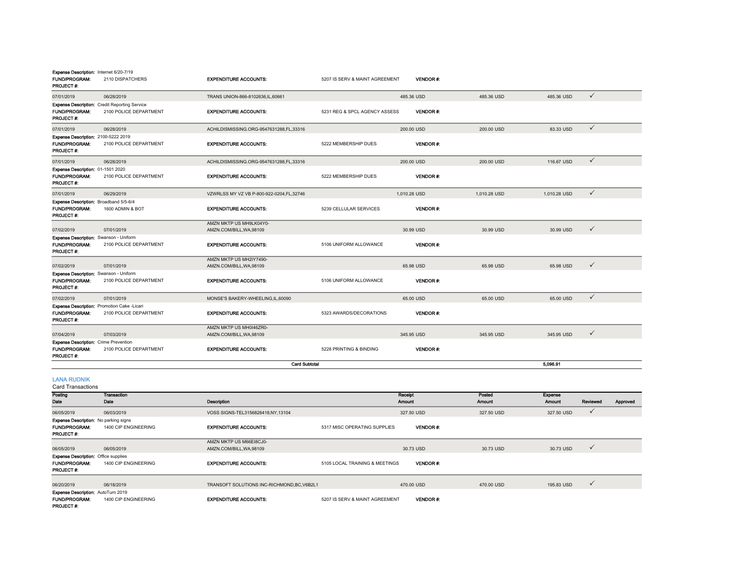| Expense Description: Internet 6/20-7/19<br>FUND/PROGRAM:<br>PROJECT #:                  | 2110 DISPATCHERS                                                               | <b>EXPENDITURE ACCOUNTS:</b>                        | 5207 IS SERV & MAINT AGREEMENT | VENDOR#:          |                         |                          |              |          |
|-----------------------------------------------------------------------------------------|--------------------------------------------------------------------------------|-----------------------------------------------------|--------------------------------|-------------------|-------------------------|--------------------------|--------------|----------|
| 07/01/2019                                                                              | 06/28/2019                                                                     | TRANS UNION-866-8102636, IL, 60661                  |                                | 485.36 USD        | 485.36 USD              | 485.36 USD               | $\checkmark$ |          |
| FUND/PROGRAM:<br>PROJECT#:                                                              | <b>Expense Description:</b> Credit Reporting Service<br>2100 POLICE DEPARTMENT | <b>EXPENDITURE ACCOUNTS:</b>                        | 5231 REG & SPCL AGENCY ASSESS  | VENDOR#:          |                         |                          |              |          |
| 07/01/2019                                                                              | 06/28/2019                                                                     | ACHILDISMISSING.ORG-9547631288,FL,33316             |                                | 200.00 USD        | 200.00 USD              | 83.33 USD                | $\checkmark$ |          |
| Expense Description: 2100-5222 2019<br>FUND/PROGRAM:<br>PROJECT#:                       | 2100 POLICE DEPARTMENT                                                         | <b>EXPENDITURE ACCOUNTS:</b>                        | 5222 MEMBERSHIP DUES           | VENDOR#:          |                         |                          |              |          |
| 07/01/2019                                                                              | 06/28/2019                                                                     | ACHILDISMISSING.ORG-9547631288,FL,33316             |                                | 200.00 USD        | 200.00 USD              | 116.67 USD               | $\checkmark$ |          |
| Expense Description: 01-1501 2020<br>FUND/PROGRAM:<br>PROJECT#:                         | 2100 POLICE DEPARTMENT                                                         | <b>EXPENDITURE ACCOUNTS:</b>                        | 5222 MEMBERSHIP DUES           | VENDOR#:          |                         |                          |              |          |
| 07/01/2019                                                                              | 06/29/2019                                                                     | VZWRLSS MY VZ VB P-800-922-0204,FL,32746            |                                | 1,010.28 USD      | 1,010.28 USD            | 1,010.28 USD             | $\checkmark$ |          |
| Expense Description: Broadband 5/5-6/4<br><b>FUND/PROGRAM:</b><br>PROJECT#:             | 1600 ADMIN & BOT                                                               | <b>EXPENDITURE ACCOUNTS:</b>                        | 5239 CELLULAR SERVICES         | VENDOR#:          |                         |                          |              |          |
| 07/02/2019                                                                              | 07/01/2019                                                                     | AMZN MKTP US MH9LK04Y0-<br>AMZN.COM/BILL, WA, 98109 |                                | 30.99 USD         | 30.99 USD               | 30.99 USD                | $\checkmark$ |          |
| Expense Description: Swanson - Uniform<br>FUND/PROGRAM:<br>PROJECT #:                   | 2100 POLICE DEPARTMENT                                                         | <b>EXPENDITURE ACCOUNTS:</b>                        | 5106 UNIFORM ALLOWANCE         | VENDOR#:          |                         |                          |              |          |
|                                                                                         |                                                                                | AMZN MKTP US MH2IY7490-                             |                                |                   |                         |                          | $\checkmark$ |          |
| 07/02/2019<br>Expense Description: Swanson - Uniform                                    | 07/01/2019                                                                     | AMZN.COM/BILL, WA, 98109                            |                                | 65.98 USD         | 65.98 USD               | 65.98 USD                |              |          |
| <b>FUND/PROGRAM:</b><br>PROJECT #:                                                      | 2100 POLICE DEPARTMENT                                                         | <b>EXPENDITURE ACCOUNTS:</b>                        | 5106 UNIFORM ALLOWANCE         | <b>VENDOR#:</b>   |                         |                          |              |          |
| 07/02/2019                                                                              | 07/01/2019                                                                     | MONSE'S BAKERY-WHEELING,IL,60090                    |                                | 65.00 USD         | 65.00 USD               | 65.00 USD                | $\checkmark$ |          |
| Expense Description: Promotion Cake -Licari<br><b>FUND/PROGRAM:</b><br>PROJECT #:       | 2100 POLICE DEPARTMENT                                                         | <b>EXPENDITURE ACCOUNTS:</b>                        | 5323 AWARDS/DECORATIONS        | <b>VENDOR#:</b>   |                         |                          |              |          |
| 07/04/2019                                                                              | 07/03/2019                                                                     | AMZN MKTP US MH0I46ZR0-<br>AMZN.COM/BILL, WA, 98109 |                                | 345.95 USD        | 345.95 USD              | 345.95 USD               | $\checkmark$ |          |
| Expense Description: Crime Prevention<br>FUND/PROGRAM:<br>PROJECT #:                    | 2100 POLICE DEPARTMENT                                                         | <b>EXPENDITURE ACCOUNTS:</b>                        | 5228 PRINTING & BINDING        | VENDOR#:          |                         |                          |              |          |
|                                                                                         |                                                                                | <b>Card Subtotal</b>                                |                                |                   |                         | 5,096.91                 |              |          |
| <b>LANA RUDNIK</b><br>Card Transactions                                                 |                                                                                |                                                     |                                |                   |                         |                          |              |          |
| Posting<br>Date                                                                         | <b>Transaction</b><br>Date                                                     | Description                                         |                                | Receipt<br>Amount | Posted<br><b>Amount</b> | <b>Expense</b><br>Amount | Reviewed     | Approved |
| 06/05/2019                                                                              | 06/03/2019                                                                     | VOSS SIGNS-TEL3156826418,NY,13104                   |                                | 327.50 USD        | 327.50 USD              | 327.50 USD               | $\checkmark$ |          |
| Expense Description: No parking signs<br><b>FUND/PROGRAM:</b><br>PROJECT #:             | 1400 CIP ENGINEERING                                                           | <b>EXPENDITURE ACCOUNTS:</b>                        | 5317 MISC OPERATING SUPPLIES   | VENDOR#:          |                         |                          |              |          |
|                                                                                         |                                                                                | AMZN MKTP US M66EI8CJ0-<br>AMZN.COM/BILL.WA.98109   |                                | 30.73 USD         | 30.73 USD               | 30.73 USD                | $\checkmark$ |          |
| 06/05/2019<br><b>Expense Description: Office supplies</b><br>FUND/PROGRAM.<br>PROJECT#: | 06/05/2019<br>1400 CIP ENGINEERING                                             | <b>EXPENDITURE ACCOUNTS:</b>                        | 5105 LOCAL TRAINING & MEETINGS | VENDOR#:          |                         |                          |              |          |
|                                                                                         |                                                                                |                                                     |                                |                   |                         |                          |              |          |
| 06/20/2019                                                                              | 06/18/2019                                                                     | TRANSOFT SOLUTIONS INC-RICHMOND, BC, V6B2L1         |                                | 470.00 USD        | 470.00 USD              | 195.83 USD               | $\checkmark$ |          |
| Expense Description: AutoTurn 2019<br>FUND/PROGRAM:<br>PROJECT#:                        | 1400 CIP ENGINEERING                                                           | <b>EXPENDITURE ACCOUNTS:</b>                        | 5207 IS SERV & MAINT AGREEMENT | VENDOR#:          |                         |                          |              |          |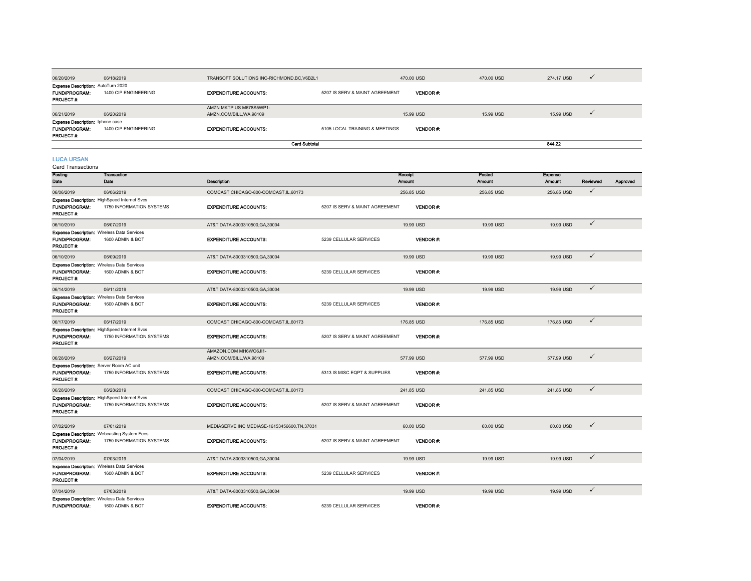|                                                                              |                                                                          |                                                     |                                |                 |               |               | $\checkmark$ |          |
|------------------------------------------------------------------------------|--------------------------------------------------------------------------|-----------------------------------------------------|--------------------------------|-----------------|---------------|---------------|--------------|----------|
| 06/20/2019                                                                   | 06/18/2019                                                               | TRANSOFT SOLUTIONS INC-RICHMOND, BC, V6B2L1         |                                | 470.00 USD      | 470.00 USD    | 274.17 USD    |              |          |
| Expense Description: AutoTurn 2020<br><b>FUND/PROGRAM:</b><br>PROJECT#:      | 1400 CIP ENGINEERING                                                     | <b>EXPENDITURE ACCOUNTS:</b>                        | 5207 IS SERV & MAINT AGREEMENT | VENDOR#:        |               |               |              |          |
| 06/21/2019                                                                   | 06/20/2019                                                               | AMZN MKTP US M678S5WP1-<br>AMZN.COM/BILL, WA, 98109 |                                | 15.99 USD       | 15.99 USD     | 15.99 USD     | $\checkmark$ |          |
| <b>Expense Description:</b> Iphone case<br><b>FUND/PROGRAM:</b><br>PROJECT#: | 1400 CIP ENGINEERING                                                     | <b>EXPENDITURE ACCOUNTS:</b>                        | 5105 LOCAL TRAINING & MEETINGS | <b>VENDOR#:</b> |               |               |              |          |
|                                                                              |                                                                          | <b>Card Subtotal</b>                                |                                |                 |               | 844.22        |              |          |
| <b>LUCA URSAN</b><br><b>Card Transactions</b>                                |                                                                          |                                                     |                                |                 |               |               |              |          |
| Posting                                                                      | <b>Transaction</b>                                                       |                                                     |                                | Receipt         | Posted        | Expense       |              |          |
| Date                                                                         | Date                                                                     | <b>Description</b>                                  |                                | <b>Amount</b>   | <b>Amount</b> | <b>Amount</b> | Reviewed     | Approved |
| 06/06/2019                                                                   | 06/06/2019                                                               | COMCAST CHICAGO-800-COMCAST, IL, 60173              |                                | 256.85 USD      | 256.85 USD    | 256.85 USD    | $\checkmark$ |          |
| <b>FUND/PROGRAM:</b><br>PROJECT#:                                            | Expense Description: HighSpeed Internet Svcs<br>1750 INFORMATION SYSTEMS | <b>EXPENDITURE ACCOUNTS:</b>                        | 5207 IS SERV & MAINT AGREEMENT | <b>VENDOR#</b>  |               |               |              |          |
| 06/10/2019                                                                   | 06/07/2019                                                               | AT&T DATA-8003310500, GA, 30004                     |                                | 19.99 USD       | 19.99 USD     | 19.99 USD     | $\checkmark$ |          |
| <b>FUND/PROGRAM:</b><br>PROJECT #:                                           | <b>Expense Description: Wireless Data Services</b><br>1600 ADMIN & BOT   | <b>EXPENDITURE ACCOUNTS:</b>                        | 5239 CELLULAR SERVICES         | <b>VENDOR#</b>  |               |               |              |          |
| 06/10/2019                                                                   | 06/09/2019                                                               | AT&T DATA-8003310500, GA, 30004                     |                                | 19.99 USD       | 19.99 USD     | 19.99 USD     | $\checkmark$ |          |
| <b>FUND/PROGRAM:</b><br>PROJECT#:                                            | <b>Expense Description: Wireless Data Services</b><br>1600 ADMIN & BOT   | <b>EXPENDITURE ACCOUNTS:</b>                        | 5239 CELLULAR SERVICES         | <b>VENDOR#:</b> |               |               |              |          |

| <b>FUND/PROGRAM:</b><br><b>PROJECT #:</b>                                     | <b>Expense Description: Wireless Data Services</b><br>1600 ADMIN & BOT          | <b>EXPENDITURE ACCOUNTS:</b>                    | 5239 CELLULAR SERVICES         | <b>VENDOR#</b>  |            |            |              |
|-------------------------------------------------------------------------------|---------------------------------------------------------------------------------|-------------------------------------------------|--------------------------------|-----------------|------------|------------|--------------|
| 06/17/2019                                                                    | 06/17/2019                                                                      | COMCAST CHICAGO-800-COMCAST, IL, 60173          |                                | 176.85 USD      | 176,85 USD | 176.85 USD |              |
| <b>FUND/PROGRAM:</b><br><b>PROJECT#:</b>                                      | <b>Expense Description:</b> HighSpeed Internet Svcs<br>1750 INFORMATION SYSTEMS | <b>EXPENDITURE ACCOUNTS:</b>                    | 5207 IS SERV & MAINT AGREEMENT | <b>VENDOR#:</b> |            |            |              |
| 06/28/2019                                                                    | 06/27/2019                                                                      | AMAZON.COM MH6WO6JI1-<br>AMZN.COM/BILL.WA.98109 |                                | 577.99 USD      | 577.99 USD | 577.99 USD | $\checkmark$ |
| Expense Description: Server Room AC unit<br><b>FUND/PROGRAM:</b><br>PROJECT#: | 1750 INFORMATION SYSTEMS                                                        | <b>EXPENDITURE ACCOUNTS:</b>                    | 5313 IS MISC EQPT & SUPPLIES   | <b>VENDOR#:</b> |            |            |              |
| 06/28/2019                                                                    | 06/28/2019                                                                      | COMCAST CHICAGO-800-COMCAST.IL.60173            |                                | 241.85 USD      | 241.85 USD | 241.85 USD |              |
|                                                                               | <b>Expanse Description: HighSpeed Internet Sycs.</b>                            |                                                 |                                |                 |            |            |              |

| FUND/PROGRAM:<br>PROJECT#:                                                                     | <b>Expense Description:</b> HighSpeed Internet Sycs<br>1750 INFORMATION SYSTEMS | <b>EXPENDITURE ACCOUNTS:</b>                  | 5207 IS SERV & MAINT AGREEMENT | <b>VENDOR#:</b> |           |           |              |
|------------------------------------------------------------------------------------------------|---------------------------------------------------------------------------------|-----------------------------------------------|--------------------------------|-----------------|-----------|-----------|--------------|
| 07/02/2019                                                                                     | 07/01/2019                                                                      | MEDIASERVE INC MEDIASE-16153456600, TN, 37031 |                                | 60.00 USD       | 60.00 USD | 60.00 USD | $\checkmark$ |
| <b>FUND/PROGRAM:</b><br><b>PROJECT#:</b>                                                       | <b>Expense Description:</b> Webcasting System Fees<br>1750 INFORMATION SYSTEMS  | <b>EXPENDITURE ACCOUNTS:</b>                  | 5207 IS SERV & MAINT AGREEMENT | <b>VENDOR#:</b> |           |           |              |
| 07/04/2019                                                                                     | 07/03/2019                                                                      | AT&T DATA-8003310500, GA, 30004               |                                | 19.99 USD       | 19.99 USD | 19.99 USD |              |
| <b>Expense Description: Wireless Data Services</b><br><b>FUND/PROGRAM:</b><br><b>PROJECT#:</b> | 1600 ADMIN & BOT                                                                | <b>EXPENDITURE ACCOUNTS:</b>                  | 5239 CELLULAR SERVICES         | VENDOR#:        |           |           |              |
| 07/04/2019                                                                                     | 07/03/2019                                                                      | AT&T DATA-8003310500, GA, 30004               |                                | 19.99 USD       | 19.99 USD | 19.99 USD |              |
| <b>Expense Description:</b> Wireless Data Services<br><b>FUND/PROGRAM:</b>                     | 1600 ADMIN & BOT                                                                | <b>EXPENDITURE ACCOUNTS:</b>                  | 5239 CELLULAR SERVICES         | VENDOR#:        |           |           |              |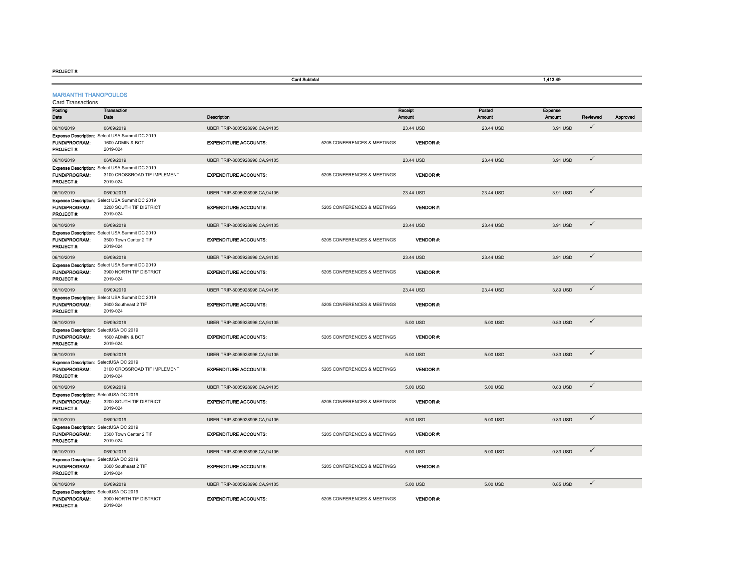#### PROJECT #:

|                                                                       |                                                                                             |                               | <b>Card Subtotal</b>        |                   |                  | 1,413.49                 |              |          |  |  |
|-----------------------------------------------------------------------|---------------------------------------------------------------------------------------------|-------------------------------|-----------------------------|-------------------|------------------|--------------------------|--------------|----------|--|--|
| <b>MARIANTHI THANOPOULOS</b><br><b>Card Transactions</b>              |                                                                                             |                               |                             |                   |                  |                          |              |          |  |  |
| Posting<br>Date                                                       | <b>Transaction</b><br>Date                                                                  | Description                   |                             | Receipt<br>Amount | Posted<br>Amount | <b>Expense</b><br>Amount | Reviewed     | Approved |  |  |
| 06/10/2019                                                            | 06/09/2019                                                                                  | UBER TRIP-8005928996,CA,94105 |                             | 23.44 USD         | 23.44 USD        | 3.91 USD                 | $\checkmark$ |          |  |  |
| <b>FUND/PROGRAM:</b><br>PROJECT #:                                    | Expense Description: Select USA Summit DC 2019<br>1600 ADMIN & BOT<br>2019-024              | <b>EXPENDITURE ACCOUNTS:</b>  | 5205 CONFERENCES & MEETINGS | VENDOR#:          |                  |                          |              |          |  |  |
| 06/10/2019                                                            | 06/09/2019                                                                                  | UBER TRIP-8005928996,CA,94105 |                             | 23.44 USD         | 23.44 USD        | 3.91 USD                 | $\checkmark$ |          |  |  |
| FUND/PROGRAM:<br>PROJECT #:                                           | Expense Description: Select USA Summit DC 2019<br>3100 CROSSROAD TIF IMPLEMENT.<br>2019-024 | <b>EXPENDITURE ACCOUNTS:</b>  | 5205 CONFERENCES & MEETINGS | <b>VENDOR#:</b>   |                  |                          |              |          |  |  |
| 06/10/2019                                                            | 06/09/2019                                                                                  | UBER TRIP-8005928996,CA,94105 |                             | 23.44 USD         | 23.44 USD        | 3.91 USD                 | $\checkmark$ |          |  |  |
| <b>FUND/PROGRAM:</b><br>PROJECT #:                                    | Expense Description: Select USA Summit DC 2019<br>3200 SOUTH TIF DISTRICT<br>2019-024       | <b>EXPENDITURE ACCOUNTS:</b>  | 5205 CONFERENCES & MEETINGS | VENDOR#:          |                  |                          |              |          |  |  |
| 06/10/2019                                                            | 06/09/2019                                                                                  | UBER TRIP-8005928996,CA,94105 |                             | 23.44 USD         | 23.44 USD        | 3.91 USD                 | $\checkmark$ |          |  |  |
| FUND/PROGRAM:<br><b>PROJECT#:</b>                                     | Expense Description: Select USA Summit DC 2019<br>3500 Town Center 2 TIF<br>2019-024        | <b>EXPENDITURE ACCOUNTS:</b>  | 5205 CONFERENCES & MEETINGS | VENDOR#:          |                  |                          |              |          |  |  |
| 06/10/2019                                                            | 06/09/2019                                                                                  | UBER TRIP-8005928996,CA,94105 |                             | 23.44 USD         | 23.44 USD        | 3.91 USD                 | $\checkmark$ |          |  |  |
| FUND/PROGRAM:<br><b>PROJECT#:</b>                                     | Expense Description: Select USA Summit DC 2019<br>3900 NORTH TIF DISTRICT<br>2019-024       | <b>EXPENDITURE ACCOUNTS:</b>  | 5205 CONFERENCES & MEETINGS | <b>VENDOR#:</b>   |                  |                          |              |          |  |  |
| 06/10/2019                                                            | 06/09/2019                                                                                  | UBER TRIP-8005928996,CA,94105 |                             | 23.44 USD         | 23.44 USD        | 3.89 USD                 | $\checkmark$ |          |  |  |
| FUND/PROGRAM:<br>PROJECT #:                                           | Expense Description: Select USA Summit DC 2019<br>3600 Southeast 2 TIF<br>2019-024          | <b>EXPENDITURE ACCOUNTS:</b>  | 5205 CONFERENCES & MEETINGS | <b>VENDOR#:</b>   |                  |                          |              |          |  |  |
| 06/10/2019                                                            | 06/09/2019                                                                                  | UBER TRIP-8005928996,CA,94105 |                             | 5.00 USD          | 5.00 USD         | 0.83 USD                 | $\checkmark$ |          |  |  |
| Expense Description: SelectUSA DC 2019<br>FUND/PROGRAM:<br>PROJECT#:  | 1600 ADMIN & BOT<br>2019-024                                                                | <b>EXPENDITURE ACCOUNTS:</b>  | 5205 CONFERENCES & MEETINGS | <b>VENDOR#:</b>   |                  |                          |              |          |  |  |
| 06/10/2019                                                            | 06/09/2019                                                                                  | UBER TRIP-8005928996,CA,94105 |                             | 5.00 USD          | 5.00 USD         | 0.83 USD                 | $\checkmark$ |          |  |  |
| Expense Description: SelectUSA DC 2019<br>FUND/PROGRAM:<br>PROJECT#:  | 3100 CROSSROAD TIF IMPLEMENT.<br>2019-024                                                   | <b>EXPENDITURE ACCOUNTS:</b>  | 5205 CONFERENCES & MEETINGS | <b>VENDOR#:</b>   |                  |                          |              |          |  |  |
| 06/10/2019                                                            | 06/09/2019                                                                                  | UBER TRIP-8005928996,CA,94105 |                             | 5.00 USD          | 5.00 USD         | 0.83 USD                 | $\checkmark$ |          |  |  |
| Expense Description: SelectUSA DC 2019<br>FUND/PROGRAM:<br>PROJECT #: | 3200 SOUTH TIF DISTRICT<br>2019-024                                                         | <b>EXPENDITURE ACCOUNTS:</b>  | 5205 CONFERENCES & MEETINGS | <b>VENDOR#:</b>   |                  |                          |              |          |  |  |
| 06/10/2019                                                            | 06/09/2019                                                                                  | UBER TRIP-8005928996,CA,94105 |                             | 5.00 USD          | 5.00 USD         | 0.83 USD                 | $\checkmark$ |          |  |  |
| Expense Description: SelectUSA DC 2019<br>FUND/PROGRAM:<br>PROJECT#:  | 3500 Town Center 2 TIF<br>2019-024                                                          | <b>EXPENDITURE ACCOUNTS:</b>  | 5205 CONFERENCES & MEETINGS | <b>VENDOR#:</b>   |                  |                          |              |          |  |  |
| 06/10/2019                                                            | 06/09/2019                                                                                  | UBER TRIP-8005928996,CA,94105 |                             | 5.00 USD          | 5.00 USD         | 0.83 USD                 | $\checkmark$ |          |  |  |
| Expense Description: SelectUSA DC 2019<br>FUND/PROGRAM:<br>PROJECT#:  | 3600 Southeast 2 TIF<br>2019-024                                                            | <b>EXPENDITURE ACCOUNTS:</b>  | 5205 CONFERENCES & MEETINGS | <b>VENDOR#:</b>   |                  |                          |              |          |  |  |
| 06/10/2019                                                            | 06/09/2019                                                                                  | UBER TRIP-8005928996,CA,94105 |                             | 5.00 USD          | 5.00 USD         | 0.85 USD                 | $\checkmark$ |          |  |  |
| <b>Expense Description: SelectUSA DC 2019</b><br>FUND/PROGRAM:        | 3900 NORTH TIF DISTRICT                                                                     | <b>EXPENDITURE ACCOUNTS:</b>  | 5205 CONFERENCES & MEETINGS | <b>VENDOR#:</b>   |                  |                          |              |          |  |  |

FUND/PROG PROJECT #:2019-024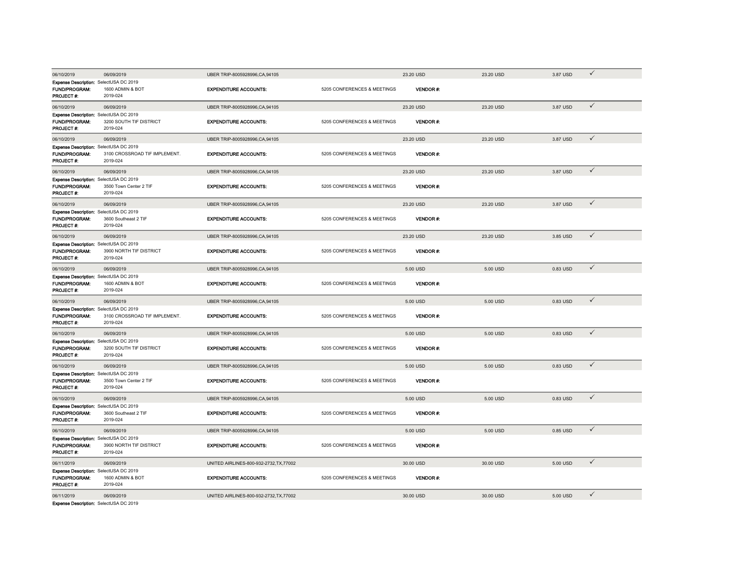| 06/10/2019                                                                          | 06/09/2019                                | UBER TRIP-8005928996.CA.94105           |                             | 23.20 USD       | 23.20 USD | 3.87 USD | $\checkmark$ |
|-------------------------------------------------------------------------------------|-------------------------------------------|-----------------------------------------|-----------------------------|-----------------|-----------|----------|--------------|
| Expense Description: SelectUSA DC 2019<br><b>FUND/PROGRAM:</b>                      | 1600 ADMIN & BOT                          | <b>EXPENDITURE ACCOUNTS:</b>            | 5205 CONFERENCES & MEETINGS | VENDOR#:        |           |          |              |
| PROJECT #:                                                                          | 2019-024                                  |                                         |                             |                 |           |          |              |
| 06/10/2019                                                                          | 06/09/2019                                | UBER TRIP-8005928996.CA.94105           |                             | 23.20 USD       | 23.20 USD | 3.87 USD | $\checkmark$ |
| Expense Description: SelectUSA DC 2019<br><b>FUND/PROGRAM:</b><br>PROJECT #:        | 3200 SOUTH TIF DISTRICT<br>2019-024       | <b>EXPENDITURE ACCOUNTS:</b>            | 5205 CONFERENCES & MEETINGS | VENDOR#:        |           |          |              |
| 06/10/2019                                                                          | 06/09/2019                                | UBER TRIP-8005928996,CA,94105           |                             | 23.20 USD       | 23.20 USD | 3.87 USD | $\checkmark$ |
| Expense Description: SelectUSA DC 2019<br><b>FUND/PROGRAM:</b><br><b>PROJECT #:</b> | 3100 CROSSROAD TIF IMPLEMENT.<br>2019-024 | <b>EXPENDITURE ACCOUNTS:</b>            | 5205 CONFERENCES & MEETINGS | <b>VENDOR#</b>  |           |          |              |
| 06/10/2019                                                                          | 06/09/2019                                | UBER TRIP-8005928996,CA,94105           |                             | 23.20 USD       | 23.20 USD | 3.87 USD | $\checkmark$ |
| Expense Description: SelectUSA DC 2019<br><b>FUND/PROGRAM:</b><br>PROJECT #:        | 3500 Town Center 2 TIF<br>2019-024        | <b>EXPENDITURE ACCOUNTS:</b>            | 5205 CONFERENCES & MEETINGS | <b>VENDOR#:</b> |           |          |              |
| 06/10/2019                                                                          | 06/09/2019                                | UBER TRIP-8005928996,CA,94105           |                             | 23.20 USD       | 23.20 USD | 3.87 USD | $\checkmark$ |
| Expense Description: SelectUSA DC 2019<br>FUND/PROGRAM:<br>PROJECT #:               | 3600 Southeast 2 TIF<br>2019-024          | <b>EXPENDITURE ACCOUNTS:</b>            | 5205 CONFERENCES & MEETINGS | <b>VENDOR#:</b> |           |          |              |
| 06/10/2019                                                                          | 06/09/2019                                | UBER TRIP-8005928996,CA,94105           |                             | 23.20 USD       | 23.20 USD | 3.85 USD | $\checkmark$ |
| Expense Description: SelectUSA DC 2019<br>FUND/PROGRAM:<br>PROJECT #:               | 3900 NORTH TIF DISTRICT<br>2019-024       | <b>EXPENDITURE ACCOUNTS:</b>            | 5205 CONFERENCES & MEETINGS | VENDOR#:        |           |          |              |
| 06/10/2019                                                                          | 06/09/2019                                | UBER TRIP-8005928996,CA,94105           |                             | 5.00 USD        | 5.00 USD  | 0.83 USD | $\checkmark$ |
| Expense Description: SelectUSA DC 2019<br>FUND/PROGRAM:<br><b>PROJECT#:</b>         | 1600 ADMIN & BOT<br>2019-024              | <b>EXPENDITURE ACCOUNTS:</b>            | 5205 CONFERENCES & MEETINGS | VENDOR#:        |           |          |              |
| 06/10/2019                                                                          | 06/09/2019                                | UBER TRIP-8005928996,CA,94105           |                             | 5.00 USD        | 5.00 USD  | 0.83 USD | $\checkmark$ |
| Expense Description: SelectUSA DC 2019<br>FUND/PROGRAM:<br>PROJECT #:               | 3100 CROSSROAD TIF IMPLEMENT.<br>2019-024 | <b>EXPENDITURE ACCOUNTS:</b>            | 5205 CONFERENCES & MEETINGS | VENDOR#:        |           |          |              |
| 06/10/2019                                                                          | 06/09/2019                                | UBER TRIP-8005928996,CA,94105           |                             | 5.00 USD        | 5.00 USD  | 0.83 USD | $\checkmark$ |
| Expense Description: SelectUSA DC 2019<br>FUND/PROGRAM:<br>PROJECT#:                | 3200 SOUTH TIF DISTRICT<br>2019-024       | <b>EXPENDITURE ACCOUNTS:</b>            | 5205 CONFERENCES & MEETINGS | VENDOR#:        |           |          |              |
| 06/10/2019                                                                          | 06/09/2019                                | UBER TRIP-8005928996,CA,94105           |                             | 5.00 USD        | 5.00 USD  | 0.83 USD | $\checkmark$ |
| Expense Description: SelectUSA DC 2019<br>FUND/PROGRAM:<br>PROJECT #:               | 3500 Town Center 2 TIF<br>2019-024        | <b>EXPENDITURE ACCOUNTS:</b>            | 5205 CONFERENCES & MEETINGS | VENDOR#:        |           |          |              |
| 06/10/2019                                                                          | 06/09/2019                                | UBER TRIP-8005928996,CA,94105           |                             | 5.00 USD        | 5.00 USD  | 0.83 USD | $\checkmark$ |
| Expense Description: SelectUSA DC 2019<br>FUND/PROGRAM:<br>PROJECT #:               | 3600 Southeast 2 TIF<br>2019-024          | <b>EXPENDITURE ACCOUNTS:</b>            | 5205 CONFERENCES & MEETINGS | VENDOR#:        |           |          |              |
| 06/10/2019                                                                          | 06/09/2019                                | UBER TRIP-8005928996,CA,94105           |                             | 5.00 USD        | 5.00 USD  | 0.85 USD | $\checkmark$ |
| Expense Description: SelectUSA DC 2019<br>FUND/PROGRAM:<br>PROJECT#:                | 3900 NORTH TIF DISTRICT<br>2019-024       | <b>EXPENDITURE ACCOUNTS:</b>            | 5205 CONFERENCES & MEETINGS | <b>VENDOR#:</b> |           |          |              |
| 06/11/2019                                                                          | 06/09/2019                                | UNITED AIRLINES-800-932-2732, TX, 77002 |                             | 30.00 USD       | 30.00 USD | 5.00 USD | $\checkmark$ |
| Expense Description: SelectUSA DC 2019<br>FUND/PROGRAM:<br>PROJECT #:               | 1600 ADMIN & BOT<br>2019-024              | <b>EXPENDITURE ACCOUNTS:</b>            | 5205 CONFERENCES & MEETINGS | VENDOR#:        |           |          |              |
| 06/11/2019<br>Expense Description: SelectUSA DC 2019                                | 06/09/2019                                | UNITED AIRLINES-800-932-2732, TX, 77002 |                             | 30.00 USD       | 30.00 USD | 5.00 USD | $\checkmark$ |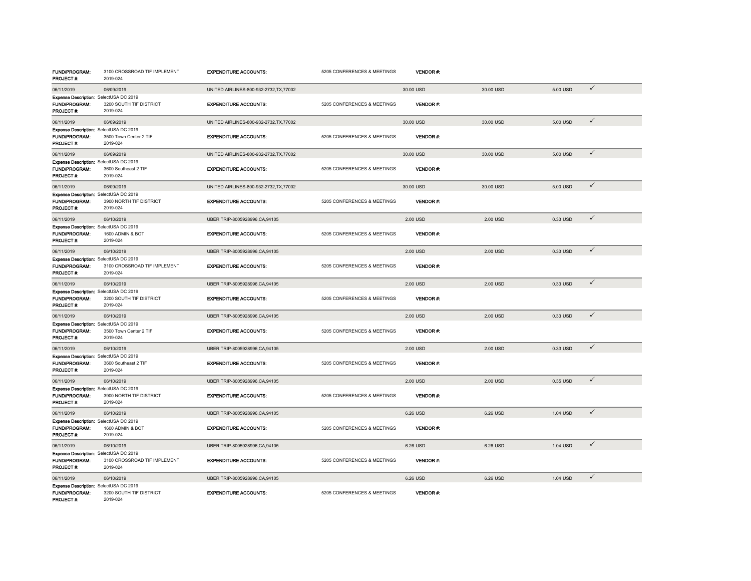| <b>FUND/PROGRAM:</b><br>PROJECT #:                                                 | 3100 CROSSROAD TIF IMPLEMENT.<br>2019-024 | <b>EXPENDITURE ACCOUNTS:</b>            | 5205 CONFERENCES & MEETINGS | <b>VENDOR#:</b> |           |          |              |
|------------------------------------------------------------------------------------|-------------------------------------------|-----------------------------------------|-----------------------------|-----------------|-----------|----------|--------------|
| 06/11/2019                                                                         | 06/09/2019                                | UNITED AIRLINES-800-932-2732, TX, 77002 |                             | 30.00 USD       | 30.00 USD | 5.00 USD | $\checkmark$ |
| Expense Description: SelectUSA DC 2019<br><b>FUND/PROGRAM:</b><br>PROJECT #:       | 3200 SOUTH TIF DISTRICT<br>2019-024       | <b>EXPENDITURE ACCOUNTS:</b>            | 5205 CONFERENCES & MEETINGS | <b>VENDOR#:</b> |           |          |              |
| 06/11/2019                                                                         | 06/09/2019                                | UNITED AIRLINES-800-932-2732, TX, 77002 |                             | 30.00 USD       | 30.00 USD | 5.00 USD | $\checkmark$ |
| Expense Description: SelectUSA DC 2019<br>FUND/PROGRAM:<br><b>PROJECT #:</b>       | 3500 Town Center 2 TIF<br>2019-024        | <b>EXPENDITURE ACCOUNTS:</b>            | 5205 CONFERENCES & MEETINGS | VENDOR#:        |           |          |              |
| 06/11/2019                                                                         | 06/09/2019                                | UNITED AIRLINES-800-932-2732, TX, 77002 |                             | 30.00 USD       | 30.00 USD | 5.00 USD | $\checkmark$ |
| Expense Description: SelectUSA DC 2019<br><b>FUND/PROGRAM:</b><br>PROJECT #:       | 3600 Southeast 2 TIF<br>2019-024          | <b>EXPENDITURE ACCOUNTS:</b>            | 5205 CONFERENCES & MEETINGS | <b>VENDOR#:</b> |           |          |              |
| 06/11/2019                                                                         | 06/09/2019                                | UNITED AIRLINES-800-932-2732, TX, 77002 |                             | 30.00 USD       | 30.00 USD | 5.00 USD | $\checkmark$ |
| Expense Description: SelectUSA DC 2019<br><b>FUND/PROGRAM:</b><br><b>PROJECT#:</b> | 3900 NORTH TIF DISTRICT<br>2019-024       | <b>EXPENDITURE ACCOUNTS:</b>            | 5205 CONFERENCES & MEETINGS | VENDOR#:        |           |          |              |
| 06/11/2019                                                                         | 06/10/2019                                | UBER TRIP-8005928996,CA,94105           |                             | 2.00 USD        | 2.00 USD  | 0.33 USD | $\checkmark$ |
| Expense Description: SelectUSA DC 2019<br>FUND/PROGRAM:<br>PROJECT#:               | 1600 ADMIN & BOT<br>2019-024              | <b>EXPENDITURE ACCOUNTS:</b>            | 5205 CONFERENCES & MEETINGS | <b>VENDOR#:</b> |           |          |              |
| 06/11/2019                                                                         | 06/10/2019                                | UBER TRIP-8005928996,CA,94105           |                             | 2.00 USD        | 2.00 USD  | 0.33 USD | $\checkmark$ |
| Expense Description: SelectUSA DC 2019<br>FUND/PROGRAM:<br>PROJECT #:              | 3100 CROSSROAD TIF IMPLEMENT.<br>2019-024 | <b>EXPENDITURE ACCOUNTS:</b>            | 5205 CONFERENCES & MEETINGS | <b>VENDOR#:</b> |           |          |              |
| 06/11/2019                                                                         | 06/10/2019                                | UBER TRIP-8005928996,CA,94105           |                             | 2.00 USD        | 2.00 USD  | 0.33 USD | $\checkmark$ |
| Expense Description: SelectUSA DC 2019<br>FUND/PROGRAM:<br>PROJECT#:               | 3200 SOUTH TIF DISTRICT<br>2019-024       | <b>EXPENDITURE ACCOUNTS:</b>            | 5205 CONFERENCES & MEETINGS | VENDOR#:        |           |          |              |
| 06/11/2019                                                                         | 06/10/2019                                | UBER TRIP-8005928996,CA,94105           |                             | 2.00 USD        | 2.00 USD  | 0.33 USD | $\checkmark$ |
| Expense Description: SelectUSA DC 2019<br>FUND/PROGRAM:<br>PROJECT#:               | 3500 Town Center 2 TIF<br>2019-024        | <b>EXPENDITURE ACCOUNTS:</b>            | 5205 CONFERENCES & MEETINGS | <b>VENDOR#:</b> |           |          |              |
| 06/11/2019                                                                         | 06/10/2019                                | UBER TRIP-8005928996,CA,94105           |                             | 2.00 USD        | 2.00 USD  | 0.33 USD | $\checkmark$ |
| Expense Description: SelectUSA DC 2019<br>FUND/PROGRAM:<br>PROJECT#:               | 3600 Southeast 2 TIF<br>2019-024          | <b>EXPENDITURE ACCOUNTS:</b>            | 5205 CONFERENCES & MEETINGS | <b>VENDOR#:</b> |           |          |              |
| 06/11/2019                                                                         | 06/10/2019                                | UBER TRIP-8005928996,CA,94105           |                             | 2.00 USD        | 2.00 USD  | 0.35 USD | $\checkmark$ |
| Expense Description: SelectUSA DC 2019<br>FUND/PROGRAM:<br>PROJECT #:              | 3900 NORTH TIF DISTRICT<br>2019-024       | <b>EXPENDITURE ACCOUNTS:</b>            | 5205 CONFERENCES & MEETINGS | <b>VENDOR#:</b> |           |          |              |
| 06/11/2019                                                                         | 06/10/2019                                | UBER TRIP-8005928996,CA,94105           |                             | 6.26 USD        | 6.26 USD  | 1.04 USD | $\checkmark$ |
| Expense Description: SelectUSA DC 2019<br>FUND/PROGRAM:<br>PROJECT #:              | 1600 ADMIN & BOT<br>2019-024              | <b>EXPENDITURE ACCOUNTS:</b>            | 5205 CONFERENCES & MEETINGS | <b>VENDOR#:</b> |           |          |              |
| 06/11/2019                                                                         | 06/10/2019                                | UBER TRIP-8005928996,CA,94105           |                             | 6.26 USD        | 6.26 USD  | 1.04 USD | $\checkmark$ |
| Expense Description: SelectUSA DC 2019<br>FUND/PROGRAM:<br>PROJECT#:               | 3100 CROSSROAD TIF IMPLEMENT.<br>2019-024 | <b>EXPENDITURE ACCOUNTS:</b>            | 5205 CONFERENCES & MEETINGS | VENDOR#:        |           |          |              |
| 06/11/2019                                                                         | 06/10/2019                                | UBER TRIP-8005928996,CA,94105           |                             | 6.26 USD        | 6.26 USD  | 1.04 USD | $\checkmark$ |
| Expense Description: SelectUSA DC 2019<br><b>FUND/PROGRAM:</b><br>PROJECT#:        | 3200 SOUTH TIF DISTRICT<br>2019-024       | <b>EXPENDITURE ACCOUNTS:</b>            | 5205 CONFERENCES & MEETINGS | <b>VENDOR#:</b> |           |          |              |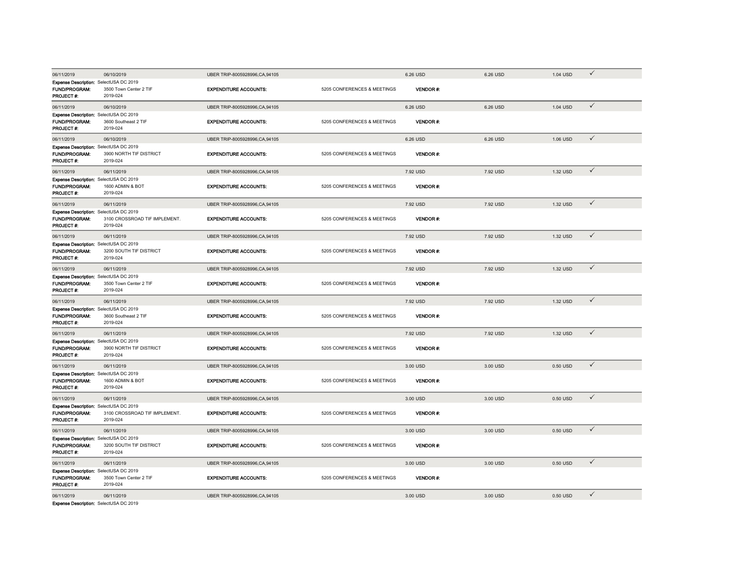| 06/11/2019                                                                   | 06/10/2019                                | UBER TRIP-8005928996,CA,94105 |                             | 6.26 USD        | 6.26 USD | 1.04 USD | $\checkmark$ |
|------------------------------------------------------------------------------|-------------------------------------------|-------------------------------|-----------------------------|-----------------|----------|----------|--------------|
| Expense Description: SelectUSA DC 2019<br><b>FUND/PROGRAM:</b><br>PROJECT #: | 3500 Town Center 2 TIF<br>2019-024        | <b>EXPENDITURE ACCOUNTS:</b>  | 5205 CONFERENCES & MEETINGS | <b>VENDOR#</b>  |          |          |              |
| 06/11/2019                                                                   | 06/10/2019                                | UBER TRIP-8005928996,CA,94105 |                             | 6.26 USD        | 6.26 USD | 1.04 USD | $\checkmark$ |
| Expense Description: SelectUSA DC 2019<br>FUND/PROGRAM:<br>PROJECT #:        | 3600 Southeast 2 TIF<br>2019-024          | <b>EXPENDITURE ACCOUNTS:</b>  | 5205 CONFERENCES & MEETINGS | VENDOR#:        |          |          |              |
| 06/11/2019                                                                   | 06/10/2019                                | UBER TRIP-8005928996,CA,94105 |                             | 6.26 USD        | 6.26 USD | 1.06 USD | $\checkmark$ |
| Expense Description: SelectUSA DC 2019<br>FUND/PROGRAM:<br>PROJECT #:        | 3900 NORTH TIF DISTRICT<br>2019-024       | <b>EXPENDITURE ACCOUNTS:</b>  | 5205 CONFERENCES & MEETINGS | VENDOR#         |          |          |              |
| 06/11/2019                                                                   | 06/11/2019                                | UBER TRIP-8005928996,CA,94105 |                             | 7.92 USD        | 7.92 USD | 1.32 USD | $\checkmark$ |
| Expense Description: SelectUSA DC 2019<br><b>FUND/PROGRAM:</b><br>PROJECT #: | 1600 ADMIN & BOT<br>2019-024              | <b>EXPENDITURE ACCOUNTS:</b>  | 5205 CONFERENCES & MEETINGS | <b>VENDOR#</b>  |          |          |              |
| 06/11/2019                                                                   | 06/11/2019                                | UBER TRIP-8005928996,CA,94105 |                             | 7.92 USD        | 7.92 USD | 1.32 USD | $\checkmark$ |
| Expense Description: SelectUSA DC 2019<br>FUND/PROGRAM:<br>PROJECT #:        | 3100 CROSSROAD TIF IMPLEMENT.<br>2019-024 | <b>EXPENDITURE ACCOUNTS:</b>  | 5205 CONFERENCES & MEETINGS | VENDOR#:        |          |          |              |
| 06/11/2019                                                                   | 06/11/2019                                | UBER TRIP-8005928996,CA,94105 |                             | 7.92 USD        | 7.92 USD | 1.32 USD | ✓            |
| Expense Description: SelectUSA DC 2019<br>FUND/PROGRAM:<br>PROJECT #:        | 3200 SOUTH TIF DISTRICT<br>2019-024       | <b>EXPENDITURE ACCOUNTS:</b>  | 5205 CONFERENCES & MEETINGS | VENDOR#:        |          |          |              |
| 06/11/2019                                                                   | 06/11/2019                                | UBER TRIP-8005928996.CA.94105 |                             | 7.92 USD        | 7.92 USD | 1.32 USD | $\checkmark$ |
| Expense Description: SelectUSA DC 2019<br>FUND/PROGRAM:<br><b>PROJECT#:</b>  | 3500 Town Center 2 TIF<br>2019-024        | <b>EXPENDITURE ACCOUNTS:</b>  | 5205 CONFERENCES & MEETINGS | VENDOR#:        |          |          |              |
| 06/11/2019                                                                   | 06/11/2019                                | UBER TRIP-8005928996,CA,94105 |                             | 7.92 USD        | 7.92 USD | 1.32 USD | $\checkmark$ |
| Expense Description: SelectUSA DC 2019<br>FUND/PROGRAM:<br>PROJECT#:         | 3600 Southeast 2 TIF<br>2019-024          | <b>EXPENDITURE ACCOUNTS:</b>  | 5205 CONFERENCES & MEETINGS | <b>VENDOR#:</b> |          |          |              |
| 06/11/2019                                                                   | 06/11/2019                                | UBER TRIP-8005928996,CA,94105 |                             | 7.92 USD        | 7.92 USD | 1.32 USD | $\checkmark$ |
| Expense Description: SelectUSA DC 2019<br>FUND/PROGRAM:<br>PROJECT #:        | 3900 NORTH TIF DISTRICT<br>2019-024       | <b>EXPENDITURE ACCOUNTS:</b>  | 5205 CONFERENCES & MEETINGS | <b>VENDOR#:</b> |          |          |              |
| 06/11/2019                                                                   | 06/11/2019                                | UBER TRIP-8005928996,CA,94105 |                             | 3.00 USD        | 3.00 USD | 0.50 USD | $\checkmark$ |
| Expense Description: SelectUSA DC 2019<br>FUND/PROGRAM:<br>PROJECT #:        | 1600 ADMIN & BOT<br>2019-024              | <b>EXPENDITURE ACCOUNTS:</b>  | 5205 CONFERENCES & MEETINGS | VENDOR#:        |          |          |              |
| 06/11/2019                                                                   | 06/11/2019                                | UBER TRIP-8005928996,CA,94105 |                             | 3.00 USD        | 3.00 USD | 0.50 USD | $\checkmark$ |
| Expense Description: SelectUSA DC 2019<br>FUND/PROGRAM:<br>PROJECT #:        | 3100 CROSSROAD TIF IMPLEMENT.<br>2019-024 | <b>EXPENDITURE ACCOUNTS:</b>  | 5205 CONFERENCES & MEETINGS | <b>VENDOR#:</b> |          |          |              |
| 06/11/2019                                                                   | 06/11/2019                                | UBER TRIP-8005928996.CA.94105 |                             | 3.00 USD        | 3.00 USD | 0.50 USD | $\checkmark$ |
| Expense Description: SelectUSA DC 2019<br>FUND/PROGRAM:<br>PROJECT#:         | 3200 SOUTH TIF DISTRICT<br>2019-024       | <b>EXPENDITURE ACCOUNTS:</b>  | 5205 CONFERENCES & MEETINGS | <b>VENDOR#:</b> |          |          |              |
| 06/11/2019                                                                   | 06/11/2019                                | UBER TRIP-8005928996,CA,94105 |                             | 3.00 USD        | 3.00 USD | 0.50 USD | $\checkmark$ |
| Expense Description: SelectUSA DC 2019<br>FUND/PROGRAM:<br>PROJECT #:        | 3500 Town Center 2 TIF<br>2019-024        | <b>EXPENDITURE ACCOUNTS:</b>  | 5205 CONFERENCES & MEETINGS | <b>VENDOR#:</b> |          |          |              |
| 06/11/2019                                                                   | 06/11/2019                                | UBER TRIP-8005928996,CA,94105 |                             | 3.00 USD        | 3.00 USD | 0.50 USD | $\checkmark$ |
| Expanse Description: SelectLISA DC 2019                                      |                                           |                               |                             |                 |          |          |              |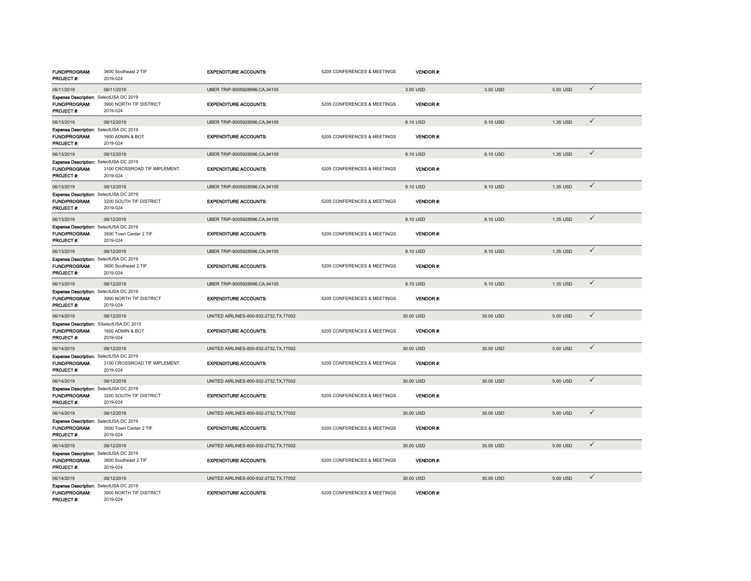| FUND/PROGRAM:<br>PROJECT #:                                            | 3600 Southeast 2 TIF<br>2019-024          | <b>EXPENDITURE ACCOUNTS:</b>            | 5205 CONFERENCES & MEETINGS | <b>VENDOR#:</b> |           |          |              |
|------------------------------------------------------------------------|-------------------------------------------|-----------------------------------------|-----------------------------|-----------------|-----------|----------|--------------|
| 06/11/2019                                                             | 06/11/2019                                | UBER TRIP-8005928996,CA,94105           |                             | 3.00 USD        | 3.00 USD  | 0.50 USD | $\checkmark$ |
| Expense Description: SelectUSA DC 2019<br>FUND/PROGRAM:<br>PROJECT #:  | 3900 NORTH TIF DISTRICT<br>2019-024       | <b>EXPENDITURE ACCOUNTS:</b>            | 5205 CONFERENCES & MEETINGS | <b>VENDOR#</b>  |           |          |              |
| 06/13/2019                                                             | 06/12/2019                                | UBER TRIP-8005928996,CA,94105           |                             | 8.10 USD        | 8.10 USD  | 1.35 USD | $\checkmark$ |
| Expense Description: SelectUSA DC 2019<br>FUND/PROGRAM:<br>PROJECT #:  | 1600 ADMIN & BOT<br>2019-024              | <b>EXPENDITURE ACCOUNTS:</b>            | 5205 CONFERENCES & MEETINGS | <b>VENDOR#</b>  |           |          |              |
| 06/13/2019                                                             | 06/12/2019                                | UBER TRIP-8005928996,CA,94105           |                             | 8.10 USD        | 8.10 USD  | 1.35 USD | $\checkmark$ |
| Expense Description: SelectUSA DC 2019<br>FUND/PROGRAM:<br>PROJECT #:  | 3100 CROSSROAD TIF IMPLEMENT.<br>2019-024 | <b>EXPENDITURE ACCOUNTS:</b>            | 5205 CONFERENCES & MEETINGS | <b>VENDOR#:</b> |           |          |              |
| 06/13/2019                                                             | 06/12/2019                                | UBER TRIP-8005928996,CA,94105           |                             | 8.10 USD        | 8.10 USD  | 1.35 USD | $\checkmark$ |
| Expense Description: SelectUSA DC 2019<br>FUND/PROGRAM:<br>PROJECT #:  | 3200 SOUTH TIF DISTRICT<br>2019-024       | <b>EXPENDITURE ACCOUNTS:</b>            | 5205 CONFERENCES & MEETINGS | <b>VENDOR#:</b> |           |          |              |
| 06/13/2019                                                             | 06/12/2019                                | UBER TRIP-8005928996,CA,94105           |                             | 8.10 USD        | 8.10 USD  | 1.35 USD | $\checkmark$ |
| Expense Description: SelectUSA DC 2019<br>FUND/PROGRAM:<br>PROJECT #:  | 3500 Town Center 2 TIF<br>2019-024        | <b>EXPENDITURE ACCOUNTS:</b>            | 5205 CONFERENCES & MEETINGS | VENDOR#:        |           |          |              |
| 06/13/2019                                                             | 06/12/2019                                | UBER TRIP-8005928996,CA,94105           |                             | 8.10 USD        | 8.10 USD  | 1.35 USD | $\checkmark$ |
| Expense Description: SelectUSA DC 2019<br>FUND/PROGRAM:<br>PROJECT #:  | 3600 Southeast 2 TIF<br>2019-024          | <b>EXPENDITURE ACCOUNTS:</b>            | 5205 CONFERENCES & MEETINGS | VENDOR#:        |           |          |              |
| 06/13/2019                                                             | 06/12/2019                                | UBER TRIP-8005928996,CA,94105           |                             | 8.10 USD        | 8.10 USD  | 1.35 USD | $\checkmark$ |
| Expense Description: SelectUSA DC 2019<br>FUND/PROGRAM:<br>PROJECT #:  | 3900 NORTH TIF DISTRICT<br>2019-024       | <b>EXPENDITURE ACCOUNTS:</b>            | 5205 CONFERENCES & MEETINGS | <b>VENDOR#:</b> |           |          |              |
| 06/14/2019                                                             | 06/12/2019                                | UNITED AIRLINES-800-932-2732, TX, 77002 |                             | 30.00 USD       | 30.00 USD | 5.00 USD | $\checkmark$ |
| Expense Description: SSelectUSA DC 2019<br>FUND/PROGRAM:<br>PROJECT #: | 1600 ADMIN & BOT<br>2019-024              | <b>EXPENDITURE ACCOUNTS:</b>            | 5205 CONFERENCES & MEETINGS | VENDOR#:        |           |          |              |
| 06/14/2019                                                             | 06/12/2019                                | UNITED AIRLINES-800-932-2732, TX, 77002 |                             | 30.00 USD       | 30.00 USD | 5.00 USD | $\checkmark$ |
| Expense Description: SelectUSA DC 2019<br>FUND/PROGRAM:<br>PROJECT #:  | 3100 CROSSROAD TIF IMPLEMENT.<br>2019-024 | <b>EXPENDITURE ACCOUNTS:</b>            | 5205 CONFERENCES & MEETINGS | <b>VENDOR#:</b> |           |          |              |
| 06/14/2019                                                             | 06/12/2019                                | UNITED AIRLINES-800-932-2732, TX, 77002 |                             | 30.00 USD       | 30.00 USD | 5.00 USD | $\checkmark$ |
| Expense Description: SelectUSA DC 2019<br>FUND/PROGRAM:<br>PROJECT #:  | 3200 SOUTH TIF DISTRICT<br>2019-024       | <b>EXPENDITURE ACCOUNTS:</b>            | 5205 CONFERENCES & MEETINGS | <b>VENDOR#:</b> |           |          |              |
| 06/14/2019                                                             | 06/12/2019                                | UNITED AIRLINES-800-932-2732.TX.77002   |                             | 30.00 USD       | 30,00 USD | 5.00 USD | $\checkmark$ |
| Expense Description: SelectUSA DC 2019<br>FUND/PROGRAM:<br>PROJECT #:  | 3500 Town Center 2 TIF<br>2019-024        | <b>EXPENDITURE ACCOUNTS:</b>            | 5205 CONFERENCES & MEETINGS | <b>VENDOR#:</b> |           |          |              |
| 06/14/2019                                                             | 06/12/2019                                | UNITED AIRLINES-800-932-2732, TX, 77002 |                             | 30.00 USD       | 30.00 USD | 5.00 USD | $\checkmark$ |
| Expense Description: SelectUSA DC 2019<br>FUND/PROGRAM:<br>PROJECT #:  | 3600 Southeast 2 TIF<br>2019-024          | <b>EXPENDITURE ACCOUNTS:</b>            | 5205 CONFERENCES & MEETINGS | <b>VENDOR#:</b> |           |          |              |
| 06/14/2019                                                             | 06/12/2019                                | UNITED AIRLINES-800-932-2732, TX, 77002 |                             | 30.00 USD       | 30.00 USD | 5.00 USD | $\checkmark$ |
| Expense Description: SelectUSA DC 2019<br>FUND/PROGRAM:<br>PROJECT #:  | 3900 NORTH TIF DISTRICT<br>2019-024       | <b>EXPENDITURE ACCOUNTS:</b>            | 5205 CONFERENCES & MEETINGS | <b>VENDOR#:</b> |           |          |              |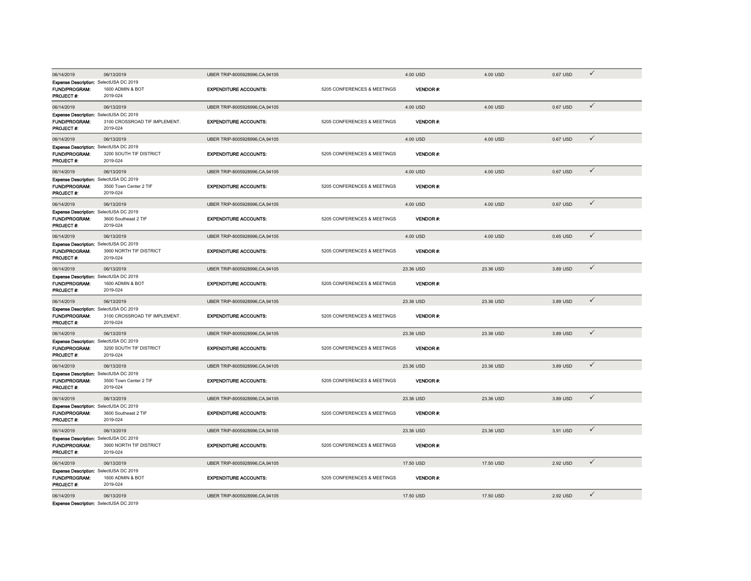| 06/14/2019                                                     | 06/13/2019                                | UBER TRIP-8005928996.CA.94105 |                             | 4.00 USD        | 4.00 USD  | 0.67 USD | $\checkmark$ |
|----------------------------------------------------------------|-------------------------------------------|-------------------------------|-----------------------------|-----------------|-----------|----------|--------------|
| Expense Description: SelectUSA DC 2019                         |                                           |                               |                             |                 |           |          |              |
| <b>FUND/PROGRAM:</b><br>PROJECT #:                             | 1600 ADMIN & BOT<br>2019-024              | <b>EXPENDITURE ACCOUNTS:</b>  | 5205 CONFERENCES & MEETINGS | VENDOR#:        |           |          |              |
| 06/14/2019                                                     | 06/13/2019                                | UBER TRIP-8005928996.CA.94105 |                             | 4.00 USD        | 4.00 USD  | 0.67 USD | $\checkmark$ |
| Expense Description: SelectUSA DC 2019                         |                                           |                               |                             |                 |           |          |              |
| <b>FUND/PROGRAM:</b><br>PROJECT #:                             | 3100 CROSSROAD TIF IMPLEMENT.<br>2019-024 | <b>EXPENDITURE ACCOUNTS:</b>  | 5205 CONFERENCES & MEETINGS | VENDOR#:        |           |          |              |
| 06/14/2019                                                     | 06/13/2019                                | UBER TRIP-8005928996,CA,94105 |                             | 4.00 USD        | 4.00 USD  | 0.67 USD | $\checkmark$ |
| Expense Description: SelectUSA DC 2019                         |                                           |                               |                             |                 |           |          |              |
| <b>FUND/PROGRAM:</b><br><b>PROJECT #:</b>                      | 3200 SOUTH TIF DISTRICT<br>2019-024       | <b>EXPENDITURE ACCOUNTS:</b>  | 5205 CONFERENCES & MEETINGS | <b>VENDOR#</b>  |           |          |              |
| 06/14/2019                                                     | 06/13/2019                                | UBER TRIP-8005928996,CA,94105 |                             | 4.00 USD        | 4.00 USD  | 0.67 USD | $\checkmark$ |
| Expense Description: SelectUSA DC 2019                         |                                           |                               |                             |                 |           |          |              |
| <b>FUND/PROGRAM:</b><br>PROJECT #:                             | 3500 Town Center 2 TIF<br>2019-024        | <b>EXPENDITURE ACCOUNTS:</b>  | 5205 CONFERENCES & MEETINGS | <b>VENDOR#</b>  |           |          |              |
| 06/14/2019                                                     | 06/13/2019                                | UBER TRIP-8005928996,CA,94105 |                             | 4.00 USD        | 4.00 USD  | 0.67 USD | $\checkmark$ |
| Expense Description: SelectUSA DC 2019<br><b>FUND/PROGRAM:</b> | 3600 Southeast 2 TIF                      | <b>EXPENDITURE ACCOUNTS:</b>  | 5205 CONFERENCES & MEETINGS | <b>VENDOR#:</b> |           |          |              |
| PROJECT #:                                                     | 2019-024                                  |                               |                             |                 |           |          |              |
| 06/14/2019                                                     | 06/13/2019                                | UBER TRIP-8005928996,CA,94105 |                             | 4.00 USD        | 4.00 USD  | 0.65 USD | $\checkmark$ |
| Expense Description: SelectUSA DC 2019                         |                                           |                               |                             |                 |           |          |              |
| FUND/PROGRAM:<br>PROJECT #:                                    | 3900 NORTH TIF DISTRICT<br>2019-024       | <b>EXPENDITURE ACCOUNTS:</b>  | 5205 CONFERENCES & MEETINGS | <b>VENDOR#:</b> |           |          |              |
| 06/14/2019                                                     | 06/13/2019                                | UBER TRIP-8005928996,CA,94105 |                             | 23.36 USD       | 23.36 USD | 3.89 USD | $\checkmark$ |
| Expense Description: SelectUSA DC 2019                         |                                           |                               |                             |                 |           |          |              |
| FUND/PROGRAM:<br><b>PROJECT#:</b>                              | 1600 ADMIN & BOT<br>2019-024              | <b>EXPENDITURE ACCOUNTS:</b>  | 5205 CONFERENCES & MEETINGS | VENDOR#:        |           |          |              |
| 06/14/2019                                                     | 06/13/2019                                | UBER TRIP-8005928996,CA,94105 |                             | 23.36 USD       | 23.36 USD | 3.89 USD | $\checkmark$ |
| Expense Description: SelectUSA DC 2019                         |                                           |                               |                             |                 |           |          |              |
| FUND/PROGRAM:<br>PROJECT #:                                    | 3100 CROSSROAD TIF IMPLEMENT.<br>2019-024 | <b>EXPENDITURE ACCOUNTS:</b>  | 5205 CONFERENCES & MEETINGS | VENDOR#:        |           |          |              |
| 06/14/2019                                                     | 06/13/2019                                | UBER TRIP-8005928996,CA,94105 |                             | 23.36 USD       | 23.36 USD | 3.89 USD | $\checkmark$ |
| Expense Description: SelectUSA DC 2019<br>FUND/PROGRAM:        | 3200 SOUTH TIF DISTRICT                   | <b>EXPENDITURE ACCOUNTS:</b>  | 5205 CONFERENCES & MEETINGS | VENDOR#:        |           |          |              |
| PROJECT#:                                                      | 2019-024                                  |                               |                             |                 |           |          |              |
| 06/14/2019                                                     | 06/13/2019                                | UBER TRIP-8005928996,CA,94105 |                             | 23.36 USD       | 23.36 USD | 3.89 USD | $\checkmark$ |
| Expense Description: SelectUSA DC 2019                         |                                           |                               |                             |                 |           |          |              |
| <b>FUND/PROGRAM:</b><br>PROJECT #:                             | 3500 Town Center 2 TIF<br>2019-024        | <b>EXPENDITURE ACCOUNTS:</b>  | 5205 CONFERENCES & MEETINGS | VENDOR#:        |           |          |              |
| 06/14/2019                                                     | 06/13/2019                                | UBER TRIP-8005928996,CA,94105 |                             | 23.36 USD       | 23.36 USD | 3.89 USD | $\checkmark$ |
| Expense Description: SelectUSA DC 2019                         |                                           |                               |                             |                 |           |          |              |
| FUND/PROGRAM:<br>PROJECT #:                                    | 3600 Southeast 2 TIF<br>2019-024          | <b>EXPENDITURE ACCOUNTS:</b>  | 5205 CONFERENCES & MEETINGS | <b>VENDOR#:</b> |           |          |              |
| 06/14/2019                                                     | 06/13/2019                                | UBER TRIP-8005928996,CA,94105 |                             | 23.36 USD       | 23.36 USD | 3.91 USD | $\checkmark$ |
| Expense Description: SelectUSA DC 2019                         |                                           |                               |                             |                 |           |          |              |
| FUND/PROGRAM:<br>PROJECT#:                                     | 3900 NORTH TIF DISTRICT<br>2019-024       | <b>EXPENDITURE ACCOUNTS:</b>  | 5205 CONFERENCES & MEETINGS | <b>VENDOR#:</b> |           |          |              |
| 06/14/2019                                                     | 06/13/2019                                | UBER TRIP-8005928996,CA,94105 |                             | 17.50 USD       | 17.50 USD | 2.92 USD | $\checkmark$ |
| Expense Description: SelectUSA DC 2019                         |                                           |                               |                             |                 |           |          |              |
| FUND/PROGRAM:<br>PROJECT #:                                    | 1600 ADMIN & BOT<br>2019-024              | <b>EXPENDITURE ACCOUNTS:</b>  | 5205 CONFERENCES & MEETINGS | VENDOR#:        |           |          |              |
| 06/14/2019                                                     | 06/13/2019                                | UBER TRIP-8005928996,CA,94105 |                             | 17.50 USD       | 17.50 USD | 2.92 USD | $\checkmark$ |
| Expense Description: SelectUSA DC 2019                         |                                           |                               |                             |                 |           |          |              |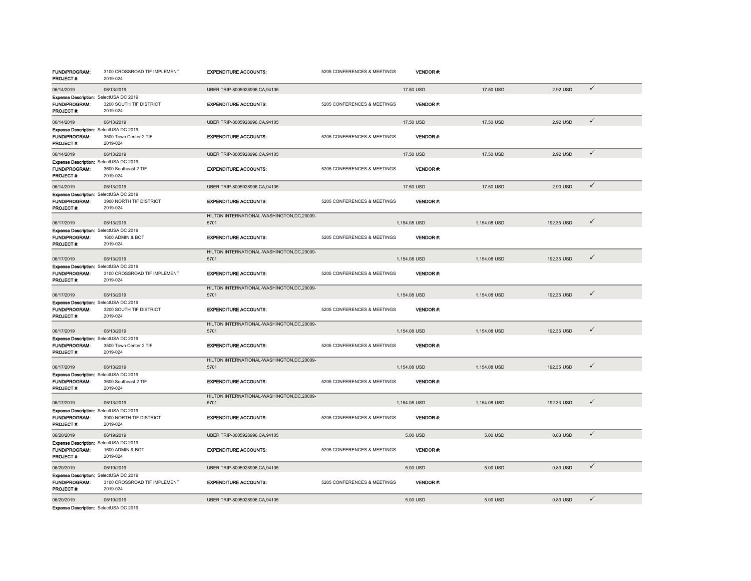| <b>FUND/PROGRAM:</b><br>PROJECT #:                                                  | 3100 CROSSROAD TIF IMPLEMENT.<br>2019-024 | <b>EXPENDITURE ACCOUNTS:</b>                        | 5205 CONFERENCES & MEETINGS | <b>VENDOR#:</b> |              |            |              |
|-------------------------------------------------------------------------------------|-------------------------------------------|-----------------------------------------------------|-----------------------------|-----------------|--------------|------------|--------------|
| 06/14/2019                                                                          | 06/13/2019                                | UBER TRIP-8005928996,CA,94105                       |                             | 17.50 USD       | 17.50 USD    | 2.92 USD   | $\checkmark$ |
| Expense Description: SelectUSA DC 2019<br>FUND/PROGRAM:<br>PROJECT #:               | 3200 SOUTH TIF DISTRICT<br>2019-024       | <b>EXPENDITURE ACCOUNTS:</b>                        | 5205 CONFERENCES & MEETINGS | <b>VENDOR#:</b> |              |            |              |
| 06/14/2019                                                                          | 06/13/2019                                | UBER TRIP-8005928996,CA,94105                       |                             | 17.50 USD       | 17.50 USD    | 2.92 USD   | $\checkmark$ |
| Expense Description: SelectUSA DC 2019<br><b>FUND/PROGRAM:</b><br>PROJECT #:        | 3500 Town Center 2 TIF<br>2019-024        | <b>EXPENDITURE ACCOUNTS:</b>                        | 5205 CONFERENCES & MEETINGS | <b>VENDOR#:</b> |              |            |              |
| 06/14/2019                                                                          | 06/13/2019                                | UBER TRIP-8005928996.CA.94105                       |                             | 17.50 USD       | 17.50 USD    | 2.92 USD   | $\checkmark$ |
| Expense Description: SelectUSA DC 2019<br>FUND/PROGRAM:<br><b>PROJECT #:</b>        | 3600 Southeast 2 TIF<br>2019-024          | <b>EXPENDITURE ACCOUNTS:</b>                        | 5205 CONFERENCES & MEETINGS | VENDOR#:        |              |            |              |
| 06/14/2019                                                                          | 06/13/2019                                | UBER TRIP-8005928996,CA,94105                       |                             | 17.50 USD       | 17.50 USD    | 2.90 USD   | $\checkmark$ |
| Expense Description: SelectUSA DC 2019<br><b>FUND/PROGRAM:</b><br><b>PROJECT#:</b>  | 3900 NORTH TIF DISTRICT<br>2019-024       | <b>EXPENDITURE ACCOUNTS:</b>                        | 5205 CONFERENCES & MEETINGS | VENDOR#:        |              |            |              |
| 06/17/2019                                                                          | 06/13/2019                                | HILTON INTERNATIONAL-WASHINGTON.DC.20009-<br>5701   |                             | 1,154.08 USD    | 1,154.08 USD | 192.35 USD | $\checkmark$ |
| Expense Description: SelectUSA DC 2019<br>FUND/PROGRAM:<br>PROJECT #:               | 1600 ADMIN & BOT<br>2019-024              | <b>EXPENDITURE ACCOUNTS:</b>                        | 5205 CONFERENCES & MEETINGS | VENDOR#:        |              |            |              |
| 06/17/2019                                                                          | 06/13/2019                                | HILTON INTERNATIONAL-WASHINGTON, DC, 20009-<br>5701 |                             | 1,154.08 USD    | 1,154.08 USD | 192.35 USD | $\checkmark$ |
| Expense Description: SelectUSA DC 2019<br>FUND/PROGRAM:<br>PROJECT#:                | 3100 CROSSROAD TIF IMPLEMENT.<br>2019-024 | <b>EXPENDITURE ACCOUNTS:</b>                        | 5205 CONFERENCES & MEETINGS | VENDOR#:        |              |            |              |
| 06/17/2019                                                                          | 06/13/2019                                | HILTON INTERNATIONAL-WASHINGTON, DC, 20009-<br>5701 |                             | 1.154.08 USD    | 1.154.08 USD | 192.35 USD | $\checkmark$ |
| Expense Description: SelectUSA DC 2019<br><b>FUND/PROGRAM:</b><br><b>PROJECT #:</b> | 3200 SOUTH TIF DISTRICT<br>2019-024       | <b>EXPENDITURE ACCOUNTS:</b>                        | 5205 CONFERENCES & MEETINGS | <b>VENDOR#:</b> |              |            |              |
| 06/17/2019                                                                          | 06/13/2019                                | HILTON INTERNATIONAL-WASHINGTON, DC, 20009-<br>5701 |                             | 1,154.08 USD    | 1,154.08 USD | 192.35 USD | $\checkmark$ |
| Expense Description: SelectUSA DC 2019<br>FUND/PROGRAM:<br>PROJECT #:               | 3500 Town Center 2 TIF<br>2019-024        | <b>EXPENDITURE ACCOUNTS:</b>                        | 5205 CONFERENCES & MEETINGS | <b>VENDOR#:</b> |              |            |              |
| 06/17/2019                                                                          | 06/13/2019                                | HILTON INTERNATIONAL-WASHINGTON,DC,20009-<br>5701   |                             | 1,154.08 USD    | 1,154.08 USD | 192.35 USD | $\checkmark$ |
| Expense Description: SelectUSA DC 2019<br>FUND/PROGRAM:<br>PROJECT #:               | 3600 Southeast 2 TIF<br>2019-024          | <b>EXPENDITURE ACCOUNTS:</b>                        | 5205 CONFERENCES & MEETINGS | <b>VENDOR#:</b> |              |            |              |
| 06/17/2019                                                                          | 06/13/2019                                | HILTON INTERNATIONAL-WASHINGTON,DC,20009-<br>5701   |                             | 1,154.08 USD    | 1,154.08 USD | 192.33 USD | $\checkmark$ |
| Expense Description: SelectUSA DC 2019<br><b>FUND/PROGRAM:</b><br>PROJECT #:        | 3900 NORTH TIF DISTRICT<br>2019-024       | <b>EXPENDITURE ACCOUNTS:</b>                        | 5205 CONFERENCES & MEETINGS | <b>VENDOR#:</b> |              |            |              |
| 06/20/2019                                                                          | 06/19/2019                                | UBER TRIP-8005928996.CA.94105                       |                             | 5.00 USD        | 5.00 USD     | 0.83 USD   | $\checkmark$ |
| Expense Description: SelectUSA DC 2019<br><b>FUND/PROGRAM:</b><br>PROJECT #:        | 1600 ADMIN & BOT<br>2019-024              | <b>EXPENDITURE ACCOUNTS:</b>                        | 5205 CONFERENCES & MEETINGS | <b>VENDOR#:</b> |              |            |              |
| 06/20/2019                                                                          | 06/19/2019                                | UBER TRIP-8005928996,CA,94105                       |                             | 5.00 USD        | 5.00 USD     | 0.83 USD   | $\checkmark$ |
| Expense Description: SelectUSA DC 2019<br><b>FUND/PROGRAM:</b><br><b>PROJECT #:</b> | 3100 CROSSROAD TIF IMPLEMENT.<br>2019-024 | <b>EXPENDITURE ACCOUNTS:</b>                        | 5205 CONFERENCES & MEETINGS | VENDOR#:        |              |            |              |
| 06/20/2019                                                                          | 06/19/2019                                | UBER TRIP-8005928996,CA,94105                       |                             | 5.00 USD        | 5.00 USD     | 0.83 USD   | $\checkmark$ |
|                                                                                     |                                           |                                                     |                             |                 |              |            |              |

Expense Description: SelectUSA DC 2019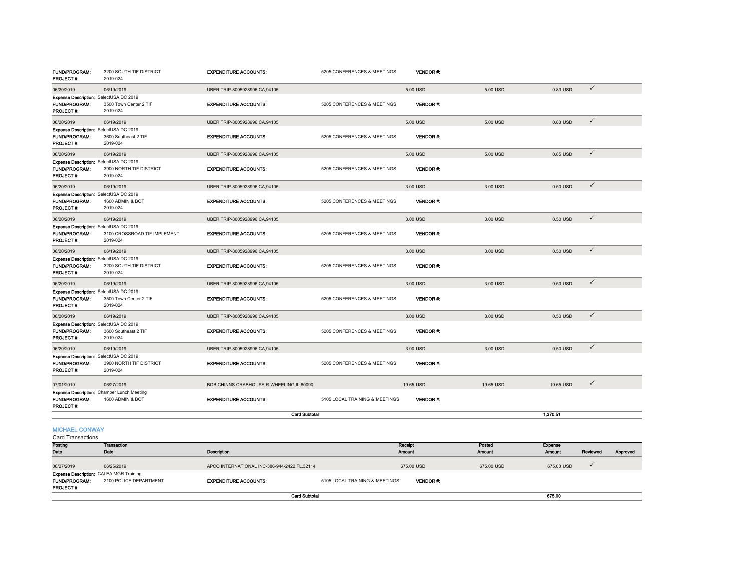| <b>FUND/PROGRAM:</b><br>PROJECT #:                                                  | 3200 SOUTH TIF DISTRICT<br>2019-024       | <b>EXPENDITURE ACCOUNTS:</b>             | 5205 CONFERENCES & MEETINGS    | <b>VENDOR#:</b> |           |           |              |
|-------------------------------------------------------------------------------------|-------------------------------------------|------------------------------------------|--------------------------------|-----------------|-----------|-----------|--------------|
| 06/20/2019                                                                          | 06/19/2019                                | UBER TRIP-8005928996.CA.94105            |                                | 5.00 USD        | 5.00 USD  | 0.83 USD  | $\checkmark$ |
| Expense Description: SelectUSA DC 2019<br><b>FUND/PROGRAM:</b><br><b>PROJECT #:</b> | 3500 Town Center 2 TIF<br>2019-024        | <b>EXPENDITURE ACCOUNTS:</b>             | 5205 CONFERENCES & MEETINGS    | <b>VENDOR#:</b> |           |           |              |
| 06/20/2019                                                                          | 06/19/2019                                | UBER TRIP-8005928996,CA,94105            |                                | 5.00 USD        | 5.00 USD  | 0.83 USD  | $\checkmark$ |
| Expense Description: SelectUSA DC 2019<br><b>FUND/PROGRAM:</b><br>PROJECT #:        | 3600 Southeast 2 TIF<br>2019-024          | <b>EXPENDITURE ACCOUNTS:</b>             | 5205 CONFERENCES & MEETINGS    | <b>VENDOR#:</b> |           |           |              |
| 06/20/2019                                                                          | 06/19/2019                                | UBER TRIP-8005928996,CA,94105            |                                | 5.00 USD        | 5.00 USD  | 0.85 USD  | $\checkmark$ |
| Expense Description: SelectUSA DC 2019<br>FUND/PROGRAM:<br>PROJECT #:               | 3900 NORTH TIF DISTRICT<br>2019-024       | <b>EXPENDITURE ACCOUNTS:</b>             | 5205 CONFERENCES & MEETINGS    | <b>VENDOR#:</b> |           |           |              |
| 06/20/2019                                                                          | 06/19/2019                                | UBER TRIP-8005928996,CA,94105            |                                | 3.00 USD        | 3.00 USD  | 0.50 USD  | $\checkmark$ |
| Expense Description: SelectUSA DC 2019<br>FUND/PROGRAM:<br><b>PROJECT #:</b>        | 1600 ADMIN & BOT<br>2019-024              | <b>EXPENDITURE ACCOUNTS:</b>             | 5205 CONFERENCES & MEETINGS    | <b>VENDOR#:</b> |           |           |              |
| 06/20/2019                                                                          | 06/19/2019                                | UBER TRIP-8005928996.CA.94105            |                                | 3.00 USD        | 3.00 USD  | 0.50 USD  | $\checkmark$ |
| Expense Description: SelectUSA DC 2019<br>FUND/PROGRAM:<br>PROJECT #:               | 3100 CROSSROAD TIF IMPLEMENT.<br>2019-024 | <b>EXPENDITURE ACCOUNTS:</b>             | 5205 CONFERENCES & MEETINGS    | VENDOR#.        |           |           |              |
| 06/20/2019                                                                          | 06/19/2019                                | UBER TRIP-8005928996,CA,94105            |                                | 3.00 USD        | 3.00 USD  | 0.50 USD  | $\checkmark$ |
| Expense Description: SelectUSA DC 2019<br>FUND/PROGRAM:<br>PROJECT #:               | 3200 SOUTH TIF DISTRICT<br>2019-024       | <b>EXPENDITURE ACCOUNTS:</b>             | 5205 CONFERENCES & MEETINGS    | <b>VENDOR#:</b> |           |           |              |
| 06/20/2019                                                                          | 06/19/2019                                | UBER TRIP-8005928996,CA,94105            |                                | 3.00 USD        | 3.00 USD  | 0.50 USD  | $\checkmark$ |
| Expense Description: SelectUSA DC 2019<br><b>FUND/PROGRAM:</b><br>PROJECT#:         | 3500 Town Center 2 TIF<br>2019-024        | <b>EXPENDITURE ACCOUNTS:</b>             | 5205 CONFERENCES & MEETINGS    | <b>VENDOR#:</b> |           |           |              |
| 06/20/2019                                                                          | 06/19/2019                                | UBER TRIP-8005928996.CA.94105            |                                | 3.00 USD        | 3.00 USD  | 0.50 USD  | $\checkmark$ |
| Expense Description: SelectUSA DC 2019<br>FUND/PROGRAM:<br>PROJECT#:                | 3600 Southeast 2 TIF<br>2019-024          | <b>EXPENDITURE ACCOUNTS:</b>             | 5205 CONFERENCES & MEETINGS    | VENDOR#:        |           |           |              |
| 06/20/2019                                                                          | 06/19/2019                                | UBER TRIP-8005928996,CA,94105            |                                | 3.00 USD        | 3.00 USD  | 0.50 USD  | $\checkmark$ |
| Expense Description: SelectUSA DC 2019<br>FUND/PROGRAM:<br>PROJECT#:                | 3900 NORTH TIF DISTRICT<br>2019-024       | <b>EXPENDITURE ACCOUNTS:</b>             | 5205 CONFERENCES & MEETINGS    | <b>VENDOR#:</b> |           |           |              |
| 07/01/2019                                                                          | 06/27/2019                                | BOB CHINNS CRABHOUSE R-WHEELING,IL,60090 |                                | 19.65 USD       | 19.65 USD | 19.65 USD | $\checkmark$ |
| Expense Description: Chamber Lunch Meeting<br>FUND/PROGRAM:<br>PROJECT#:            | 1600 ADMIN & BOT                          | <b>EXPENDITURE ACCOUNTS:</b>             | 5105 LOCAL TRAINING & MEETINGS | <b>VENDOR#:</b> |           |           |              |
|                                                                                     |                                           | <b>Card Subtotal</b>                     |                                |                 |           | 1.370.51  |              |
| <b>MICHAEL CONWAY</b><br><b>Card Transactions</b>                                   |                                           |                                          |                                |                 |           |           |              |
| Posting                                                                             | <b>Transaction</b>                        |                                          |                                | Receipt         | Posted    | Expense   |              |

| Posting                                                                       | Transaction            |                                                |                                | Receipt         | Posted     | Expense       |          |          |
|-------------------------------------------------------------------------------|------------------------|------------------------------------------------|--------------------------------|-----------------|------------|---------------|----------|----------|
| Date                                                                          | Date                   | <b>Description</b>                             |                                | <b>Amount</b>   | Amount     | <b>Amount</b> | Reviewed | Approved |
| 06/27/2019                                                                    | 06/25/2019             | APCO INTERNATIONAL INC-386-944-2422, FL, 32114 |                                | 675.00 USD      | 675.00 USD | 675.00 USD    |          |          |
| <b>Expense Description: CALEA MGR Training</b><br>FUND/PROGRAM:<br>PROJECT #: | 2100 POLICE DEPARTMENT | <b>EXPENDITURE ACCOUNTS:</b>                   | 5105 LOCAL TRAINING & MEETINGS | <b>VENDOR#:</b> |            |               |          |          |
|                                                                               |                        | <b>Card Subtotal</b>                           |                                |                 |            | 675.00        |          |          |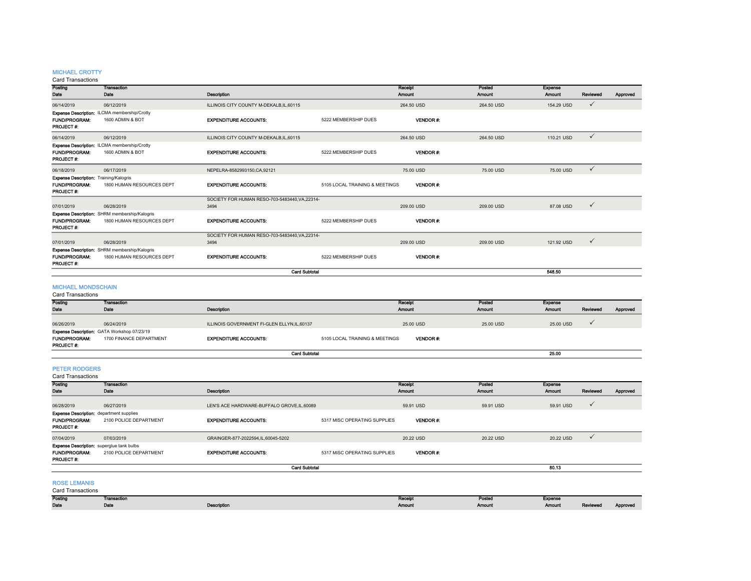#### MICHAEL CROTTY

| Posting                                       | <b>Transaction</b>                            |                                                |                                | Receipt           | Posted                  | Expense           |              |          |
|-----------------------------------------------|-----------------------------------------------|------------------------------------------------|--------------------------------|-------------------|-------------------------|-------------------|--------------|----------|
| Date                                          | Date                                          | <b>Description</b>                             |                                | Amount            | Amount                  | Amount            | Reviewed     | Approved |
| 06/14/2019                                    | 06/12/2019                                    | ILLINOIS CITY COUNTY M-DEKALB, IL, 60115       |                                | 264.50 USD        | 264.50 USD              | 154.29 USD        | $\checkmark$ |          |
|                                               | Expense Description: ILCMA membership/Crotty  |                                                |                                |                   |                         |                   |              |          |
| FUND/PROGRAM:                                 | 1600 ADMIN & BOT                              | <b>EXPENDITURE ACCOUNTS:</b>                   | 5222 MEMBERSHIP DUES           | <b>VENDOR#:</b>   |                         |                   |              |          |
| PROJECT#:                                     |                                               |                                                |                                |                   |                         |                   |              |          |
| 06/14/2019                                    | 06/12/2019                                    | ILLINOIS CITY COUNTY M-DEKALB, IL, 60115       |                                | 264.50 USD        | 264.50 USD              | 110.21 USD        | $\checkmark$ |          |
|                                               | Expense Description: ILCMA membership/Crotty  |                                                |                                |                   |                         |                   |              |          |
| FUND/PROGRAM:                                 | 1600 ADMIN & BOT                              | <b>EXPENDITURE ACCOUNTS:</b>                   | 5222 MEMBERSHIP DUES           | VENDOR#:          |                         |                   |              |          |
| PROJECT#:                                     |                                               |                                                |                                |                   |                         |                   |              |          |
| 06/18/2019                                    | 06/17/2019                                    | NEPELRA-8582993150, CA, 92121                  |                                | 75,00 USD         | 75.00 USD               | 75,00 USD         | $\checkmark$ |          |
| <b>Expense Description: Training/Kalogris</b> |                                               |                                                |                                |                   |                         |                   |              |          |
| FUND/PROGRAM:<br>PROJECT#:                    | 1800 HUMAN RESOURCES DEPT                     | <b>EXPENDITURE ACCOUNTS:</b>                   | 5105 LOCAL TRAINING & MEETINGS | <b>VENDOR#:</b>   |                         |                   |              |          |
|                                               |                                               | SOCIETY FOR HUMAN RESO-703-5483440, VA, 22314- |                                |                   |                         |                   |              |          |
| 07/01/2019                                    | 06/28/2019                                    | 3494                                           |                                | 209.00 USD        | 209.00 USD              | 87.08 USD         | $\checkmark$ |          |
|                                               | Expense Description: SHRM membership/Kalogris |                                                |                                |                   |                         |                   |              |          |
| <b>FUND/PROGRAM:</b><br>PROJECT#:             | 1800 HUMAN RESOURCES DEPT                     | <b>EXPENDITURE ACCOUNTS:</b>                   | 5222 MEMBERSHIP DUES           | VENDOR#:          |                         |                   |              |          |
|                                               |                                               | SOCIETY FOR HUMAN RESO-703-5483440, VA, 22314- |                                |                   |                         |                   |              |          |
| 07/01/2019                                    | 06/28/2019                                    | 3494                                           |                                | 209.00 USD        | 209.00 USD              | 121.92 USD        | $\checkmark$ |          |
|                                               | Expense Description: SHRM membership/Kalogris |                                                |                                |                   |                         |                   |              |          |
| <b>FUND/PROGRAM:</b><br>PROJECT #:            | 1800 HUMAN RESOURCES DEPT                     | <b>EXPENDITURE ACCOUNTS:</b>                   | 5222 MEMBERSHIP DUES           | VENDOR#:          |                         |                   |              |          |
|                                               |                                               |                                                | <b>Card Subtotal</b>           |                   |                         | 548.50            |              |          |
|                                               |                                               |                                                |                                |                   |                         |                   |              |          |
| <b>MICHAEL MONDSCHAIN</b>                     |                                               |                                                |                                |                   |                         |                   |              |          |
| <b>Card Transactions</b>                      |                                               |                                                |                                |                   |                         |                   |              |          |
| Posting                                       | <b>Transaction</b><br>Date                    |                                                |                                | Receipt<br>Amount | Posted<br><b>Amount</b> | Expense<br>Amount | Reviewed     |          |
| Date                                          |                                               | Description                                    |                                |                   |                         |                   |              | Approved |
| 06/26/2019                                    | 06/24/2019                                    | ILLINOIS GOVERNMENT FI-GLEN ELLYN.IL.60137     |                                | 25.00 USD         | 25.00 USD               | 25.00 USD         | ✓            |          |
|                                               | Expense Description: GATA Workshop 07/23/19   |                                                |                                |                   |                         |                   |              |          |

FUND/PROGRAM: 1700 FINANCE DEPARTMENTEXPENDITURE ACCOUNTS: 5105 LOCAL TRAINING & MEETINGS VENDOR #:

### PETER RODGERS

PROJECT #:

Card Transactions

| Posting                                                                                      | <b>Transaction</b>     |                                             |                              | Receipt         | Posted        | <b>Expense</b> |              |          |
|----------------------------------------------------------------------------------------------|------------------------|---------------------------------------------|------------------------------|-----------------|---------------|----------------|--------------|----------|
| Date                                                                                         | Date                   | <b>Description</b>                          |                              | <b>Amount</b>   | <b>Amount</b> | Amount         | Reviewed     | Approved |
|                                                                                              |                        |                                             |                              |                 |               |                |              |          |
| 06/28/2019                                                                                   | 06/27/2019             | LEN'S ACE HARDWARE-BUFFALO GROVE, IL, 60089 |                              | 59.91 USD       | 59.91 USD     | 59.91 USD      | $\checkmark$ |          |
| <b>Expense Description:</b> department supplies<br><b>FUND/PROGRAM:</b><br><b>PROJECT#:</b>  | 2100 POLICE DEPARTMENT | <b>EXPENDITURE ACCOUNTS:</b>                | 5317 MISC OPERATING SUPPLIES | <b>VENDOR#:</b> |               |                |              |          |
| 07/04/2019                                                                                   | 07/03/2019             | GRAINGER-877-2022594,IL,60045-5202          |                              | 20.22 USD       | 20.22 USD     | 20.22 USD      | $\checkmark$ |          |
| <b>Expense Description:</b> superglue tank bulbs<br><b>FUND/PROGRAM:</b><br><b>PROJECT#:</b> | 2100 POLICE DEPARTMENT | <b>EXPENDITURE ACCOUNTS:</b>                | 5317 MISC OPERATING SUPPLIES | <b>VENDOR#:</b> |               |                |              |          |
|                                                                                              |                        |                                             | <b>Card Subtotal</b>         |                 |               | 80.13          |              |          |
|                                                                                              |                        |                                             |                              |                 |               |                |              |          |

европейски процесс в союз в союз в союз в союз в союз в союз в союз в союз в союз в союз в союз в союз в союз <br>Применение союз в союз в союз в союз в союз в союз в союз в союз в союз в союз в союз в союз в союз в союз в с

 $25.00$ 

Card Subtotal

#### ROSE LEMANIS

| Postin | - Fransac"<br><b>THERMONES</b> |                         | .<br>the contract of the contract of | POSTOO | <b>Expanse</b><br>$-$ point. |                                     |                 |
|--------|--------------------------------|-------------------------|--------------------------------------|--------|------------------------------|-------------------------------------|-----------------|
| Date   | .<br>$- - -$                   | .com exer<br>nasa ihini | Amount                               | Amoum  | Amount                       | <b>Designed</b><br><b>L'ANGLAND</b> | <b>Approve.</b> |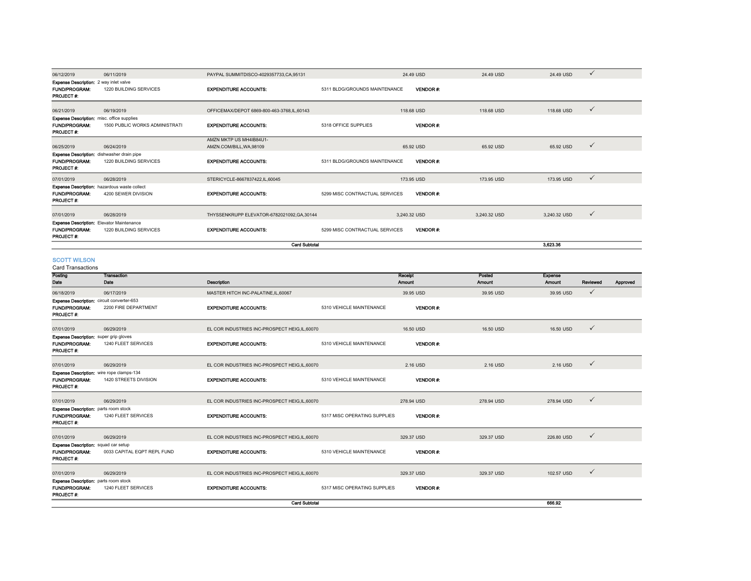| 06/12/2019                                                                       | 06/11/2019                                                                 | PAYPAL SUMMITDISCO-4029357733.CA.95131              |                                | 24.49 USD       | 24.49 USD    | 24.49 USD     | ✓            |          |
|----------------------------------------------------------------------------------|----------------------------------------------------------------------------|-----------------------------------------------------|--------------------------------|-----------------|--------------|---------------|--------------|----------|
| <b>Expense Description:</b> 2 way inlet valve<br>FUND/PROGRAM:<br>PROJECT #:     | 1220 BUILDING SERVICES                                                     | <b>EXPENDITURE ACCOUNTS:</b>                        | 5311 BLDG/GROUNDS MAINTENANCE  | <b>VENDOR#:</b> |              |               |              |          |
| 06/21/2019                                                                       | 06/19/2019                                                                 | OFFICEMAX/DEPOT 6869-800-463-3768.IL.60143          |                                | 118,68 USD      | 118,68 USD   | 118,68 USD    | $\checkmark$ |          |
| <b>Expense Description:</b> misc. office supplies<br>FUND/PROGRAM:<br>PROJECT #: | 1500 PUBLIC WORKS ADMINISTRATI                                             | <b>EXPENDITURE ACCOUNTS:</b>                        | 5318 OFFICE SUPPLIES           | <b>VENDOR#:</b> |              |               |              |          |
| 06/25/2019                                                                       | 06/24/2019                                                                 | AMZN MKTP US MH4IB84U1-<br>AMZN.COM/BILL, WA, 98109 |                                | 65.92 USD       | 65.92 USD    | 65.92 USD     | $\checkmark$ |          |
| Expense Description: dishwasher drain pipe<br>FUND/PROGRAM:<br>PROJECT #:        | 1220 BUILDING SERVICES                                                     | <b>EXPENDITURE ACCOUNTS:</b>                        | 5311 BLDG/GROUNDS MAINTENANCE  | <b>VENDOR#:</b> |              |               |              |          |
| 07/01/2019                                                                       | 06/28/2019                                                                 | STERICYCLE-8667837422,IL,60045                      |                                | 173.95 USD      | 173.95 USD   | 173.95 USD    | $\checkmark$ |          |
| FUND/PROGRAM:<br>PROJECT #:                                                      | <b>Expense Description:</b> hazardous waste collect<br>4200 SEWER DIVISION | <b>EXPENDITURE ACCOUNTS:</b>                        | 5299 MISC CONTRACTUAL SERVICES | <b>VENDOR#:</b> |              |               |              |          |
| 07/01/2019                                                                       | 06/28/2019                                                                 | THYSSENKRUPP ELEVATOR-6782021092, GA, 30144         |                                | 3,240.32 USD    | 3,240.32 USD | 3,240.32 USD  | $\checkmark$ |          |
| Expense Description: Elevator Maintenance<br><b>FUND/PROGRAM:</b><br>PROJECT #:  | 1220 BUILDING SERVICES                                                     | <b>EXPENDITURE ACCOUNTS:</b>                        | 5299 MISC CONTRACTUAL SERVICES | <b>VENDOR#:</b> |              |               |              |          |
|                                                                                  |                                                                            | <b>Card Subtotal</b>                                |                                |                 |              | 3.623.36      |              |          |
| <b>SCOTT WILSON</b><br>Card Transactions<br>Posting                              | <b>Transaction</b>                                                         |                                                     |                                | Receipt         | Posted       | Expense       |              |          |
| Date                                                                             | Date                                                                       | Description                                         |                                | Amount          | Amount       | <b>Amount</b> | Reviewed     | Approved |
| 06/18/2019                                                                       | 06/17/2019                                                                 | MASTER HITCH INC-PALATINE, IL, 60067                |                                | 39.95 USD       | 39.95 USD    | 39.95 USD     | $\checkmark$ |          |
| Expense Description: circuit converter-653<br>FUND/PROGRAM:<br>PROJECT #:        | 2200 FIRE DEPARTMENT                                                       | <b>EXPENDITURE ACCOUNTS:</b>                        | 5310 VEHICLE MAINTENANCE       | <b>VENDOR#:</b> |              |               |              |          |
| 07/01/2019                                                                       | 06/29/2019                                                                 | EL COR INDUSTRIES INC-PROSPECT HEIG.IL.60070        |                                | 16.50 USD       | 16.50 USD    | 16.50 USD     | $\checkmark$ |          |
| <b>Expense Description:</b> super grip gloves<br>FUND/PROGRAM:<br>PROJECT #:     | 1240 FLEET SERVICES                                                        | <b>EXPENDITURE ACCOUNTS:</b>                        | 5310 VEHICLE MAINTENANCE       | <b>VENDOR#:</b> |              |               |              |          |
| 07/01/2019                                                                       | 06/29/2019                                                                 | EL COR INDUSTRIES INC-PROSPECT HEIG, IL, 60070      |                                | 2.16 USD        | 2.16 USD     | 2.16 USD      | $\checkmark$ |          |
|                                                                                  | $-$ 400-4                                                                  |                                                     |                                |                 |              |               |              |          |

| 07/01/2019                                       | 06/29/2019                  | EL COR INDUSTRIES INC-PROSPECT HEIG,IL,60070 |                              | 2.16 USD        | 2.16 USD   | 2.16 USD   | $\checkmark$ |
|--------------------------------------------------|-----------------------------|----------------------------------------------|------------------------------|-----------------|------------|------------|--------------|
| <b>Expense Description:</b> wire rope clamps-134 |                             |                                              |                              |                 |            |            |              |
| <b>FUND/PROGRAM:</b>                             | 1420 STREETS DIVISION       | <b>EXPENDITURE ACCOUNTS:</b>                 | 5310 VEHICLE MAINTENANCE     | VENDOR#:        |            |            |              |
| <b>PROJECT #:</b>                                |                             |                                              |                              |                 |            |            |              |
| 07/01/2019                                       | 06/29/2019                  | EL COR INDUSTRIES INC-PROSPECT HEIG,IL,60070 |                              | 278.94 USD      | 278.94 USD | 278.94 USD | $\checkmark$ |
| <b>Expense Description:</b> parts room stock     |                             |                                              |                              |                 |            |            |              |
| <b>FUND/PROGRAM:</b>                             | 1240 FLEET SERVICES         | <b>EXPENDITURE ACCOUNTS:</b>                 | 5317 MISC OPERATING SUPPLIES | <b>VENDOR#:</b> |            |            |              |
| <b>PROJECT#:</b>                                 |                             |                                              |                              |                 |            |            |              |
| 07/01/2019                                       | 06/29/2019                  | EL COR INDUSTRIES INC-PROSPECT HEIG,IL,60070 |                              | 329.37 USD      | 329.37 USD | 226.80 USD | $\checkmark$ |
| <b>Expense Description:</b> squad car setup      |                             |                                              |                              |                 |            |            |              |
| <b>FUND/PROGRAM:</b>                             | 0033 CAPITAL EQPT REPL FUND | <b>EXPENDITURE ACCOUNTS:</b>                 | 5310 VEHICLE MAINTENANCE     | <b>VENDOR#:</b> |            |            |              |
| PROJECT#:                                        |                             |                                              |                              |                 |            |            |              |
|                                                  |                             |                                              |                              |                 |            |            | $\checkmark$ |
| 07/01/2019                                       | 06/29/2019                  | EL COR INDUSTRIES INC-PROSPECT HEIG,IL,60070 |                              | 329.37 USD      | 329.37 USD | 102.57 USD |              |
| <b>Expense Description:</b> parts room stock     |                             |                                              |                              |                 |            |            |              |
| <b>FUND/PROGRAM:</b>                             | 1240 FLEET SERVICES         | <b>EXPENDITURE ACCOUNTS:</b>                 | 5317 MISC OPERATING SUPPLIES | VENDOR#:        |            |            |              |
| <b>PROJECT#:</b>                                 |                             |                                              |                              |                 |            |            |              |

н на селото на селото на селото на селото на селото на селото на селото на селото на 1666.92 година на 1670 година

666.92

Card Subtotal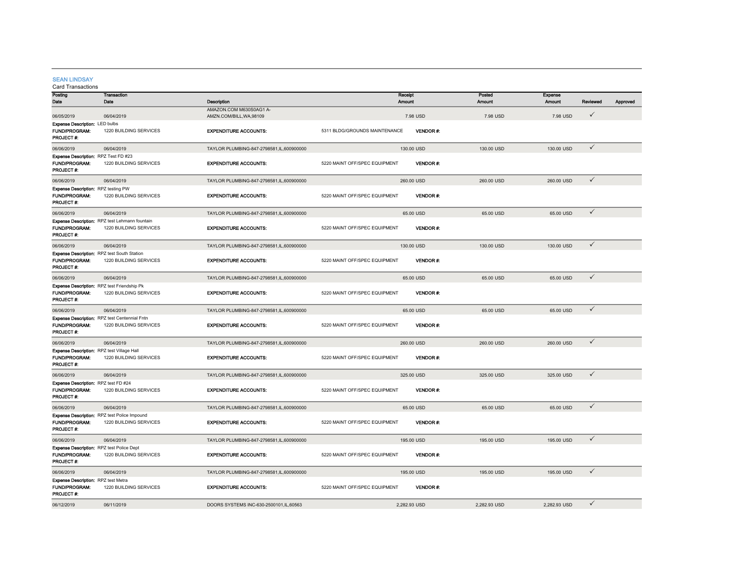#### SEAN LINDSAY

| Posting                                                | <b>Transaction</b>                             |                                          | Receipt                       |                 | Posted        | Expense      |              |          |
|--------------------------------------------------------|------------------------------------------------|------------------------------------------|-------------------------------|-----------------|---------------|--------------|--------------|----------|
| Date                                                   | Date                                           | Description                              | Amount                        |                 | <b>Amount</b> | Amount       | Reviewed     | Approved |
|                                                        |                                                | AMAZON.COM M630S0AG1 A-                  |                               |                 |               |              |              |          |
| 06/05/2019                                             | 06/04/2019                                     | AMZN.COM/BILL, WA, 98109                 |                               | 7.98 USD        | 7.98 USD      | 7.98 USD     | ✓            |          |
| <b>Expense Description: LED bulbs</b><br>FUND/PROGRAM: | 1220 BUILDING SERVICES                         | <b>EXPENDITURE ACCOUNTS:</b>             |                               | <b>VENDOR#</b>  |               |              |              |          |
| <b>PROJECT #:</b>                                      |                                                |                                          | 5311 BLDG/GROUNDS MAINTENANCE |                 |               |              |              |          |
| 06/06/2019                                             | 06/04/2019                                     | TAYLOR PLUMBING-847-2798581,IL,600900000 |                               | 130.00 USD      | 130.00 USD    | 130.00 USD   | $\checkmark$ |          |
| Expense Description: RPZ Test FD #23                   |                                                |                                          |                               |                 |               |              |              |          |
| FUND/PROGRAM:<br>PROJECT #:                            | 1220 BUILDING SERVICES                         | <b>EXPENDITURE ACCOUNTS:</b>             | 5220 MAINT OFF/SPEC EQUIPMENT | <b>VENDOR#:</b> |               |              |              |          |
| 06/06/2019                                             | 06/04/2019                                     | TAYLOR PLUMBING-847-2798581.IL.600900000 |                               | 260,00 USD      | 260.00 USD    | 260,00 USD   | ✓            |          |
| Expense Description: RPZ testing PW                    |                                                |                                          |                               |                 |               |              |              |          |
| FUND/PROGRAM:<br>PROJECT #:                            | 1220 BUILDING SERVICES                         | <b>EXPENDITURE ACCOUNTS:</b>             | 5220 MAINT OFF/SPEC EQUIPMENT | VENDOR #:       |               |              |              |          |
| 06/06/2019                                             | 06/04/2019                                     | TAYLOR PLUMBING-847-2798581,IL,600900000 |                               | 65.00 USD       | 65.00 USD     | 65.00 USD    | ✓            |          |
|                                                        | Expense Description: RPZ test Lehmann fountain |                                          |                               |                 |               |              |              |          |
| FUND/PROGRAM:<br>PROJECT#:                             | 1220 BUILDING SERVICES                         | <b>EXPENDITURE ACCOUNTS:</b>             | 5220 MAINT OFF/SPEC EQUIPMENT | <b>VENDOR#:</b> |               |              |              |          |
| 06/06/2019                                             | 06/04/2019                                     | TAYLOR PLUMBING-847-2798581,IL,600900000 |                               | 130.00 USD      | 130.00 USD    | 130.00 USD   | ✓            |          |
|                                                        | Expense Description: RPZ test South Station    |                                          |                               |                 |               |              |              |          |
| FUND/PROGRAM.<br>PROJECT #:                            | 1220 BUILDING SERVICES                         | <b>EXPENDITURE ACCOUNTS:</b>             | 5220 MAINT OFF/SPEC EQUIPMENT | <b>VENDOR#:</b> |               |              |              |          |
| 06/06/2019                                             | 06/04/2019                                     | TAYLOR PLUMBING-847-2798581,IL,600900000 |                               | 65.00 USD       | 65.00 USD     | 65.00 USD    | $\checkmark$ |          |
|                                                        | Expense Description: RPZ test Friendship Pk    |                                          |                               |                 |               |              |              |          |
| FUND/PROGRAM:<br>PROJECT #:                            | 1220 BUILDING SERVICES                         | <b>EXPENDITURE ACCOUNTS:</b>             | 5220 MAINT OFF/SPEC EQUIPMENT | <b>VENDOR#:</b> |               |              |              |          |
| 06/06/2019                                             | 06/04/2019                                     | TAYLOR PLUMBING-847-2798581,IL,600900000 |                               | 65.00 USD       | 65.00 USD     | 65.00 USD    | $\checkmark$ |          |
|                                                        | Expense Description: RPZ test Centennial Fntn  |                                          |                               |                 |               |              |              |          |
| FUND/PROGRAM:<br>PROJECT #:                            | 1220 BUILDING SERVICES                         | <b>EXPENDITURE ACCOUNTS:</b>             | 5220 MAINT OFF/SPEC EQUIPMENT | VENDOR#:        |               |              |              |          |
| 06/06/2019                                             | 06/04/2019                                     | TAYLOR PLUMBING-847-2798581,IL,600900000 |                               | 260.00 USD      | 260.00 USD    | 260.00 USD   | $\checkmark$ |          |
| Expense Description: RPZ test Village Hall             |                                                |                                          |                               |                 |               |              |              |          |
| FUND/PROGRAM:<br>PROJECT#:                             | 1220 BUILDING SERVICES                         | <b>EXPENDITURE ACCOUNTS:</b>             | 5220 MAINT OFF/SPEC EQUIPMENT | <b>VENDOR#:</b> |               |              |              |          |
| 06/06/2019                                             | 06/04/2019                                     | TAYLOR PLUMBING-847-2798581,IL,600900000 |                               | 325.00 USD      | 325.00 USD    | 325.00 USD   | $\checkmark$ |          |
| Expense Description: RPZ test FD #24                   |                                                |                                          |                               |                 |               |              |              |          |
| FUND/PROGRAM:<br>PROJECT #:                            | 1220 BUILDING SERVICES                         | <b>EXPENDITURE ACCOUNTS:</b>             | 5220 MAINT OFF/SPEC EQUIPMENT | <b>VENDOR#:</b> |               |              |              |          |
| 06/06/2019                                             | 06/04/2019                                     | TAYLOR PLUMBING-847-2798581,IL,600900000 |                               | 65.00 USD       | 65.00 USD     | 65.00 USD    | $\checkmark$ |          |
|                                                        | Expense Description: RPZ test Police Impound   |                                          |                               |                 |               |              |              |          |
| FUND/PROGRAM:<br>PROJECT#:                             | 1220 BUILDING SERVICES                         | <b>EXPENDITURE ACCOUNTS:</b>             | 5220 MAINT OFF/SPEC EQUIPMENT | <b>VENDOR#:</b> |               |              |              |          |
| 06/06/2019                                             | 06/04/2019                                     | TAYLOR PLUMBING-847-2798581,IL,600900000 |                               | 195.00 USD      | 195.00 USD    | 195.00 USD   | ✓            |          |
| Expense Description: RPZ test Police Dept              |                                                |                                          |                               |                 |               |              |              |          |
| FUND/PROGRAM:<br>PROJECT #:                            | 1220 BUILDING SERVICES                         | <b>EXPENDITURE ACCOUNTS:</b>             | 5220 MAINT OFF/SPEC EQUIPMENT | <b>VENDOR#:</b> |               |              |              |          |
| 06/06/2019                                             | 06/04/2019                                     | TAYLOR PLUMBING-847-2798581.IL.600900000 |                               | 195.00 USD      | 195,00 USD    | 195,00 USD   | $\checkmark$ |          |
| Expense Description: RPZ test Metra                    |                                                |                                          |                               |                 |               |              |              |          |
| FUND/PROGRAM:<br>PROJECT #:                            | 1220 BUILDING SERVICES                         | <b>EXPENDITURE ACCOUNTS:</b>             | 5220 MAINT OFF/SPEC EQUIPMENT | VENDOR#:        |               |              |              |          |
| 06/12/2019                                             | 06/11/2019                                     | DOORS SYSTEMS INC-630-2500101,IL,60563   |                               | 2.282.93 USD    | 2,282.93 USD  | 2.282.93 USD | ✓            |          |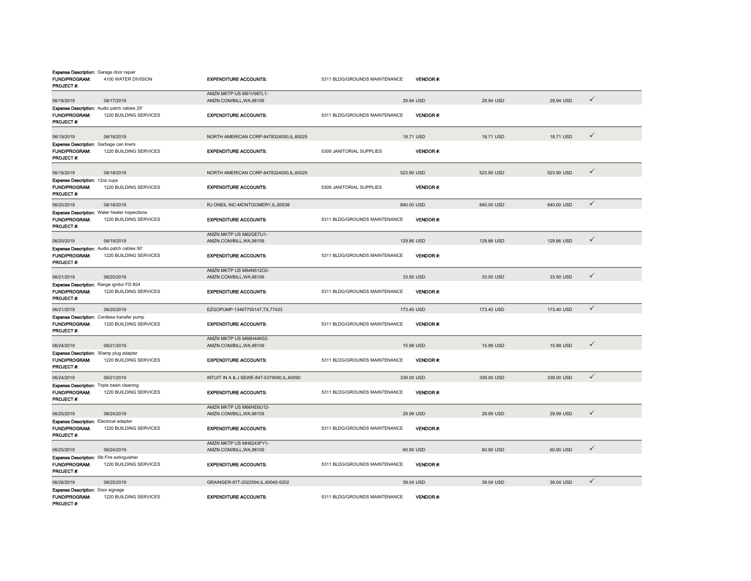| <b>Expense Description:</b> Garage door repair<br>FUND/PROGRAM:<br>PROJECT#:         | 4100 WATER DIVISION                                                            | <b>EXPENDITURE ACCOUNTS:</b>                        | 5311 BLDG/GROUNDS MAINTENANCE | <b>VENDOR#:</b> |            |            |              |
|--------------------------------------------------------------------------------------|--------------------------------------------------------------------------------|-----------------------------------------------------|-------------------------------|-----------------|------------|------------|--------------|
| 06/18/2019                                                                           | 06/17/2019                                                                     | AMZN MKTP US M61V987L1-<br>AMZN.COM/BILL, WA, 98109 |                               | 29.94 USD       | 29.94 USD  | 29.94 USD  | $\checkmark$ |
| Expense Description: Audio patch cables 25'                                          |                                                                                |                                                     |                               |                 |            |            |              |
| <b>FUND/PROGRAM:</b><br>PROJECT #:                                                   | 1220 BUILDING SERVICES                                                         | <b>EXPENDITURE ACCOUNTS:</b>                        | 5311 BLDG/GROUNDS MAINTENANCE | VENDOR#:        |            |            |              |
| 06/19/2019                                                                           | 06/18/2019                                                                     | NORTH AMERICAN CORP-8478324000,IL,60025             |                               | 18.71 USD       | 18.71 USD  | 18.71 USD  | $\checkmark$ |
| <b>Expense Description:</b> Garbage can liners<br><b>FUND/PROGRAM:</b><br>PROJECT #: | 1220 BUILDING SERVICES                                                         | <b>EXPENDITURE ACCOUNTS:</b>                        | 5309 JANITORIAL SUPPLIES      | VENDOR#:        |            |            |              |
| 06/19/2019                                                                           | 06/18/2019                                                                     | NORTH AMERICAN CORP-8478324000, IL, 60025           |                               | 523.90 USD      | 523.90 USD | 523.90 USD | $\checkmark$ |
| Expense Description: 12oz cups<br>FUND/PROGRAM:<br>PROJECT#:                         | 1220 BUILDING SERVICES                                                         | <b>EXPENDITURE ACCOUNTS:</b>                        | 5309 JANITORIAL SUPPLIES      | VENDOR#:        |            |            |              |
| 06/20/2019                                                                           | 06/18/2019                                                                     | RJ ONEIL INC-MONTGOMERY, IL, 60538                  |                               | 840.00 USD      | 840.00 USD | 840.00 USD | $\checkmark$ |
| FUND/PROGRAM:<br>PROJECT #:                                                          | <b>Expense Description: Water heater inspections</b><br>1220 BUILDING SERVICES | <b>EXPENDITURE ACCOUNTS:</b>                        | 5311 BLDG/GROUNDS MAINTENANCE | VENDOR#:        |            |            |              |
| 06/20/2019                                                                           | 06/19/2019                                                                     | AMZN MKTP US M62GE7IJ1-<br>AMZN.COM/BILL, WA, 98109 |                               | 129.86 USD      | 129.86 USD | 129.86 USD | $\checkmark$ |
| Expense Description: Audio patch cables 50'<br>FUND/PROGRAM:<br>PROJECT#:            | 1220 BUILDING SERVICES                                                         | <b>EXPENDITURE ACCOUNTS:</b>                        | 5311 BLDG/GROUNDS MAINTENANCE | VENDOR#:        |            |            |              |
| 06/21/2019                                                                           | 06/20/2019                                                                     | AMZN MKTP US M64N512O2-<br>AMZN.COM/BILL, WA, 98109 |                               | 33.50 USD       | 33.50 USD  | 33.50 USD  | $\checkmark$ |
| Expense Description: Range ignitor FD #24                                            |                                                                                |                                                     |                               |                 |            |            |              |
| <b>FUND/PROGRAM:</b><br>PROJECT #:                                                   | 1220 BUILDING SERVICES                                                         | <b>EXPENDITURE ACCOUNTS:</b>                        | 5311 BLDG/GROUNDS MAINTENANCE | <b>VENDOR#:</b> |            |            |              |
| 06/21/2019                                                                           | 06/20/2019                                                                     | EZGOPUMP-13467755147,TX,77433                       |                               | 173.40 USD      | 173.40 USD | 173.40 USD | $\checkmark$ |
| <b>Expense Description:</b> Cordless transfer pump<br>FUND/PROGRAM:<br>PROJECT #:    | 1220 BUILDING SERVICES                                                         | <b>EXPENDITURE ACCOUNTS:</b>                        | 5311 BLDG/GROUNDS MAINTENANCE | VENDOR#:        |            |            |              |
| 06/24/2019                                                                           | 06/21/2019                                                                     | AMZN MKTP US M68H44K52-<br>AMZN.COM/BILL, WA, 98109 |                               | 15.99 USD       | 15.99 USD  | 15.99 USD  | $\checkmark$ |
| Expense Description: 30amp plug adapter<br>FUND/PROGRAM:<br>PROJECT#:                | 1220 BUILDING SERVICES                                                         | <b>EXPENDITURE ACCOUNTS:</b>                        | 5311 BLDG/GROUNDS MAINTENANCE | <b>VENDOR#:</b> |            |            |              |
| 06/24/2019                                                                           | 06/21/2019                                                                     | INTUIT IN A & J SEWE-847-5379090,IL,60090           |                               | 339.00 USD      | 339.00 USD | 339.00 USD | $\checkmark$ |
| <b>Expense Description:</b> Triple basin cleaning<br>FUND/PROGRAM:<br>PROJECT #:     | 1220 BUILDING SERVICES                                                         | <b>EXPENDITURE ACCOUNTS:</b>                        | 5311 BLDG/GROUNDS MAINTENANCE | VENDOR#:        |            |            |              |
| 06/25/2019                                                                           | 06/24/2019                                                                     | AMZN MKTP US M66HE6U12-<br>AMZN.COM/BILL, WA, 98109 |                               | 29.99 USD       | 29.99 USD  | 29.99 USD  | $\checkmark$ |
| <b>Expense Description:</b> Electrical adapter<br>FUND/PROGRAM:<br>PROJECT#:         | 1220 BUILDING SERVICES                                                         | <b>EXPENDITURE ACCOUNTS:</b>                        | 5311 BLDG/GROUNDS MAINTENANCE | <b>VENDOR#:</b> |            |            |              |
| 06/25/2019                                                                           | 06/24/2019                                                                     | AMZN MKTP US MH8243FY1-<br>AMZN.COM/BILL, WA, 98109 |                               | 60.90 USD       | 60.90 USD  | 60.90 USD  | $\checkmark$ |
| Expense Description: 5lb Fire extinguisher<br><b>FUND/PROGRAM:</b><br>PROJECT #:     | 1220 BUILDING SERVICES                                                         | <b>EXPENDITURE ACCOUNTS:</b>                        | 5311 BLDG/GROUNDS MAINTENANCE | VENDOR#:        |            |            |              |
| 06/26/2019                                                                           | 06/25/2019                                                                     | GRAINGER-877-2022594,IL,60045-5202                  |                               | 39.04 USD       | 39.04 USD  | 39.04 USD  | $\checkmark$ |
| <b>Expense Description:</b> Door signage<br><b>FUND/PROGRAM:</b><br>PROJECT #:       | 1220 BUILDING SERVICES                                                         | <b>EXPENDITURE ACCOUNTS:</b>                        | 5311 BLDG/GROUNDS MAINTENANCE | VENDOR#:        |            |            |              |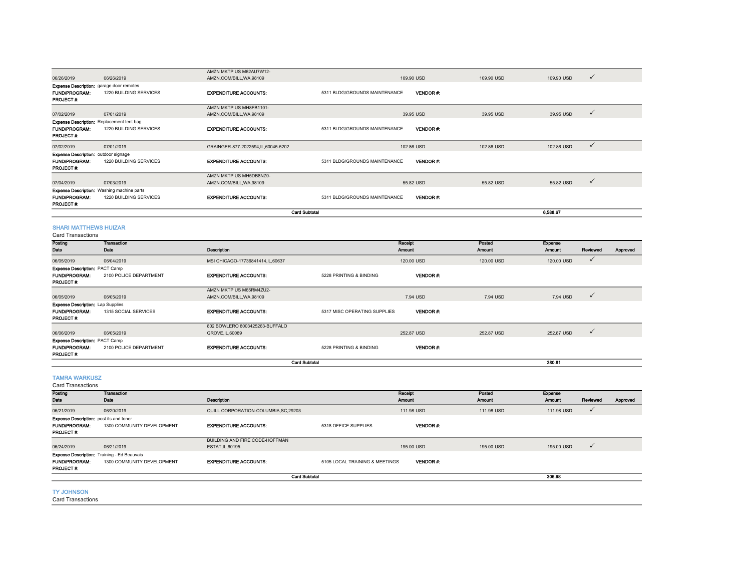|                                                                                             |                                                                             | <b>Card Subtotal</b>                                |                               |                 |            | 6.588.67                   |  |
|---------------------------------------------------------------------------------------------|-----------------------------------------------------------------------------|-----------------------------------------------------|-------------------------------|-----------------|------------|----------------------------|--|
| <b>FUND/PROGRAM:</b><br>PROJECT #:                                                          | <b>Expense Description:</b> Washing machine parts<br>1220 BUILDING SERVICES | <b>EXPENDITURE ACCOUNTS:</b>                        | 5311 BLDG/GROUNDS MAINTENANCE | <b>VENDOR#:</b> |            |                            |  |
| 07/04/2019                                                                                  | 07/03/2019                                                                  | AMZN MKTP US MH5DB8NZ0-<br>AMZN.COM/BILL, WA, 98109 |                               | 55.82 USD       | 55.82 USD  | $\checkmark$<br>55.82 USD  |  |
| <b>Expense Description:</b> outdoor signage<br>FUND/PROGRAM:<br>PROJECT#:                   | 1220 BUILDING SERVICES                                                      | <b>EXPENDITURE ACCOUNTS:</b>                        | 5311 BLDG/GROUNDS MAINTENANCE | <b>VENDOR#:</b> |            |                            |  |
| 07/02/2019                                                                                  | 07/01/2019                                                                  | GRAINGER-877-2022594,IL,60045-5202                  |                               | 102.86 USD      | 102.86 USD | $\checkmark$<br>102.86 USD |  |
| FUND/PROGRAM:<br>PROJECT#:                                                                  | <b>Expense Description: Replacement tent bag</b><br>1220 BUILDING SERVICES  | <b>EXPENDITURE ACCOUNTS:</b>                        | 5311 BLDG/GROUNDS MAINTENANCE | <b>VENDOR#:</b> |            |                            |  |
| 07/02/2019                                                                                  | 07/01/2019                                                                  | AMZN MKTP US MH8FB1101-<br>AMZN.COM/BILL, WA, 98109 |                               | 39.95 USD       | 39.95 USD  | 39.95 USD<br>$\checkmark$  |  |
| <b>Expense Description:</b> garage door remotes<br><b>FUND/PROGRAM:</b><br><b>PROJECT#:</b> | 1220 BUILDING SERVICES                                                      | <b>EXPENDITURE ACCOUNTS:</b>                        | 5311 BLDG/GROUNDS MAINTENANCE | <b>VENDOR#:</b> |            |                            |  |
| 06/26/2019                                                                                  | 06/26/2019                                                                  | AMZN MKTP US M62AU7W12-<br>AMZN.COM/BILL, WA, 98109 |                               | 109.90 USD      | 109.90 USD | $\checkmark$<br>109.90 USD |  |

#### SHARI MATTHEWS HUIZAR

| Card Transactions                                                                  |                            |                                                     |                              |                   |                  |                          |              |          |
|------------------------------------------------------------------------------------|----------------------------|-----------------------------------------------------|------------------------------|-------------------|------------------|--------------------------|--------------|----------|
| Posting<br>Date                                                                    | <b>Transaction</b><br>Date | <b>Description</b>                                  |                              | Receipt<br>Amount | Posted<br>Amount | <b>Expense</b><br>Amount | Reviewed     | Approved |
| 06/05/2019                                                                         | 06/04/2019                 | MSI CHICAGO-17736841414, IL, 60637                  |                              | 120,00 USD        | 120.00 USD       | 120.00 USD               | $\checkmark$ |          |
| <b>Expense Description: PACT Camp</b><br><b>FUND/PROGRAM:</b><br><b>PROJECT#:</b>  | 2100 POLICE DEPARTMENT     | <b>EXPENDITURE ACCOUNTS:</b>                        | 5228 PRINTING & BINDING      | <b>VENDOR#:</b>   |                  |                          |              |          |
| 06/05/2019                                                                         | 06/05/2019                 | AMZN MKTP US M65RM4ZU2-<br>AMZN.COM/BILL, WA, 98109 |                              | 7.94 USD          | 7.94 USD         | 7.94 USD                 | $\checkmark$ |          |
| <b>Expense Description: Lap Supplies</b><br><b>FUND/PROGRAM:</b><br>PROJECT#:      | 1315 SOCIAL SERVICES       | <b>EXPENDITURE ACCOUNTS:</b>                        | 5317 MISC OPERATING SUPPLIES | <b>VENDOR#:</b>   |                  |                          |              |          |
| 06/06/2019                                                                         | 06/05/2019                 | 802 BOWLERO 8003425263-BUFFALO<br>GROVE, IL, 60089  |                              | 252.87 USD        | 252.87 USD       | 252.87 USD               | $\checkmark$ |          |
| <b>Expense Description: PACT Camp</b><br><b>FUND/PROGRAM:</b><br><b>PROJECT #:</b> | 2100 POLICE DEPARTMENT     | <b>EXPENDITURE ACCOUNTS:</b>                        | 5228 PRINTING & BINDING      | VENDOR#:          |                  |                          |              |          |
|                                                                                    |                            |                                                     | <b>Card Subtotal</b>         |                   |                  | 380.81                   |              |          |

TAMRA WARKUSZ

| Receipt<br>Amount | Posted<br><b>Amount</b>  | <b>Expense</b> |               |          |
|-------------------|--------------------------|----------------|---------------|----------|
|                   |                          |                |               |          |
|                   |                          |                | Reviewed      | Approved |
|                   | 111.98 USD               | 111.98 USD     |               |          |
|                   |                          |                |               |          |
| <b>VENDOR#:</b>   |                          |                |               |          |
|                   |                          |                |               |          |
|                   |                          |                |               |          |
|                   | 195,00 USD               | 195,00 USD     | ٧             |          |
|                   |                          |                |               |          |
| <b>VENDOR#:</b>   |                          |                |               |          |
|                   |                          | 306.98         |               |          |
|                   | 111.98 USD<br>195,00 USD |                | <b>Amount</b> |          |

#### TY JOHNSON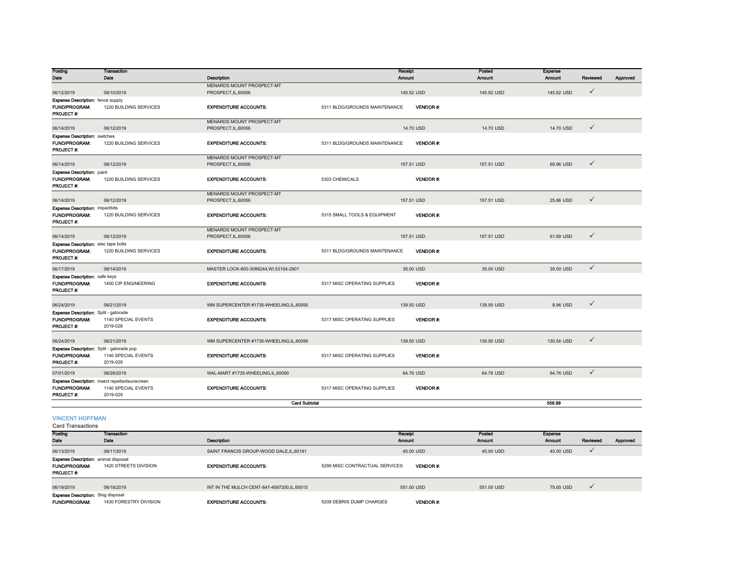| Posting<br>Date                                                                         | <b>Transaction</b><br>Date                                                        | Description                                      |                               | Receipt<br>Amount | Posted<br><b>Amount</b> | Expense<br>Amount | Reviewed     | Approved |
|-----------------------------------------------------------------------------------------|-----------------------------------------------------------------------------------|--------------------------------------------------|-------------------------------|-------------------|-------------------------|-------------------|--------------|----------|
| 06/12/2019                                                                              | 06/10/2019                                                                        | MENARDS MOUNT PROSPECT-MT<br>PROSPECT, IL, 60056 |                               | 145.52 USD        | 145.52 USD              | 145.52 USD        | $\checkmark$ |          |
|                                                                                         |                                                                                   |                                                  |                               |                   |                         |                   |              |          |
| <b>Expense Description:</b> fence supply<br><b>FUND/PROGRAM:</b><br>PROJECT #:          | 1220 BUILDING SERVICES                                                            | <b>EXPENDITURE ACCOUNTS:</b>                     | 5311 BLDG/GROUNDS MAINTENANCE | <b>VENDOR#:</b>   |                         |                   |              |          |
| 06/14/2019                                                                              | 06/12/2019                                                                        | MENARDS MOUNT PROSPECT-MT<br>PROSPECT, IL, 60056 |                               | 14.70 USD         | 14.70 USD               | 14.70 USD         | $\checkmark$ |          |
| <b>Expense Description: switches</b><br>FUND/PROGRAM:<br>PROJECT#:                      | 1220 BUILDING SERVICES                                                            | <b>EXPENDITURE ACCOUNTS:</b>                     | 5311 BLDG/GROUNDS MAINTENANCE | <b>VENDOR#:</b>   |                         |                   |              |          |
| 06/14/2019                                                                              | 06/12/2019                                                                        | MENARDS MOUNT PROSPECT-MT<br>PROSPECT, IL, 60056 |                               | 157.51 USD        | 157.51 USD              | 69.96 USD         | $\checkmark$ |          |
| <b>Expense Description: paint</b><br><b>FUND/PROGRAM:</b><br>PROJECT#:                  | 1220 BUILDING SERVICES                                                            | <b>EXPENDITURE ACCOUNTS:</b>                     | 5303 CHEMICALS                | <b>VENDOR#:</b>   |                         |                   |              |          |
| 06/14/2019                                                                              | 06/12/2019                                                                        | MENARDS MOUNT PROSPECT-MT<br>PROSPECT, IL, 60056 |                               | 157.51 USD        | 157.51 USD              | 25.86 USD         | $\checkmark$ |          |
| <b>Expense Description: impactbits</b><br><b>FUND/PROGRAM:</b><br>PROJECT #:            | 1220 BUILDING SERVICES                                                            | <b>EXPENDITURE ACCOUNTS:</b>                     | 5315 SMALL TOOLS & EQUIPMENT  | VENDOR#:          |                         |                   |              |          |
| 06/14/2019                                                                              | 06/12/2019                                                                        | MENARDS MOUNT PROSPECT-MT<br>PROSPECT, IL, 60056 |                               | 157.51 USD        | 157.51 USD              | 61.69 USD         | $\checkmark$ |          |
| <b>Expense Description:</b> elec tape bolts<br><b>FUND/PROGRAM:</b><br><b>PROJECT#:</b> | 1220 BUILDING SERVICES                                                            | <b>EXPENDITURE ACCOUNTS:</b>                     | 5311 BLDG/GROUNDS MAINTENANCE | <b>VENDOR#:</b>   |                         |                   |              |          |
| 06/17/2019                                                                              | 06/14/2019                                                                        | MASTER LOCK-800-3089244.WI.53154-2901            |                               | 35.00 USD         | 35.00 USD               | 35.00 USD         | $\checkmark$ |          |
| <b>Expense Description:</b> safe keys<br><b>FUND/PROGRAM:</b><br>PROJECT #:             | 1400 CIP ENGINEERING                                                              | <b>EXPENDITURE ACCOUNTS:</b>                     | 5317 MISC OPERATING SUPPLIES  | <b>VENDOR#:</b>   |                         |                   |              |          |
| 06/24/2019                                                                              | 06/21/2019                                                                        | WM SUPERCENTER #1735-WHEELING,IL,60090           |                               | 139.50 USD        | 139.50 USD              | 8.96 USD          | $\checkmark$ |          |
| Expense Description: Split - gatorade<br>FUND/PROGRAM:<br>PROJECT #:                    | 1140 SPECIAL EVENTS<br>2019-028                                                   | <b>EXPENDITURE ACCOUNTS:</b>                     | 5317 MISC OPERATING SUPPLIES  | <b>VENDOR#:</b>   |                         |                   |              |          |
| 06/24/2019                                                                              | 06/21/2019                                                                        | WM SUPERCENTER #1735-WHEELING.IL.60090           |                               | 139.50 USD        | 139,50 USD              | 130.54 USD        | $\checkmark$ |          |
| Expense Description: Split - gatorade pop<br><b>FUND/PROGRAM:</b><br>PROJECT #:         | 1140 SPECIAL EVENTS<br>2019-029                                                   | <b>EXPENDITURE ACCOUNTS:</b>                     | 5317 MISC OPERATING SUPPLIES  | VENDOR#:          |                         |                   |              |          |
| 07/01/2019                                                                              | 06/28/2019                                                                        | WAL-MART #1735-WHEELING,IL,60090                 |                               | 64.76 USD         | 64.76 USD               | 64.76 USD         | $\checkmark$ |          |
| <b>FUND/PROGRAM:</b><br>PROJECT #:                                                      | Expense Description: insect repellantsunscreen<br>1140 SPECIAL EVENTS<br>2019-029 | <b>EXPENDITURE ACCOUNTS:</b>                     | 5317 MISC OPERATING SUPPLIES  | VENDOR#:          |                         |                   |              |          |
|                                                                                         |                                                                                   | <b>Card Subtotal</b>                             |                               |                   |                         | 556.99            |              |          |

VINCENT HOFFMAN

| Posting                                     | <b>Transaction</b>     |                                            | Receipt                                           | Posted        | <b>Expense</b> |          |          |
|---------------------------------------------|------------------------|--------------------------------------------|---------------------------------------------------|---------------|----------------|----------|----------|
| Date                                        | Date                   | <b>Description</b>                         | <b>Amount</b>                                     | <b>Amount</b> | <b>Amount</b>  | Reviewed | Approved |
| 06/13/2019                                  | 06/11/2019             | SAINT FRANCIS GROUP-WOOD DALE.IL.60191     | 45.00 USD                                         | 45.00 USD     | 45.00 USD      |          |          |
| <b>Expense Description:</b> animal disposal |                        |                                            |                                                   |               |                |          |          |
| FUND/PROGRAM:                               | 1420 STREETS DIVISION  | <b>EXPENDITURE ACCOUNTS:</b>               | 5299 MISC CONTRACTUAL SERVICES<br><b>VENDOR#:</b> |               |                |          |          |
| <b>PROJECT#:</b>                            |                        |                                            |                                                   |               |                |          |          |
|                                             |                        |                                            |                                                   |               |                |          |          |
| 06/19/2019                                  | 06/18/2019             | INT IN THE MULCH CENT-847-4597200.IL.60015 | 551.00 USD                                        | 551.00 USD    | 75.00 USD      |          |          |
| <b>Expense Description:</b> Slog disposal   |                        |                                            |                                                   |               |                |          |          |
| <b>FUND/PROGRAM:</b>                        | 1430 FORESTRY DIVISION | <b>EXPENDITURE ACCOUNTS:</b>               | 5208 DEBRIS DUMP CHARGES<br><b>VENDOR#:</b>       |               |                |          |          |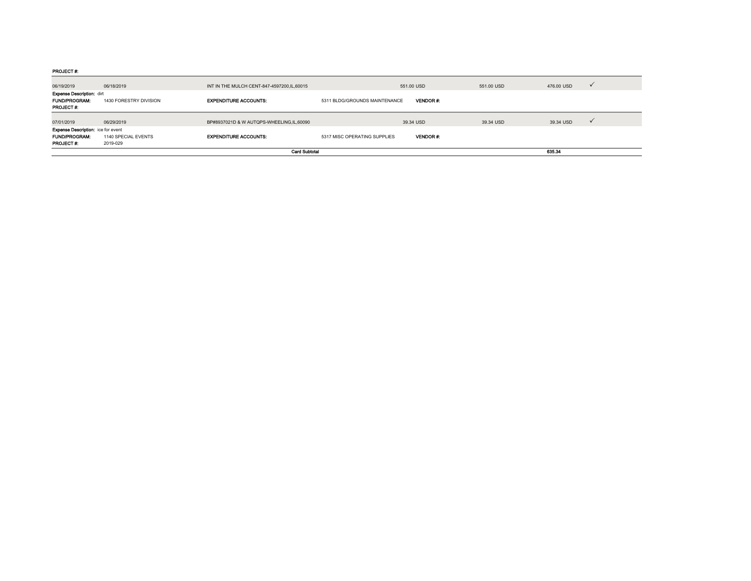PROJECT #:

| <b>PROJECT #:</b>                                                             | 2019-029               | <b>Card Subtotal</b>                         |                               |                 |            | 635.34     |              |
|-------------------------------------------------------------------------------|------------------------|----------------------------------------------|-------------------------------|-----------------|------------|------------|--------------|
| <b>FUND/PROGRAM:</b>                                                          | 1140 SPECIAL EVENTS    | <b>EXPENDITURE ACCOUNTS:</b>                 | 5317 MISC OPERATING SUPPLIES  | <b>VENDOR#:</b> |            |            |              |
| <b>Expense Description:</b> ice for event                                     |                        |                                              |                               |                 |            |            |              |
| 07/01/2019                                                                    | 06/29/2019             | BP#8937021D & W AUTOPS-WHEELING.IL.60090     |                               | 39.34 USD       | 39.34 USD  | 39.34 USD  | $\checkmark$ |
| <b>Expense Description: dirt</b><br><b>FUND/PROGRAM:</b><br><b>PROJECT #:</b> | 1430 FORESTRY DIVISION | <b>EXPENDITURE ACCOUNTS:</b>                 | 5311 BLDG/GROUNDS MAINTENANCE | VENDOR#:        |            |            |              |
| 06/19/2019                                                                    | 06/18/2019             | INT IN THE MULCH CENT-847-4597200, IL, 60015 |                               | 551.00 USD      | 551.00 USD | 476,00 USD | $\checkmark$ |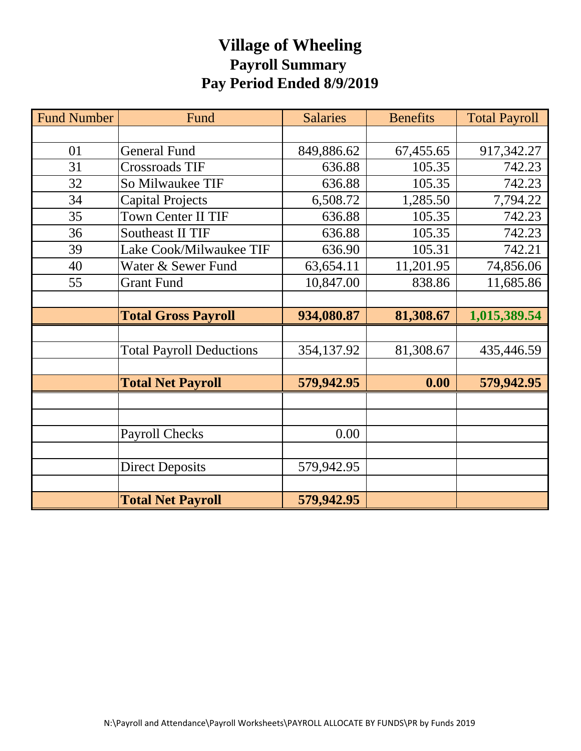## **Village of Wheeling Payroll Summary Pay Period Ended 8/9/2019**

| <b>Fund Number</b> | Fund                            | <b>Salaries</b> | <b>Benefits</b> | <b>Total Payroll</b> |
|--------------------|---------------------------------|-----------------|-----------------|----------------------|
|                    |                                 |                 |                 |                      |
| 01                 | <b>General Fund</b>             | 849,886.62      | 67,455.65       | 917,342.27           |
| 31                 | <b>Crossroads TIF</b>           | 636.88          | 105.35          | 742.23               |
| 32                 | So Milwaukee TIF                | 636.88          | 105.35          | 742.23               |
| 34                 | <b>Capital Projects</b>         | 6,508.72        | 1,285.50        | 7,794.22             |
| 35                 | <b>Town Center II TIF</b>       | 636.88          | 105.35          | 742.23               |
| 36                 | <b>Southeast II TIF</b>         | 636.88          | 105.35          | 742.23               |
| 39                 | Lake Cook/Milwaukee TIF         | 636.90          | 105.31          | 742.21               |
| 40                 | Water & Sewer Fund              | 63,654.11       | 11,201.95       | 74,856.06            |
| 55                 | <b>Grant Fund</b>               | 10,847.00       | 838.86          | 11,685.86            |
|                    |                                 |                 |                 |                      |
|                    | <b>Total Gross Payroll</b>      | 934,080.87      | 81,308.67       | 1,015,389.54         |
|                    |                                 |                 |                 |                      |
|                    | <b>Total Payroll Deductions</b> | 354,137.92      | 81,308.67       | 435,446.59           |
|                    |                                 |                 |                 |                      |
|                    | <b>Total Net Payroll</b>        | 579,942.95      | 0.00            | 579,942.95           |
|                    |                                 |                 |                 |                      |
|                    |                                 |                 |                 |                      |
|                    | <b>Payroll Checks</b>           | 0.00            |                 |                      |
|                    |                                 |                 |                 |                      |
|                    | <b>Direct Deposits</b>          | 579,942.95      |                 |                      |
|                    |                                 |                 |                 |                      |
|                    | <b>Total Net Payroll</b>        | 579,942.95      |                 |                      |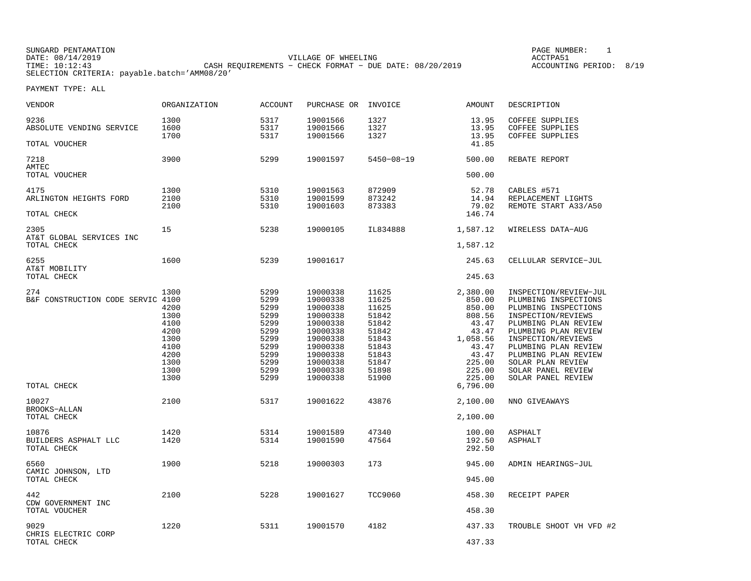SUNGARD PENTAMATION PAGE NUMBER: 1DATE: 08/14/2019 VILLAGE OF WHEELING ACCTPA51TIME: 10:12:43 CASH REQUIREMENTS − CHECK FORMAT − DUE DATE: 08/20/2019 ACCOUNTING PERIOD: 8/19SELECTION CRITERIA: payable.batch='AMM08/20'

ACCOUNTING PERIOD: 8/19

| VENDOR                                       | ORGANIZATION                 | <b>ACCOUNT</b>               | PURCHASE OR                                  | INVOICE                          | AMOUNT                                 | DESCRIPTION                                                                                 |
|----------------------------------------------|------------------------------|------------------------------|----------------------------------------------|----------------------------------|----------------------------------------|---------------------------------------------------------------------------------------------|
| 9236<br>ABSOLUTE VENDING SERVICE             | 1300<br>1600<br>1700         | 5317<br>5317<br>5317         | 19001566<br>19001566<br>19001566             | 1327<br>1327<br>1327             | 13.95<br>13.95<br>13.95                | COFFEE SUPPLIES<br><b>COFFEE SUPPLIES</b><br><b>COFFEE SUPPLIES</b>                         |
| TOTAL VOUCHER                                |                              |                              |                                              |                                  | 41.85                                  |                                                                                             |
| 7218<br>AMTEC                                | 3900                         | 5299                         | 19001597                                     | $5450 - 08 - 19$                 | 500.00                                 | REBATE REPORT                                                                               |
| TOTAL VOUCHER                                |                              |                              |                                              |                                  | 500.00                                 |                                                                                             |
| 4175<br>ARLINGTON HEIGHTS FORD               | 1300<br>2100<br>2100         | 5310<br>5310<br>5310         | 19001563<br>19001599<br>19001603             | 872909<br>873242<br>873383       | 52.78<br>14.94<br>79.02                | CABLES #571<br>REPLACEMENT LIGHTS<br>REMOTE START A33/A50                                   |
| TOTAL CHECK                                  |                              |                              |                                              |                                  | 146.74                                 |                                                                                             |
| 2305<br>AT&T GLOBAL SERVICES INC             | 15                           | 5238                         | 19000105                                     | IL834888                         | 1,587.12                               | WIRELESS DATA-AUG                                                                           |
| TOTAL CHECK                                  |                              |                              |                                              |                                  | 1,587.12                               |                                                                                             |
| 6255<br>AT&T MOBILITY                        | 1600                         | 5239                         | 19001617                                     |                                  | 245.63                                 | CELLULAR SERVICE-JUL                                                                        |
| TOTAL CHECK                                  |                              |                              |                                              |                                  | 245.63                                 |                                                                                             |
| 274<br>B&F CONSTRUCTION CODE SERVIC 4100     | 1300<br>4200<br>1300         | 5299<br>5299<br>5299<br>5299 | 19000338<br>19000338<br>19000338<br>19000338 | 11625<br>11625<br>11625<br>51842 | 2,380.00<br>850.00<br>850.00<br>808.56 | INSPECTION/REVIEW-JUL<br>PLUMBING INSPECTIONS<br>PLUMBING INSPECTIONS<br>INSPECTION/REVIEWS |
|                                              | 4100<br>4200<br>1300         | 5299<br>5299<br>5299         | 19000338<br>19000338<br>19000338             | 51842<br>51842<br>51843          | 43.47<br>43.47<br>1,058.56             | PLUMBING PLAN REVIEW<br>PLUMBING PLAN REVIEW<br>INSPECTION/REVIEWS                          |
|                                              | 4100<br>4200<br>1300<br>1300 | 5299<br>5299<br>5299<br>5299 | 19000338<br>19000338<br>19000338<br>19000338 | 51843<br>51843<br>51847<br>51898 | 43.47<br>43.47<br>225.00<br>225.00     | PLUMBING PLAN REVIEW<br>PLUMBING PLAN REVIEW<br>SOLAR PLAN REVIEW<br>SOLAR PANEL REVIEW     |
| TOTAL CHECK                                  | 1300                         | 5299                         | 19000338                                     | 51900                            | 225.00<br>6,796.00                     | SOLAR PANEL REVIEW                                                                          |
|                                              |                              |                              |                                              |                                  |                                        |                                                                                             |
| 10027<br><b>BROOKS-ALLAN</b>                 | 2100                         | 5317                         | 19001622                                     | 43876                            | 2,100.00                               | NNO GIVEAWAYS                                                                               |
| TOTAL CHECK                                  |                              |                              |                                              |                                  | 2,100.00                               |                                                                                             |
| 10876<br>BUILDERS ASPHALT LLC<br>TOTAL CHECK | 1420<br>1420                 | 5314<br>5314                 | 19001589<br>19001590                         | 47340<br>47564                   | 100.00<br>192.50<br>292.50             | <b>ASPHALT</b><br><b>ASPHALT</b>                                                            |
| 6560<br>CAMIC JOHNSON, LTD                   | 1900                         | 5218                         | 19000303                                     | 173                              | 945.00                                 | ADMIN HEARINGS-JUL                                                                          |
| TOTAL CHECK                                  |                              |                              |                                              |                                  | 945.00                                 |                                                                                             |
| 442<br>CDW GOVERNMENT INC                    | 2100                         | 5228                         | 19001627                                     | TCC9060                          | 458.30                                 | RECEIPT PAPER                                                                               |
| TOTAL VOUCHER                                |                              |                              |                                              |                                  | 458.30                                 |                                                                                             |
| 9029<br>CHRIS ELECTRIC CORP                  | 1220                         | 5311                         | 19001570                                     | 4182                             | 437.33                                 | TROUBLE SHOOT VH VFD #2                                                                     |
| TOTAL CHECK                                  |                              |                              |                                              |                                  | 437.33                                 |                                                                                             |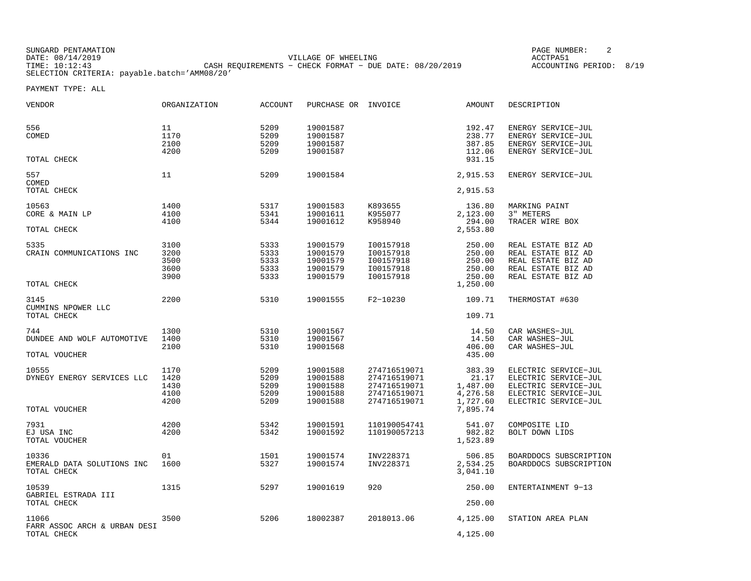SUNGARD PENTAMATION PAGE NUMBER: 2DATE: 08/14/2019 VILLAGE OF WHEELING ACCTPA51 TIME: 10:12:43 CASH REQUIREMENTS − CHECK FORMAT − DUE DATE: 08/20/2019 ACCOUNTING PERIOD: 8/19SELECTION CRITERIA: payable.batch='AMM08/20'

| <b>VENDOR</b>                                        | <b>ORGANIZATION</b>                  | <b>ACCOUNT</b>                       | PURCHASE OR                                              | INVOICE                                                                      | <b>AMOUNT</b>                                                   | DESCRIPTION                                                                                                          |
|------------------------------------------------------|--------------------------------------|--------------------------------------|----------------------------------------------------------|------------------------------------------------------------------------------|-----------------------------------------------------------------|----------------------------------------------------------------------------------------------------------------------|
| 556<br>COMED                                         | 11<br>1170<br>2100<br>4200           | 5209<br>5209<br>5209<br>5209         | 19001587<br>19001587<br>19001587<br>19001587             |                                                                              | 192.47<br>238.77<br>387.85<br>112.06                            | ENERGY SERVICE-JUL<br>ENERGY SERVICE-JUL<br>ENERGY SERVICE-JUL<br>ENERGY SERVICE-JUL                                 |
| TOTAL CHECK                                          |                                      |                                      |                                                          |                                                                              | 931.15                                                          |                                                                                                                      |
| 557<br>COMED<br>TOTAL CHECK                          | 11                                   | 5209                                 | 19001584                                                 |                                                                              | 2,915.53<br>2,915.53                                            | ENERGY SERVICE-JUL                                                                                                   |
|                                                      |                                      |                                      |                                                          |                                                                              |                                                                 |                                                                                                                      |
| 10563<br>CORE & MAIN LP<br>TOTAL CHECK               | 1400<br>4100<br>4100                 | 5317<br>5341<br>5344                 | 19001583<br>19001611<br>19001612                         | K893655<br>K955077<br>K958940                                                | 136.80<br>2,123.00<br>294.00<br>2,553.80                        | MARKING PAINT<br>3" METERS<br>TRACER WIRE BOX                                                                        |
| 5335<br>CRAIN COMMUNICATIONS INC<br>TOTAL CHECK      | 3100<br>3200<br>3500<br>3600<br>3900 | 5333<br>5333<br>5333<br>5333<br>5333 | 19001579<br>19001579<br>19001579<br>19001579<br>19001579 | I00157918<br>I00157918<br>I00157918<br>I00157918<br>I00157918                | 250.00<br>250.00<br>250.00<br>250.00<br>250.00<br>1,250.00      | REAL ESTATE BIZ AD<br>REAL ESTATE BIZ AD<br>REAL ESTATE BIZ AD<br>REAL ESTATE BIZ AD<br>REAL ESTATE BIZ AD           |
| 3145<br>CUMMINS NPOWER LLC<br>TOTAL CHECK            | 2200                                 | 5310                                 | 19001555                                                 | F2-10230                                                                     | 109.71<br>109.71                                                | THERMOSTAT #630                                                                                                      |
| 744<br>DUNDEE AND WOLF AUTOMOTIVE<br>TOTAL VOUCHER   | 1300<br>1400<br>2100                 | 5310<br>5310<br>5310                 | 19001567<br>19001567<br>19001568                         |                                                                              | 14.50<br>14.50<br>406.00<br>435.00                              | CAR WASHES-JUL<br>CAR WASHES-JUL<br>CAR WASHES-JUL                                                                   |
| 10555<br>DYNEGY ENERGY SERVICES LLC<br>TOTAL VOUCHER | 1170<br>1420<br>1430<br>4100<br>4200 | 5209<br>5209<br>5209<br>5209<br>5209 | 19001588<br>19001588<br>19001588<br>19001588<br>19001588 | 274716519071<br>274716519071<br>274716519071<br>274716519071<br>274716519071 | 383.39<br>21.17<br>1,487.00<br>4,276.58<br>1,727.60<br>7,895.74 | ELECTRIC SERVICE-JUL<br>ELECTRIC SERVICE-JUL<br>ELECTRIC SERVICE-JUL<br>ELECTRIC SERVICE-JUL<br>ELECTRIC SERVICE-JUL |
| 7931<br>EJ USA INC<br>TOTAL VOUCHER                  | 4200<br>4200                         | 5342<br>5342                         | 19001591<br>19001592                                     | 110190054741<br>110190057213                                                 | 541.07<br>982.82<br>1,523.89                                    | COMPOSITE LID<br>BOLT DOWN LIDS                                                                                      |
| 10336<br>EMERALD DATA SOLUTIONS INC<br>TOTAL CHECK   | 01<br>1600                           | 1501<br>5327                         | 19001574<br>19001574                                     | INV228371<br>INV228371                                                       | 506.85<br>2,534.25<br>3,041.10                                  | BOARDDOCS SUBSCRIPTION<br>BOARDDOCS SUBSCRIPTION                                                                     |
| 10539<br>GABRIEL ESTRADA III<br>TOTAL CHECK          | 1315                                 | 5297                                 | 19001619                                                 | 920                                                                          | 250.00<br>250.00                                                | ENTERTAINMENT 9-13                                                                                                   |
| 11066<br>FARR ASSOC ARCH & URBAN DESI<br>TOTAL CHECK | 3500                                 | 5206                                 | 18002387                                                 | 2018013.06                                                                   | 4,125.00<br>4,125.00                                            | STATION AREA PLAN                                                                                                    |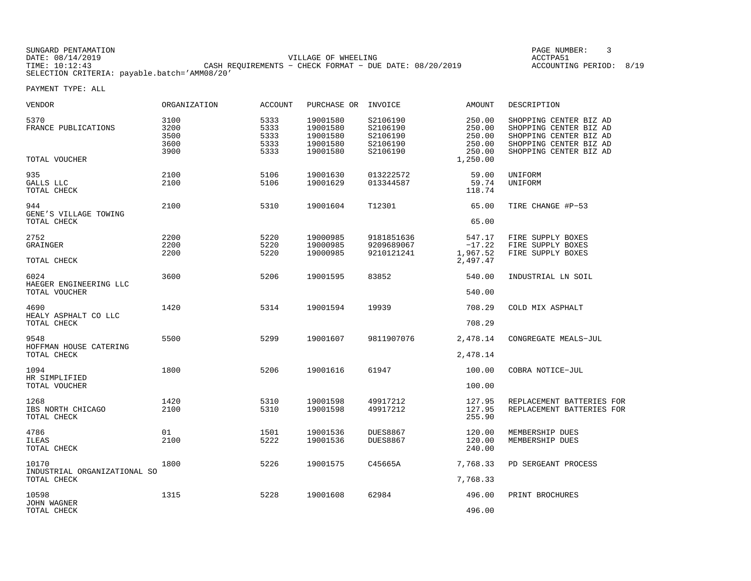| SUNGARD PENTAMATION                          |                                                         | PAGE NUMBER:            |
|----------------------------------------------|---------------------------------------------------------|-------------------------|
| DATE: 08/14/2019                             | VILLAGE OF WHEELING                                     | ACCTPA51                |
| TIME: 10:12:43                               | CASH REOUIREMENTS - CHECK FORMAT - DUE DATE: 08/20/2019 | ACCOUNTING PERIOD: 8/19 |
| SELECTION CRITERIA: payable.batch='AMM08/20' |                                                         |                         |

| VENDOR                                               | ORGANIZATION                         | ACCOUNT                              | PURCHASE OR                                              | INVOICE                                                  | AMOUNT                                                     | DESCRIPTION                                                                                                                    |
|------------------------------------------------------|--------------------------------------|--------------------------------------|----------------------------------------------------------|----------------------------------------------------------|------------------------------------------------------------|--------------------------------------------------------------------------------------------------------------------------------|
| 5370<br>FRANCE PUBLICATIONS<br>TOTAL VOUCHER         | 3100<br>3200<br>3500<br>3600<br>3900 | 5333<br>5333<br>5333<br>5333<br>5333 | 19001580<br>19001580<br>19001580<br>19001580<br>19001580 | S2106190<br>S2106190<br>S2106190<br>S2106190<br>S2106190 | 250.00<br>250.00<br>250.00<br>250.00<br>250.00<br>1,250.00 | SHOPPING CENTER BIZ AD<br>SHOPPING CENTER BIZ AD<br>SHOPPING CENTER BIZ AD<br>SHOPPING CENTER BIZ AD<br>SHOPPING CENTER BIZ AD |
| 935<br>GALLS LLC<br>TOTAL CHECK                      | 2100<br>2100                         | 5106<br>5106                         | 19001630<br>19001629                                     | 013222572<br>013344587                                   | 59.00<br>59.74<br>118.74                                   | UNIFORM<br>UNIFORM                                                                                                             |
| 944<br>GENE'S VILLAGE TOWING<br>TOTAL CHECK          | 2100                                 | 5310                                 | 19001604                                                 | T12301                                                   | 65.00<br>65.00                                             | TIRE CHANGE #P-53                                                                                                              |
| 2752<br>GRAINGER<br>TOTAL CHECK                      | 2200<br>2200<br>2200                 | 5220<br>5220<br>5220                 | 19000985<br>19000985<br>19000985                         | 9181851636<br>9209689067<br>9210121241                   | 547.17<br>$-17.22$<br>1,967.52<br>2,497.47                 | FIRE SUPPLY BOXES<br>FIRE SUPPLY BOXES<br>FIRE SUPPLY BOXES                                                                    |
| 6024<br>HAEGER ENGINEERING LLC<br>TOTAL VOUCHER      | 3600                                 | 5206                                 | 19001595                                                 | 83852                                                    | 540.00<br>540.00                                           | INDUSTRIAL LN SOIL                                                                                                             |
| 4690<br>HEALY ASPHALT CO LLC<br>TOTAL CHECK          | 1420                                 | 5314                                 | 19001594                                                 | 19939                                                    | 708.29<br>708.29                                           | COLD MIX ASPHALT                                                                                                               |
| 9548<br>HOFFMAN HOUSE CATERING<br>TOTAL CHECK        | 5500                                 | 5299                                 | 19001607                                                 | 9811907076                                               | 2,478.14<br>2,478.14                                       | CONGREGATE MEALS-JUL                                                                                                           |
| 1094<br>HR SIMPLIFIED<br>TOTAL VOUCHER               | 1800                                 | 5206                                 | 19001616                                                 | 61947                                                    | 100.00<br>100.00                                           | COBRA NOTICE-JUL                                                                                                               |
| 1268<br>IBS NORTH CHICAGO<br>TOTAL CHECK             | 1420<br>2100                         | 5310<br>5310                         | 19001598<br>19001598                                     | 49917212<br>49917212                                     | 127.95<br>127.95<br>255.90                                 | REPLACEMENT BATTERIES FOR<br>REPLACEMENT BATTERIES FOR                                                                         |
| 4786<br><b>ILEAS</b><br>TOTAL CHECK                  | 01<br>2100                           | 1501<br>5222                         | 19001536<br>19001536                                     | <b>DUES8867</b><br><b>DUES8867</b>                       | 120.00<br>120.00<br>240.00                                 | MEMBERSHIP DUES<br>MEMBERSHIP DUES                                                                                             |
| 10170<br>INDUSTRIAL ORGANIZATIONAL SO<br>TOTAL CHECK | 1800                                 | 5226                                 | 19001575                                                 | C45665A                                                  | 7,768.33<br>7,768.33                                       | PD SERGEANT PROCESS                                                                                                            |
| 10598<br>JOHN WAGNER<br>TOTAL CHECK                  | 1315                                 | 5228                                 | 19001608                                                 | 62984                                                    | 496.00<br>496.00                                           | PRINT BROCHURES                                                                                                                |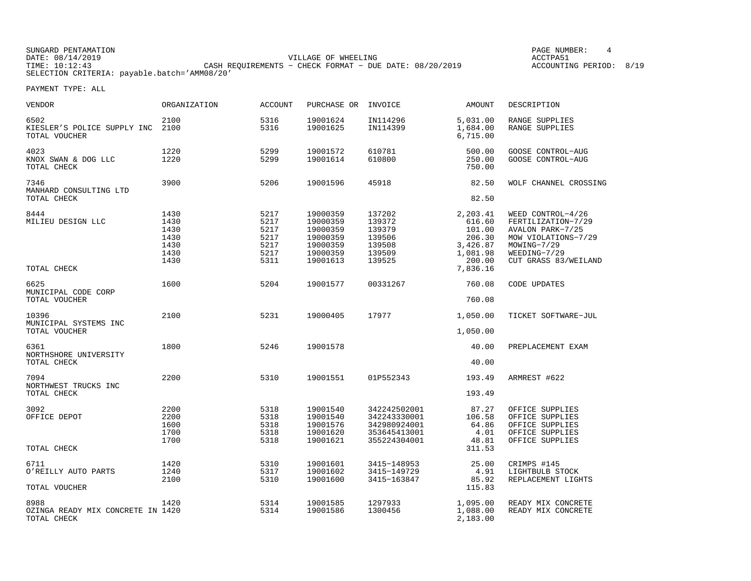SUNGARD PENTAMATION PAGE NUMBER: 4DATE: 08/14/2019 VILLAGE OF WHEELING ACCTPA51CASH REQUIREMENTS - CHECK FORMAT - DUE DATE: 08/20/2019 SELECTION CRITERIA: payable.batch='AMM08/20'

ACCOUNTING PERIOD: 8/19

| <b>VENDOR</b>                                            | <b>ORGANIZATION</b>                                  | <b>ACCOUNT</b>                                       | PURCHASE OR                                                                      | INVOICE                                                                      | AMOUNT                                                                               | DESCRIPTION                                                                                                                               |
|----------------------------------------------------------|------------------------------------------------------|------------------------------------------------------|----------------------------------------------------------------------------------|------------------------------------------------------------------------------|--------------------------------------------------------------------------------------|-------------------------------------------------------------------------------------------------------------------------------------------|
| 6502<br>KIESLER'S POLICE SUPPLY INC<br>TOTAL VOUCHER     | 2100<br>2100                                         | 5316<br>5316                                         | 19001624<br>19001625                                                             | IN114296<br>IN114399                                                         | 5,031.00<br>1,684.00<br>6,715.00                                                     | RANGE SUPPLIES<br><b>RANGE SUPPLIES</b>                                                                                                   |
| 4023<br>KNOX SWAN & DOG LLC<br>TOTAL CHECK               | 1220<br>1220                                         | 5299<br>5299                                         | 19001572<br>19001614                                                             | 610781<br>610800                                                             | 500.00<br>250.00<br>750.00                                                           | GOOSE CONTROL-AUG<br><b>GOOSE CONTROL-AUG</b>                                                                                             |
| 7346<br>MANHARD CONSULTING LTD<br>TOTAL CHECK            | 3900                                                 | 5206                                                 | 19001596                                                                         | 45918                                                                        | 82.50<br>82.50                                                                       | WOLF CHANNEL CROSSING                                                                                                                     |
|                                                          |                                                      |                                                      |                                                                                  |                                                                              |                                                                                      |                                                                                                                                           |
| 8444<br>MILIEU DESIGN LLC<br>TOTAL CHECK                 | 1430<br>1430<br>1430<br>1430<br>1430<br>1430<br>1430 | 5217<br>5217<br>5217<br>5217<br>5217<br>5217<br>5311 | 19000359<br>19000359<br>19000359<br>19000359<br>19000359<br>19000359<br>19001613 | 137202<br>139372<br>139379<br>139506<br>139508<br>139509<br>139525           | 2,203.41<br>616.60<br>101.00<br>206.30<br>3,426.87<br>1,081.98<br>200.00<br>7,836.16 | WEED CONTROL-4/26<br>FERTILIZATION-7/29<br>AVALON PARK-7/25<br>MOW VIOLATIONS-7/29<br>MOWING-7/29<br>WEEDING-7/29<br>CUT GRASS 83/WEILAND |
| 6625<br>MUNICIPAL CODE CORP<br>TOTAL VOUCHER             | 1600                                                 | 5204                                                 | 19001577                                                                         | 00331267                                                                     | 760.08<br>760.08                                                                     | CODE UPDATES                                                                                                                              |
|                                                          |                                                      |                                                      |                                                                                  |                                                                              |                                                                                      |                                                                                                                                           |
| 10396<br>MUNICIPAL SYSTEMS INC<br>TOTAL VOUCHER          | 2100                                                 | 5231                                                 | 19000405                                                                         | 17977                                                                        | 1,050.00<br>1,050.00                                                                 | TICKET SOFTWARE-JUL                                                                                                                       |
| 6361<br>NORTHSHORE UNIVERSITY<br>TOTAL CHECK             | 1800                                                 | 5246                                                 | 19001578                                                                         |                                                                              | 40.00<br>40.00                                                                       | PREPLACEMENT EXAM                                                                                                                         |
| 7094<br>NORTHWEST TRUCKS INC<br>TOTAL CHECK              | 2200                                                 | 5310                                                 | 19001551                                                                         | 01P552343                                                                    | 193.49<br>193.49                                                                     | ARMREST #622                                                                                                                              |
| 3092<br>OFFICE DEPOT                                     | 2200<br>2200<br>1600<br>1700<br>1700                 | 5318<br>5318<br>5318<br>5318<br>5318                 | 19001540<br>19001540<br>19001576<br>19001620<br>19001621                         | 342242502001<br>342243330001<br>342980924001<br>353645413001<br>355224304001 | 87.27<br>106.58<br>64.86<br>4.01<br>48.81                                            | OFFICE SUPPLIES<br>OFFICE SUPPLIES<br>OFFICE SUPPLIES<br>OFFICE SUPPLIES<br>OFFICE SUPPLIES                                               |
| TOTAL CHECK                                              |                                                      |                                                      |                                                                                  |                                                                              | 311.53                                                                               |                                                                                                                                           |
| 6711<br>O'REILLY AUTO PARTS<br>TOTAL VOUCHER             | 1420<br>1240<br>2100                                 | 5310<br>5317<br>5310                                 | 19001601<br>19001602<br>19001600                                                 | 3415-148953<br>3415-149729<br>3415-163847                                    | 25.00<br>4.91<br>85.92<br>115.83                                                     | CRIMPS #145<br>LIGHTBULB STOCK<br>REPLACEMENT LIGHTS                                                                                      |
| 8988<br>OZINGA READY MIX CONCRETE IN 1420<br>TOTAL CHECK | 1420                                                 | 5314<br>5314                                         | 19001585<br>19001586                                                             | 1297933<br>1300456                                                           | 1,095.00<br>1,088.00<br>2,183.00                                                     | READY MIX CONCRETE<br>READY MIX CONCRETE                                                                                                  |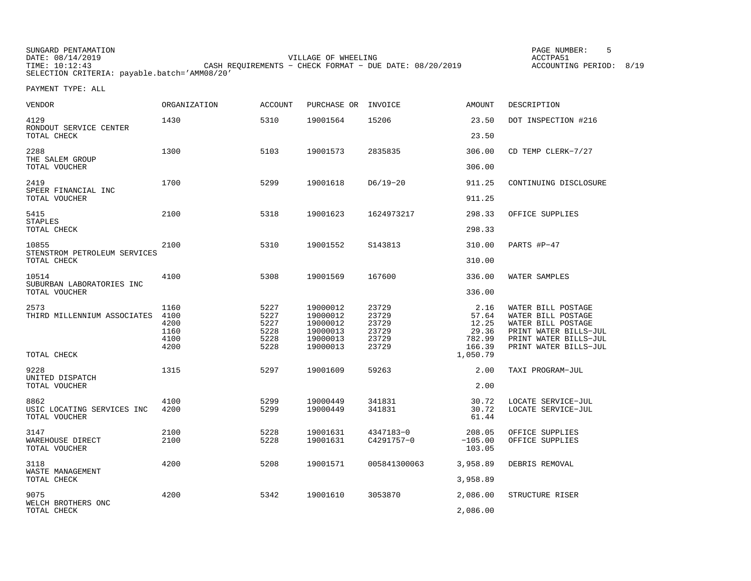| SUNGARD PENTAMATION                          |                                                           | PAGE NUMBER:            |  |
|----------------------------------------------|-----------------------------------------------------------|-------------------------|--|
| DATE: 08/14/2019                             | VILLAGE OF WHEELING                                       | ACCTPA51                |  |
| TIME: 10:12:43                               | CASH REOUIREMENTS - CHECK FORMAT - DUE DATE: $08/20/2019$ | ACCOUNTING PERIOD: 8/19 |  |
| SELECTION CRITERIA: payable.batch='AMM08/20' |                                                           |                         |  |

| <b>VENDOR</b>                                           | ORGANIZATION                                 | <b>ACCOUNT</b>                               | PURCHASE OR                                                          | INVOICE                                            | <b>AMOUNT</b>                                       | DESCRIPTION                                                                                                                               |
|---------------------------------------------------------|----------------------------------------------|----------------------------------------------|----------------------------------------------------------------------|----------------------------------------------------|-----------------------------------------------------|-------------------------------------------------------------------------------------------------------------------------------------------|
| 4129<br>RONDOUT SERVICE CENTER<br>TOTAL CHECK           | 1430                                         | 5310                                         | 19001564                                                             | 15206                                              | 23.50<br>23.50                                      | DOT INSPECTION #216                                                                                                                       |
| 2288<br>THE SALEM GROUP<br>TOTAL VOUCHER                | 1300                                         | 5103                                         | 19001573                                                             | 2835835                                            | 306.00<br>306.00                                    | CD TEMP CLERK-7/27                                                                                                                        |
| 2419<br>SPEER FINANCIAL INC<br>TOTAL VOUCHER            | 1700                                         | 5299                                         | 19001618                                                             | $D6/19-20$                                         | 911.25<br>911.25                                    | CONTINUING DISCLOSURE                                                                                                                     |
| 5415<br><b>STAPLES</b><br>TOTAL CHECK                   | 2100                                         | 5318                                         | 19001623                                                             | 1624973217                                         | 298.33<br>298.33                                    | OFFICE SUPPLIES                                                                                                                           |
| 10855<br>STENSTROM PETROLEUM SERVICES<br>TOTAL CHECK    | 2100                                         | 5310                                         | 19001552                                                             | S143813                                            | 310.00<br>310.00                                    | PARTS #P-47                                                                                                                               |
| 10514<br>SUBURBAN LABORATORIES INC<br>TOTAL VOUCHER     | 4100                                         | 5308                                         | 19001569                                                             | 167600                                             | 336.00<br>336.00                                    | WATER SAMPLES                                                                                                                             |
| 2573<br>THIRD MILLENNIUM ASSOCIATES                     | 1160<br>4100<br>4200<br>1160<br>4100<br>4200 | 5227<br>5227<br>5227<br>5228<br>5228<br>5228 | 19000012<br>19000012<br>19000012<br>19000013<br>19000013<br>19000013 | 23729<br>23729<br>23729<br>23729<br>23729<br>23729 | 2.16<br>57.64<br>12.25<br>29.36<br>782.99<br>166.39 | WATER BILL POSTAGE<br>WATER BILL POSTAGE<br>WATER BILL POSTAGE<br>PRINT WATER BILLS-JUL<br>PRINT WATER BILLS-JUL<br>PRINT WATER BILLS-JUL |
| TOTAL CHECK<br>9228<br>UNITED DISPATCH<br>TOTAL VOUCHER | 1315                                         | 5297                                         | 19001609                                                             | 59263                                              | 1,050.79<br>2.00<br>2.00                            | TAXI PROGRAM-JUL                                                                                                                          |
| 8862<br>USIC LOCATING SERVICES INC<br>TOTAL VOUCHER     | 4100<br>4200                                 | 5299<br>5299                                 | 19000449<br>19000449                                                 | 341831<br>341831                                   | 30.72<br>30.72<br>61.44                             | LOCATE SERVICE-JUL<br>LOCATE SERVICE-JUL                                                                                                  |
| 3147<br>WAREHOUSE DIRECT<br>TOTAL VOUCHER               | 2100<br>2100                                 | 5228<br>5228                                 | 19001631<br>19001631                                                 | 4347183-0<br>C4291757-0                            | 208.05<br>$-105.00$<br>103.05                       | OFFICE SUPPLIES<br>OFFICE SUPPLIES                                                                                                        |
| 3118<br>WASTE MANAGEMENT<br>TOTAL CHECK                 | 4200                                         | 5208                                         | 19001571                                                             | 005841300063                                       | 3,958.89<br>3,958.89                                | DEBRIS REMOVAL                                                                                                                            |
| 9075<br>WELCH BROTHERS ONC<br>TOTAL CHECK               | 4200                                         | 5342                                         | 19001610                                                             | 3053870                                            | 2,086.00<br>2,086.00                                | STRUCTURE RISER                                                                                                                           |